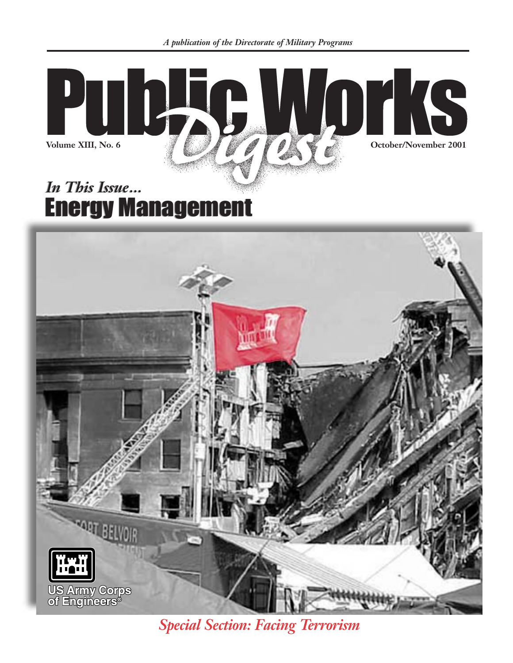

### *In This Issue... In This Issue...* **Energy Management**



*Special Section: Facing Terrorism*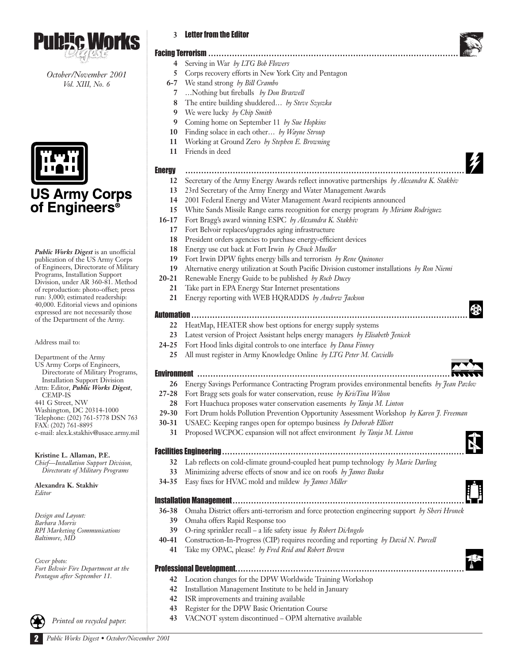

*October/November 2001 Vol. XIII, No. 6*



## **US Army Corps<br>of Engineers®**

*Public Works Digest* is an unofficial publication of the US Army Corps of Engineers, Directorate of Military Programs, Installation Support Division, under AR 360-81. Method of reproduction: photo-offset; press run: 3,000; estimated readership: 40,000. Editorial views and opinions expressed are not necessarily those of the Department of the Army.

Address mail to:

Department of the Army US Army Corps of Engineers, Directorate of Military Programs, Installation Support Division Attn: Editor, *Public Works Digest*, CEMP-IS 441 G Street, NW Washington, DC 20314-1000 Telephone: (202) 761-5778 DSN 763 FAX: (202) 761-8895 e-mail: alex.k.stakhiv@usace.army.mil

**Kristine L. Allaman, P.E.** *Chief—Installation Support Division, Directorate of Military Programs*

**Alexandra K. Stakhiv** *Editor*

*Design and Layout: Barbara Morris RPI Marketing Communications Baltimore, MD*

*Cover photo: Fort Belvoir Fire Department at the Pentagon after September 11.*

*Printed on recycled paper.*

| <b>Letter from the Editor</b> |  |  |
|-------------------------------|--|--|
|                               |  |  |

| <b>Facing Terrorism </b><br>Serving in War by LTG Bob Flowers<br>4<br>5<br>Corps recovery efforts in New York City and Pentagon<br>We stand strong by Bill Crambo<br>$6 - 7$<br>Nothing but fireballs by Don Braswell<br>7<br>The entire building shuddered by Steve Szyszka<br>8<br>We were lucky by Chip Smith<br>9<br>Coming home on September 11 by Sue Hopkins<br>9<br>Finding solace in each other by Wayne Stroup<br>10<br>Working at Ground Zero by Stephen E. Browning<br>11<br>Friends in deed<br>11<br><b>Energy</b><br>Secretary of the Army Energy Awards reflect innovative partnerships by Alexandra K. Stakhiv<br>12<br>23rd Secretary of the Army Energy and Water Management Awards<br>13<br>2001 Federal Energy and Water Management Award recipients announced<br>14<br>15<br>White Sands Missile Range earns recognition for energy program by Miriam Rodriguez<br>Fort Bragg's award winning ESPC by Alexandra K. Stakhiv<br>$16-17$<br>Fort Belvoir replaces/upgrades aging infrastructure<br>17<br>President orders agencies to purchase energy-efficient devices<br>18<br>Energy use cut back at Fort Irwin by Chuck Mueller<br>18<br>Fort Irwin DPW fights energy bills and terrorism by Rene Quinones<br>19<br>Alternative energy utilization at South Pacific Division customer installations by Ron Niemi<br>19<br>Renewable Energy Guide to be published by Roch Ducey<br>$20 - 21$<br>Take part in EPA Energy Star Internet presentations<br>21<br>Energy reporting with WEB HQRADDS by Andrew Jackson<br>21<br>HeatMap, HEATER show best options for energy supply systems<br>22<br>Latest version of Project Assistant helps energy managers by Elisabeth Jenicek<br>23<br>Fort Hood links digital controls to one interface by Dana Finney<br>$24 - 25$<br>All must register in Army Knowledge Online by LTG Peter M. Cuviello<br>25<br><b>Environment</b><br>Energy Savings Performance Contracting Program provides environmental benefits by Jean Pavlov<br>26<br>Fort Bragg sets goals for water conservation, reuse by KrisTina Wilson<br>27-28<br>Fort Huachuca proposes water conservation easements by Tanja M. Linton<br>28<br>29-30 Fort Drum holds Pollution Prevention Opportunity Assessment Workshop by Karen J. Freeman<br>USAEC: Keeping ranges open for optempo business by Deborah Elliott<br>$30 - 31$<br>Proposed WCPOC expansion will not affect environment by Tanja M. Linton<br>31<br>Lab reflects on cold-climate ground-coupled heat pump technology by Marie Darling<br>32<br>33<br>Minimizing adverse effects of snow and ice on roofs by James Buska<br>Easy fixes for HVAC mold and mildew by James Miller<br>34-35<br>Omaha District offers anti-terrorism and force protection engineering support by Sheri Hronek<br>$36 - 38$<br>39<br>Omaha offers Rapid Response too<br>O-ring sprinkler recall – a life safety issue by Robert DiAngelo<br>39<br>Construction-In-Progress (CIP) requires recording and reporting by David N. Purcell<br>$40 - 41$<br>Take my OPAC, please! by Fred Reid and Robert Brown<br>41<br>Professional Development<br>Location changes for the DPW Worldwide Training Workshop<br>42<br>42<br>Installation Management Institute to be held in January<br>ISR improvements and training available<br>42<br>Register for the DPW Basic Orientation Course<br>43 |    |                                                        |
|--------------------------------------------------------------------------------------------------------------------------------------------------------------------------------------------------------------------------------------------------------------------------------------------------------------------------------------------------------------------------------------------------------------------------------------------------------------------------------------------------------------------------------------------------------------------------------------------------------------------------------------------------------------------------------------------------------------------------------------------------------------------------------------------------------------------------------------------------------------------------------------------------------------------------------------------------------------------------------------------------------------------------------------------------------------------------------------------------------------------------------------------------------------------------------------------------------------------------------------------------------------------------------------------------------------------------------------------------------------------------------------------------------------------------------------------------------------------------------------------------------------------------------------------------------------------------------------------------------------------------------------------------------------------------------------------------------------------------------------------------------------------------------------------------------------------------------------------------------------------------------------------------------------------------------------------------------------------------------------------------------------------------------------------------------------------------------------------------------------------------------------------------------------------------------------------------------------------------------------------------------------------------------------------------------------------------------------------------------------------------------------------------------------------------------------------------------------------------------------------------------------------------------------------------------------------------------------------------------------------------------------------------------------------------------------------------------------------------------------------------------------------------------------------------------------------------------------------------------------------------------------------------------------------------------------------------------------------------------------------------------------------------------------------------------------------------------------------------------------------------------------------------------------------------------------------------------------------------------------------------------------------------------------------------------------------------------------------------------------|----|--------------------------------------------------------|
|                                                                                                                                                                                                                                                                                                                                                                                                                                                                                                                                                                                                                                                                                                                                                                                                                                                                                                                                                                                                                                                                                                                                                                                                                                                                                                                                                                                                                                                                                                                                                                                                                                                                                                                                                                                                                                                                                                                                                                                                                                                                                                                                                                                                                                                                                                                                                                                                                                                                                                                                                                                                                                                                                                                                                                                                                                                                                                                                                                                                                                                                                                                                                                                                                                                                                                                                                              |    |                                                        |
|                                                                                                                                                                                                                                                                                                                                                                                                                                                                                                                                                                                                                                                                                                                                                                                                                                                                                                                                                                                                                                                                                                                                                                                                                                                                                                                                                                                                                                                                                                                                                                                                                                                                                                                                                                                                                                                                                                                                                                                                                                                                                                                                                                                                                                                                                                                                                                                                                                                                                                                                                                                                                                                                                                                                                                                                                                                                                                                                                                                                                                                                                                                                                                                                                                                                                                                                                              |    |                                                        |
|                                                                                                                                                                                                                                                                                                                                                                                                                                                                                                                                                                                                                                                                                                                                                                                                                                                                                                                                                                                                                                                                                                                                                                                                                                                                                                                                                                                                                                                                                                                                                                                                                                                                                                                                                                                                                                                                                                                                                                                                                                                                                                                                                                                                                                                                                                                                                                                                                                                                                                                                                                                                                                                                                                                                                                                                                                                                                                                                                                                                                                                                                                                                                                                                                                                                                                                                                              |    |                                                        |
|                                                                                                                                                                                                                                                                                                                                                                                                                                                                                                                                                                                                                                                                                                                                                                                                                                                                                                                                                                                                                                                                                                                                                                                                                                                                                                                                                                                                                                                                                                                                                                                                                                                                                                                                                                                                                                                                                                                                                                                                                                                                                                                                                                                                                                                                                                                                                                                                                                                                                                                                                                                                                                                                                                                                                                                                                                                                                                                                                                                                                                                                                                                                                                                                                                                                                                                                                              |    |                                                        |
|                                                                                                                                                                                                                                                                                                                                                                                                                                                                                                                                                                                                                                                                                                                                                                                                                                                                                                                                                                                                                                                                                                                                                                                                                                                                                                                                                                                                                                                                                                                                                                                                                                                                                                                                                                                                                                                                                                                                                                                                                                                                                                                                                                                                                                                                                                                                                                                                                                                                                                                                                                                                                                                                                                                                                                                                                                                                                                                                                                                                                                                                                                                                                                                                                                                                                                                                                              |    |                                                        |
|                                                                                                                                                                                                                                                                                                                                                                                                                                                                                                                                                                                                                                                                                                                                                                                                                                                                                                                                                                                                                                                                                                                                                                                                                                                                                                                                                                                                                                                                                                                                                                                                                                                                                                                                                                                                                                                                                                                                                                                                                                                                                                                                                                                                                                                                                                                                                                                                                                                                                                                                                                                                                                                                                                                                                                                                                                                                                                                                                                                                                                                                                                                                                                                                                                                                                                                                                              |    |                                                        |
|                                                                                                                                                                                                                                                                                                                                                                                                                                                                                                                                                                                                                                                                                                                                                                                                                                                                                                                                                                                                                                                                                                                                                                                                                                                                                                                                                                                                                                                                                                                                                                                                                                                                                                                                                                                                                                                                                                                                                                                                                                                                                                                                                                                                                                                                                                                                                                                                                                                                                                                                                                                                                                                                                                                                                                                                                                                                                                                                                                                                                                                                                                                                                                                                                                                                                                                                                              |    |                                                        |
|                                                                                                                                                                                                                                                                                                                                                                                                                                                                                                                                                                                                                                                                                                                                                                                                                                                                                                                                                                                                                                                                                                                                                                                                                                                                                                                                                                                                                                                                                                                                                                                                                                                                                                                                                                                                                                                                                                                                                                                                                                                                                                                                                                                                                                                                                                                                                                                                                                                                                                                                                                                                                                                                                                                                                                                                                                                                                                                                                                                                                                                                                                                                                                                                                                                                                                                                                              |    |                                                        |
|                                                                                                                                                                                                                                                                                                                                                                                                                                                                                                                                                                                                                                                                                                                                                                                                                                                                                                                                                                                                                                                                                                                                                                                                                                                                                                                                                                                                                                                                                                                                                                                                                                                                                                                                                                                                                                                                                                                                                                                                                                                                                                                                                                                                                                                                                                                                                                                                                                                                                                                                                                                                                                                                                                                                                                                                                                                                                                                                                                                                                                                                                                                                                                                                                                                                                                                                                              |    |                                                        |
|                                                                                                                                                                                                                                                                                                                                                                                                                                                                                                                                                                                                                                                                                                                                                                                                                                                                                                                                                                                                                                                                                                                                                                                                                                                                                                                                                                                                                                                                                                                                                                                                                                                                                                                                                                                                                                                                                                                                                                                                                                                                                                                                                                                                                                                                                                                                                                                                                                                                                                                                                                                                                                                                                                                                                                                                                                                                                                                                                                                                                                                                                                                                                                                                                                                                                                                                                              |    |                                                        |
|                                                                                                                                                                                                                                                                                                                                                                                                                                                                                                                                                                                                                                                                                                                                                                                                                                                                                                                                                                                                                                                                                                                                                                                                                                                                                                                                                                                                                                                                                                                                                                                                                                                                                                                                                                                                                                                                                                                                                                                                                                                                                                                                                                                                                                                                                                                                                                                                                                                                                                                                                                                                                                                                                                                                                                                                                                                                                                                                                                                                                                                                                                                                                                                                                                                                                                                                                              |    |                                                        |
|                                                                                                                                                                                                                                                                                                                                                                                                                                                                                                                                                                                                                                                                                                                                                                                                                                                                                                                                                                                                                                                                                                                                                                                                                                                                                                                                                                                                                                                                                                                                                                                                                                                                                                                                                                                                                                                                                                                                                                                                                                                                                                                                                                                                                                                                                                                                                                                                                                                                                                                                                                                                                                                                                                                                                                                                                                                                                                                                                                                                                                                                                                                                                                                                                                                                                                                                                              |    |                                                        |
|                                                                                                                                                                                                                                                                                                                                                                                                                                                                                                                                                                                                                                                                                                                                                                                                                                                                                                                                                                                                                                                                                                                                                                                                                                                                                                                                                                                                                                                                                                                                                                                                                                                                                                                                                                                                                                                                                                                                                                                                                                                                                                                                                                                                                                                                                                                                                                                                                                                                                                                                                                                                                                                                                                                                                                                                                                                                                                                                                                                                                                                                                                                                                                                                                                                                                                                                                              |    |                                                        |
|                                                                                                                                                                                                                                                                                                                                                                                                                                                                                                                                                                                                                                                                                                                                                                                                                                                                                                                                                                                                                                                                                                                                                                                                                                                                                                                                                                                                                                                                                                                                                                                                                                                                                                                                                                                                                                                                                                                                                                                                                                                                                                                                                                                                                                                                                                                                                                                                                                                                                                                                                                                                                                                                                                                                                                                                                                                                                                                                                                                                                                                                                                                                                                                                                                                                                                                                                              |    |                                                        |
|                                                                                                                                                                                                                                                                                                                                                                                                                                                                                                                                                                                                                                                                                                                                                                                                                                                                                                                                                                                                                                                                                                                                                                                                                                                                                                                                                                                                                                                                                                                                                                                                                                                                                                                                                                                                                                                                                                                                                                                                                                                                                                                                                                                                                                                                                                                                                                                                                                                                                                                                                                                                                                                                                                                                                                                                                                                                                                                                                                                                                                                                                                                                                                                                                                                                                                                                                              |    |                                                        |
|                                                                                                                                                                                                                                                                                                                                                                                                                                                                                                                                                                                                                                                                                                                                                                                                                                                                                                                                                                                                                                                                                                                                                                                                                                                                                                                                                                                                                                                                                                                                                                                                                                                                                                                                                                                                                                                                                                                                                                                                                                                                                                                                                                                                                                                                                                                                                                                                                                                                                                                                                                                                                                                                                                                                                                                                                                                                                                                                                                                                                                                                                                                                                                                                                                                                                                                                                              |    |                                                        |
|                                                                                                                                                                                                                                                                                                                                                                                                                                                                                                                                                                                                                                                                                                                                                                                                                                                                                                                                                                                                                                                                                                                                                                                                                                                                                                                                                                                                                                                                                                                                                                                                                                                                                                                                                                                                                                                                                                                                                                                                                                                                                                                                                                                                                                                                                                                                                                                                                                                                                                                                                                                                                                                                                                                                                                                                                                                                                                                                                                                                                                                                                                                                                                                                                                                                                                                                                              |    |                                                        |
|                                                                                                                                                                                                                                                                                                                                                                                                                                                                                                                                                                                                                                                                                                                                                                                                                                                                                                                                                                                                                                                                                                                                                                                                                                                                                                                                                                                                                                                                                                                                                                                                                                                                                                                                                                                                                                                                                                                                                                                                                                                                                                                                                                                                                                                                                                                                                                                                                                                                                                                                                                                                                                                                                                                                                                                                                                                                                                                                                                                                                                                                                                                                                                                                                                                                                                                                                              |    |                                                        |
|                                                                                                                                                                                                                                                                                                                                                                                                                                                                                                                                                                                                                                                                                                                                                                                                                                                                                                                                                                                                                                                                                                                                                                                                                                                                                                                                                                                                                                                                                                                                                                                                                                                                                                                                                                                                                                                                                                                                                                                                                                                                                                                                                                                                                                                                                                                                                                                                                                                                                                                                                                                                                                                                                                                                                                                                                                                                                                                                                                                                                                                                                                                                                                                                                                                                                                                                                              |    |                                                        |
|                                                                                                                                                                                                                                                                                                                                                                                                                                                                                                                                                                                                                                                                                                                                                                                                                                                                                                                                                                                                                                                                                                                                                                                                                                                                                                                                                                                                                                                                                                                                                                                                                                                                                                                                                                                                                                                                                                                                                                                                                                                                                                                                                                                                                                                                                                                                                                                                                                                                                                                                                                                                                                                                                                                                                                                                                                                                                                                                                                                                                                                                                                                                                                                                                                                                                                                                                              |    |                                                        |
|                                                                                                                                                                                                                                                                                                                                                                                                                                                                                                                                                                                                                                                                                                                                                                                                                                                                                                                                                                                                                                                                                                                                                                                                                                                                                                                                                                                                                                                                                                                                                                                                                                                                                                                                                                                                                                                                                                                                                                                                                                                                                                                                                                                                                                                                                                                                                                                                                                                                                                                                                                                                                                                                                                                                                                                                                                                                                                                                                                                                                                                                                                                                                                                                                                                                                                                                                              |    |                                                        |
|                                                                                                                                                                                                                                                                                                                                                                                                                                                                                                                                                                                                                                                                                                                                                                                                                                                                                                                                                                                                                                                                                                                                                                                                                                                                                                                                                                                                                                                                                                                                                                                                                                                                                                                                                                                                                                                                                                                                                                                                                                                                                                                                                                                                                                                                                                                                                                                                                                                                                                                                                                                                                                                                                                                                                                                                                                                                                                                                                                                                                                                                                                                                                                                                                                                                                                                                                              |    |                                                        |
|                                                                                                                                                                                                                                                                                                                                                                                                                                                                                                                                                                                                                                                                                                                                                                                                                                                                                                                                                                                                                                                                                                                                                                                                                                                                                                                                                                                                                                                                                                                                                                                                                                                                                                                                                                                                                                                                                                                                                                                                                                                                                                                                                                                                                                                                                                                                                                                                                                                                                                                                                                                                                                                                                                                                                                                                                                                                                                                                                                                                                                                                                                                                                                                                                                                                                                                                                              |    |                                                        |
|                                                                                                                                                                                                                                                                                                                                                                                                                                                                                                                                                                                                                                                                                                                                                                                                                                                                                                                                                                                                                                                                                                                                                                                                                                                                                                                                                                                                                                                                                                                                                                                                                                                                                                                                                                                                                                                                                                                                                                                                                                                                                                                                                                                                                                                                                                                                                                                                                                                                                                                                                                                                                                                                                                                                                                                                                                                                                                                                                                                                                                                                                                                                                                                                                                                                                                                                                              |    |                                                        |
|                                                                                                                                                                                                                                                                                                                                                                                                                                                                                                                                                                                                                                                                                                                                                                                                                                                                                                                                                                                                                                                                                                                                                                                                                                                                                                                                                                                                                                                                                                                                                                                                                                                                                                                                                                                                                                                                                                                                                                                                                                                                                                                                                                                                                                                                                                                                                                                                                                                                                                                                                                                                                                                                                                                                                                                                                                                                                                                                                                                                                                                                                                                                                                                                                                                                                                                                                              |    |                                                        |
|                                                                                                                                                                                                                                                                                                                                                                                                                                                                                                                                                                                                                                                                                                                                                                                                                                                                                                                                                                                                                                                                                                                                                                                                                                                                                                                                                                                                                                                                                                                                                                                                                                                                                                                                                                                                                                                                                                                                                                                                                                                                                                                                                                                                                                                                                                                                                                                                                                                                                                                                                                                                                                                                                                                                                                                                                                                                                                                                                                                                                                                                                                                                                                                                                                                                                                                                                              |    |                                                        |
|                                                                                                                                                                                                                                                                                                                                                                                                                                                                                                                                                                                                                                                                                                                                                                                                                                                                                                                                                                                                                                                                                                                                                                                                                                                                                                                                                                                                                                                                                                                                                                                                                                                                                                                                                                                                                                                                                                                                                                                                                                                                                                                                                                                                                                                                                                                                                                                                                                                                                                                                                                                                                                                                                                                                                                                                                                                                                                                                                                                                                                                                                                                                                                                                                                                                                                                                                              |    |                                                        |
|                                                                                                                                                                                                                                                                                                                                                                                                                                                                                                                                                                                                                                                                                                                                                                                                                                                                                                                                                                                                                                                                                                                                                                                                                                                                                                                                                                                                                                                                                                                                                                                                                                                                                                                                                                                                                                                                                                                                                                                                                                                                                                                                                                                                                                                                                                                                                                                                                                                                                                                                                                                                                                                                                                                                                                                                                                                                                                                                                                                                                                                                                                                                                                                                                                                                                                                                                              |    |                                                        |
|                                                                                                                                                                                                                                                                                                                                                                                                                                                                                                                                                                                                                                                                                                                                                                                                                                                                                                                                                                                                                                                                                                                                                                                                                                                                                                                                                                                                                                                                                                                                                                                                                                                                                                                                                                                                                                                                                                                                                                                                                                                                                                                                                                                                                                                                                                                                                                                                                                                                                                                                                                                                                                                                                                                                                                                                                                                                                                                                                                                                                                                                                                                                                                                                                                                                                                                                                              |    |                                                        |
|                                                                                                                                                                                                                                                                                                                                                                                                                                                                                                                                                                                                                                                                                                                                                                                                                                                                                                                                                                                                                                                                                                                                                                                                                                                                                                                                                                                                                                                                                                                                                                                                                                                                                                                                                                                                                                                                                                                                                                                                                                                                                                                                                                                                                                                                                                                                                                                                                                                                                                                                                                                                                                                                                                                                                                                                                                                                                                                                                                                                                                                                                                                                                                                                                                                                                                                                                              |    |                                                        |
|                                                                                                                                                                                                                                                                                                                                                                                                                                                                                                                                                                                                                                                                                                                                                                                                                                                                                                                                                                                                                                                                                                                                                                                                                                                                                                                                                                                                                                                                                                                                                                                                                                                                                                                                                                                                                                                                                                                                                                                                                                                                                                                                                                                                                                                                                                                                                                                                                                                                                                                                                                                                                                                                                                                                                                                                                                                                                                                                                                                                                                                                                                                                                                                                                                                                                                                                                              |    |                                                        |
|                                                                                                                                                                                                                                                                                                                                                                                                                                                                                                                                                                                                                                                                                                                                                                                                                                                                                                                                                                                                                                                                                                                                                                                                                                                                                                                                                                                                                                                                                                                                                                                                                                                                                                                                                                                                                                                                                                                                                                                                                                                                                                                                                                                                                                                                                                                                                                                                                                                                                                                                                                                                                                                                                                                                                                                                                                                                                                                                                                                                                                                                                                                                                                                                                                                                                                                                                              |    |                                                        |
|                                                                                                                                                                                                                                                                                                                                                                                                                                                                                                                                                                                                                                                                                                                                                                                                                                                                                                                                                                                                                                                                                                                                                                                                                                                                                                                                                                                                                                                                                                                                                                                                                                                                                                                                                                                                                                                                                                                                                                                                                                                                                                                                                                                                                                                                                                                                                                                                                                                                                                                                                                                                                                                                                                                                                                                                                                                                                                                                                                                                                                                                                                                                                                                                                                                                                                                                                              |    |                                                        |
|                                                                                                                                                                                                                                                                                                                                                                                                                                                                                                                                                                                                                                                                                                                                                                                                                                                                                                                                                                                                                                                                                                                                                                                                                                                                                                                                                                                                                                                                                                                                                                                                                                                                                                                                                                                                                                                                                                                                                                                                                                                                                                                                                                                                                                                                                                                                                                                                                                                                                                                                                                                                                                                                                                                                                                                                                                                                                                                                                                                                                                                                                                                                                                                                                                                                                                                                                              |    |                                                        |
|                                                                                                                                                                                                                                                                                                                                                                                                                                                                                                                                                                                                                                                                                                                                                                                                                                                                                                                                                                                                                                                                                                                                                                                                                                                                                                                                                                                                                                                                                                                                                                                                                                                                                                                                                                                                                                                                                                                                                                                                                                                                                                                                                                                                                                                                                                                                                                                                                                                                                                                                                                                                                                                                                                                                                                                                                                                                                                                                                                                                                                                                                                                                                                                                                                                                                                                                                              |    |                                                        |
|                                                                                                                                                                                                                                                                                                                                                                                                                                                                                                                                                                                                                                                                                                                                                                                                                                                                                                                                                                                                                                                                                                                                                                                                                                                                                                                                                                                                                                                                                                                                                                                                                                                                                                                                                                                                                                                                                                                                                                                                                                                                                                                                                                                                                                                                                                                                                                                                                                                                                                                                                                                                                                                                                                                                                                                                                                                                                                                                                                                                                                                                                                                                                                                                                                                                                                                                                              |    |                                                        |
|                                                                                                                                                                                                                                                                                                                                                                                                                                                                                                                                                                                                                                                                                                                                                                                                                                                                                                                                                                                                                                                                                                                                                                                                                                                                                                                                                                                                                                                                                                                                                                                                                                                                                                                                                                                                                                                                                                                                                                                                                                                                                                                                                                                                                                                                                                                                                                                                                                                                                                                                                                                                                                                                                                                                                                                                                                                                                                                                                                                                                                                                                                                                                                                                                                                                                                                                                              |    |                                                        |
|                                                                                                                                                                                                                                                                                                                                                                                                                                                                                                                                                                                                                                                                                                                                                                                                                                                                                                                                                                                                                                                                                                                                                                                                                                                                                                                                                                                                                                                                                                                                                                                                                                                                                                                                                                                                                                                                                                                                                                                                                                                                                                                                                                                                                                                                                                                                                                                                                                                                                                                                                                                                                                                                                                                                                                                                                                                                                                                                                                                                                                                                                                                                                                                                                                                                                                                                                              |    |                                                        |
|                                                                                                                                                                                                                                                                                                                                                                                                                                                                                                                                                                                                                                                                                                                                                                                                                                                                                                                                                                                                                                                                                                                                                                                                                                                                                                                                                                                                                                                                                                                                                                                                                                                                                                                                                                                                                                                                                                                                                                                                                                                                                                                                                                                                                                                                                                                                                                                                                                                                                                                                                                                                                                                                                                                                                                                                                                                                                                                                                                                                                                                                                                                                                                                                                                                                                                                                                              |    |                                                        |
|                                                                                                                                                                                                                                                                                                                                                                                                                                                                                                                                                                                                                                                                                                                                                                                                                                                                                                                                                                                                                                                                                                                                                                                                                                                                                                                                                                                                                                                                                                                                                                                                                                                                                                                                                                                                                                                                                                                                                                                                                                                                                                                                                                                                                                                                                                                                                                                                                                                                                                                                                                                                                                                                                                                                                                                                                                                                                                                                                                                                                                                                                                                                                                                                                                                                                                                                                              |    |                                                        |
|                                                                                                                                                                                                                                                                                                                                                                                                                                                                                                                                                                                                                                                                                                                                                                                                                                                                                                                                                                                                                                                                                                                                                                                                                                                                                                                                                                                                                                                                                                                                                                                                                                                                                                                                                                                                                                                                                                                                                                                                                                                                                                                                                                                                                                                                                                                                                                                                                                                                                                                                                                                                                                                                                                                                                                                                                                                                                                                                                                                                                                                                                                                                                                                                                                                                                                                                                              |    |                                                        |
|                                                                                                                                                                                                                                                                                                                                                                                                                                                                                                                                                                                                                                                                                                                                                                                                                                                                                                                                                                                                                                                                                                                                                                                                                                                                                                                                                                                                                                                                                                                                                                                                                                                                                                                                                                                                                                                                                                                                                                                                                                                                                                                                                                                                                                                                                                                                                                                                                                                                                                                                                                                                                                                                                                                                                                                                                                                                                                                                                                                                                                                                                                                                                                                                                                                                                                                                                              |    |                                                        |
|                                                                                                                                                                                                                                                                                                                                                                                                                                                                                                                                                                                                                                                                                                                                                                                                                                                                                                                                                                                                                                                                                                                                                                                                                                                                                                                                                                                                                                                                                                                                                                                                                                                                                                                                                                                                                                                                                                                                                                                                                                                                                                                                                                                                                                                                                                                                                                                                                                                                                                                                                                                                                                                                                                                                                                                                                                                                                                                                                                                                                                                                                                                                                                                                                                                                                                                                                              |    |                                                        |
|                                                                                                                                                                                                                                                                                                                                                                                                                                                                                                                                                                                                                                                                                                                                                                                                                                                                                                                                                                                                                                                                                                                                                                                                                                                                                                                                                                                                                                                                                                                                                                                                                                                                                                                                                                                                                                                                                                                                                                                                                                                                                                                                                                                                                                                                                                                                                                                                                                                                                                                                                                                                                                                                                                                                                                                                                                                                                                                                                                                                                                                                                                                                                                                                                                                                                                                                                              |    |                                                        |
|                                                                                                                                                                                                                                                                                                                                                                                                                                                                                                                                                                                                                                                                                                                                                                                                                                                                                                                                                                                                                                                                                                                                                                                                                                                                                                                                                                                                                                                                                                                                                                                                                                                                                                                                                                                                                                                                                                                                                                                                                                                                                                                                                                                                                                                                                                                                                                                                                                                                                                                                                                                                                                                                                                                                                                                                                                                                                                                                                                                                                                                                                                                                                                                                                                                                                                                                                              |    |                                                        |
|                                                                                                                                                                                                                                                                                                                                                                                                                                                                                                                                                                                                                                                                                                                                                                                                                                                                                                                                                                                                                                                                                                                                                                                                                                                                                                                                                                                                                                                                                                                                                                                                                                                                                                                                                                                                                                                                                                                                                                                                                                                                                                                                                                                                                                                                                                                                                                                                                                                                                                                                                                                                                                                                                                                                                                                                                                                                                                                                                                                                                                                                                                                                                                                                                                                                                                                                                              |    |                                                        |
|                                                                                                                                                                                                                                                                                                                                                                                                                                                                                                                                                                                                                                                                                                                                                                                                                                                                                                                                                                                                                                                                                                                                                                                                                                                                                                                                                                                                                                                                                                                                                                                                                                                                                                                                                                                                                                                                                                                                                                                                                                                                                                                                                                                                                                                                                                                                                                                                                                                                                                                                                                                                                                                                                                                                                                                                                                                                                                                                                                                                                                                                                                                                                                                                                                                                                                                                                              |    |                                                        |
|                                                                                                                                                                                                                                                                                                                                                                                                                                                                                                                                                                                                                                                                                                                                                                                                                                                                                                                                                                                                                                                                                                                                                                                                                                                                                                                                                                                                                                                                                                                                                                                                                                                                                                                                                                                                                                                                                                                                                                                                                                                                                                                                                                                                                                                                                                                                                                                                                                                                                                                                                                                                                                                                                                                                                                                                                                                                                                                                                                                                                                                                                                                                                                                                                                                                                                                                                              |    |                                                        |
|                                                                                                                                                                                                                                                                                                                                                                                                                                                                                                                                                                                                                                                                                                                                                                                                                                                                                                                                                                                                                                                                                                                                                                                                                                                                                                                                                                                                                                                                                                                                                                                                                                                                                                                                                                                                                                                                                                                                                                                                                                                                                                                                                                                                                                                                                                                                                                                                                                                                                                                                                                                                                                                                                                                                                                                                                                                                                                                                                                                                                                                                                                                                                                                                                                                                                                                                                              |    |                                                        |
|                                                                                                                                                                                                                                                                                                                                                                                                                                                                                                                                                                                                                                                                                                                                                                                                                                                                                                                                                                                                                                                                                                                                                                                                                                                                                                                                                                                                                                                                                                                                                                                                                                                                                                                                                                                                                                                                                                                                                                                                                                                                                                                                                                                                                                                                                                                                                                                                                                                                                                                                                                                                                                                                                                                                                                                                                                                                                                                                                                                                                                                                                                                                                                                                                                                                                                                                                              |    |                                                        |
|                                                                                                                                                                                                                                                                                                                                                                                                                                                                                                                                                                                                                                                                                                                                                                                                                                                                                                                                                                                                                                                                                                                                                                                                                                                                                                                                                                                                                                                                                                                                                                                                                                                                                                                                                                                                                                                                                                                                                                                                                                                                                                                                                                                                                                                                                                                                                                                                                                                                                                                                                                                                                                                                                                                                                                                                                                                                                                                                                                                                                                                                                                                                                                                                                                                                                                                                                              |    |                                                        |
|                                                                                                                                                                                                                                                                                                                                                                                                                                                                                                                                                                                                                                                                                                                                                                                                                                                                                                                                                                                                                                                                                                                                                                                                                                                                                                                                                                                                                                                                                                                                                                                                                                                                                                                                                                                                                                                                                                                                                                                                                                                                                                                                                                                                                                                                                                                                                                                                                                                                                                                                                                                                                                                                                                                                                                                                                                                                                                                                                                                                                                                                                                                                                                                                                                                                                                                                                              |    |                                                        |
|                                                                                                                                                                                                                                                                                                                                                                                                                                                                                                                                                                                                                                                                                                                                                                                                                                                                                                                                                                                                                                                                                                                                                                                                                                                                                                                                                                                                                                                                                                                                                                                                                                                                                                                                                                                                                                                                                                                                                                                                                                                                                                                                                                                                                                                                                                                                                                                                                                                                                                                                                                                                                                                                                                                                                                                                                                                                                                                                                                                                                                                                                                                                                                                                                                                                                                                                                              |    |                                                        |
|                                                                                                                                                                                                                                                                                                                                                                                                                                                                                                                                                                                                                                                                                                                                                                                                                                                                                                                                                                                                                                                                                                                                                                                                                                                                                                                                                                                                                                                                                                                                                                                                                                                                                                                                                                                                                                                                                                                                                                                                                                                                                                                                                                                                                                                                                                                                                                                                                                                                                                                                                                                                                                                                                                                                                                                                                                                                                                                                                                                                                                                                                                                                                                                                                                                                                                                                                              | 43 | VACNOT system discontinued - OPM alternative available |

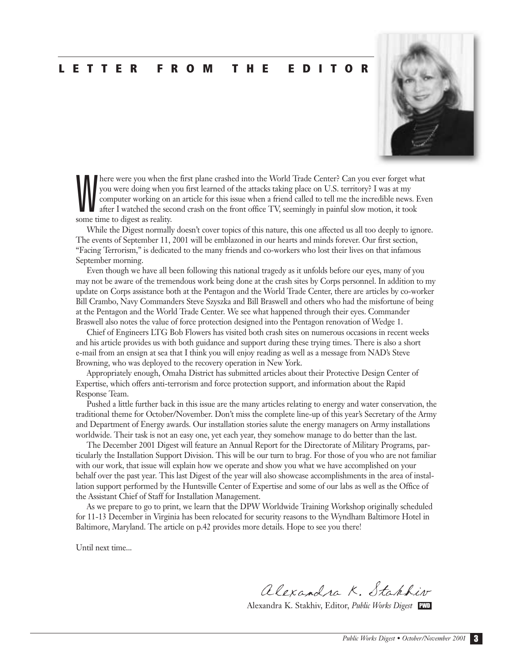#### **LETTER FROM THE EDITOR**



W here were you when the first plane crashed into the World Trade Center? Can you ever forget what you were doing when you first learned of the attacks taking place on U.S. territory? I was at my computer working on an article for this issue when a friend called to tell me the incredible news. Even after I watched the second crash on the front office TV, seemingly in painful slow motion, it took some time to digest as reality.

While the Digest normally doesn't cover topics of this nature, this one affected us all too deeply to ignore. The events of September 11, 2001 will be emblazoned in our hearts and minds forever. Our first section, "Facing Terrorism," is dedicated to the many friends and co-workers who lost their lives on that infamous September morning.

Even though we have all been following this national tragedy as it unfolds before our eyes, many of you may not be aware of the tremendous work being done at the crash sites by Corps personnel. In addition to my update on Corps assistance both at the Pentagon and the World Trade Center, there are articles by co-worker Bill Crambo, Navy Commanders Steve Szyszka and Bill Braswell and others who had the misfortune of being at the Pentagon and the World Trade Center. We see what happened through their eyes. Commander Braswell also notes the value of force protection designed into the Pentagon renovation of Wedge 1.

Chief of Engineers LTG Bob Flowers has visited both crash sites on numerous occasions in recent weeks and his article provides us with both guidance and support during these trying times. There is also a short e-mail from an ensign at sea that I think you will enjoy reading as well as a message from NAD's Steve Browning, who was deployed to the recovery operation in New York.

Appropriately enough, Omaha District has submitted articles about their Protective Design Center of Expertise, which offers anti-terrorism and force protection support, and information about the Rapid Response Team.

Pushed a little further back in this issue are the many articles relating to energy and water conservation, the traditional theme for October/November. Don't miss the complete line-up of this year's Secretary of the Army and Department of Energy awards. Our installation stories salute the energy managers on Army installations worldwide. Their task is not an easy one, yet each year, they somehow manage to do better than the last.

The December 2001 Digest will feature an Annual Report for the Directorate of Military Programs, particularly the Installation Support Division. This will be our turn to brag. For those of you who are not familiar with our work, that issue will explain how we operate and show you what we have accomplished on your behalf over the past year. This last Digest of the year will also showcase accomplishments in the area of installation support performed by the Huntsville Center of Expertise and some of our labs as well as the Office of the Assistant Chief of Staff for Installation Management.

As we prepare to go to print, we learn that the DPW Worldwide Training Workshop originally scheduled for 11-13 December in Virginia has been relocated for security reasons to the Wyndham Baltimore Hotel in Baltimore, Maryland. The article on p.42 provides more details. Hope to see you there!

Until next time...

alexandra K. Stakkir

Alexandra K. Stakhiv, Editor, *Public Works Digest* PWD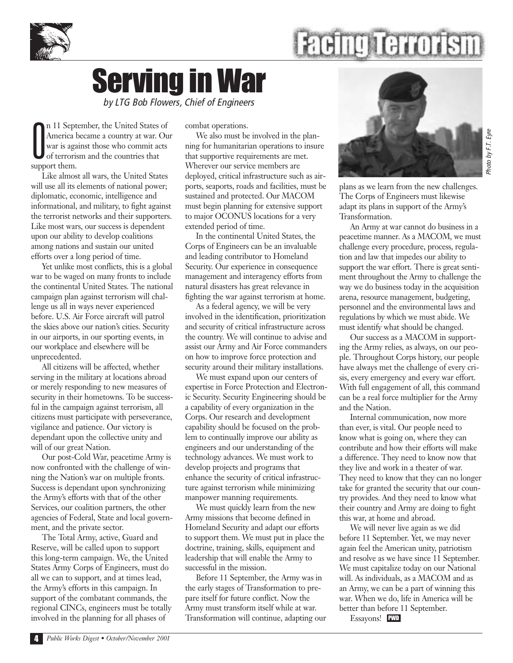



### Serving in War *by LTG Bob Flowers, Chief of Engineers*

O n 11 September, the United States of America became a country at war. Our war is against those who commit acts of terrorism and the countries that support them.

Like almost all wars, the United States will use all its elements of national power; diplomatic, economic, intelligence and informational, and military, to fight against the terrorist networks and their supporters. Like most wars, our success is dependent upon our ability to develop coalitions among nations and sustain our united efforts over a long period of time.

Yet unlike most conflicts, this is a global war to be waged on many fronts to include the continental United States. The national campaign plan against terrorism will challenge us all in ways never experienced before. U.S. Air Force aircraft will patrol the skies above our nation's cities. Security in our airports, in our sporting events, in our workplace and elsewhere will be unprecedented.

All citizens will be affected, whether serving in the military at locations abroad or merely responding to new measures of security in their hometowns. To be successful in the campaign against terrorism, all citizens must participate with perseverance, vigilance and patience. Our victory is dependant upon the collective unity and will of our great Nation.

Our post-Cold War, peacetime Army is now confronted with the challenge of winning the Nation's war on multiple fronts. Success is dependant upon synchronizing the Army's efforts with that of the other Services, our coalition partners, the other agencies of Federal, State and local government, and the private sector.

The Total Army, active, Guard and Reserve, will be called upon to support this long-term campaign. We, the United States Army Corps of Engineers, must do all we can to support, and at times lead, the Army's efforts in this campaign. In support of the combatant commands, the regional CINCs, engineers must be totally involved in the planning for all phases of

combat operations.

We also must be involved in the planning for humanitarian operations to insure that supportive requirements are met. Wherever our service members are deployed, critical infrastructure such as airports, seaports, roads and facilities, must be sustained and protected. Our MACOM must begin planning for extensive support to major OCONUS locations for a very extended period of time.

In the continental United States, the Corps of Engineers can be an invaluable and leading contributor to Homeland Security. Our experience in consequence management and interagency efforts from natural disasters has great relevance in fighting the war against terrorism at home.

As a federal agency, we will be very involved in the identification, prioritization and security of critical infrastructure across the country. We will continue to advise and assist our Army and Air Force commanders on how to improve force protection and security around their military installations.

We must expand upon our centers of expertise in Force Protection and Electronic Security. Security Engineering should be a capability of every organization in the Corps. Our research and development capability should be focused on the problem to continually improve our ability as engineers and our understanding of the technology advances. We must work to develop projects and programs that enhance the security of critical infrastructure against terrorism while minimizing manpower manning requirements.

We must quickly learn from the new Army missions that become defined in Homeland Security and adapt our efforts to support them. We must put in place the doctrine, training, skills, equipment and leadership that will enable the Army to successful in the mission.

Before 11 September, the Army was in the early stages of Transformation to prepare itself for future conflict. Now the Army must transform itself while at war. Transformation will continue, adapting our



plans as we learn from the new challenges. The Corps of Engineers must likewise adapt its plans in support of the Army's Transformation.

An Army at war cannot do business in a peacetime manner. As a MACOM, we must challenge every procedure, process, regulation and law that impedes our ability to support the war effort. There is great sentiment throughout the Army to challenge the way we do business today in the acquisition arena, resource management, budgeting, personnel and the environmental laws and regulations by which we must abide. We must identify what should be changed.

Our success as a MACOM in supporting the Army relies, as always, on our people. Throughout Corps history, our people have always met the challenge of every crisis, every emergency and every war effort. With full engagement of all, this command can be a real force multiplier for the Army and the Nation.

Internal communication, now more than ever, is vital. Our people need to know what is going on, where they can contribute and how their efforts will make a difference. They need to know now that they live and work in a theater of war. They need to know that they can no longer take for granted the security that our country provides. And they need to know what their country and Army are doing to fight this war, at home and abroad.

We will never live again as we did before 11 September. Yet, we may never again feel the American unity, patriotism and resolve as we have since 11 September. We must capitalize today on our National will. As individuals, as a MACOM and as an Army, we can be a part of winning this war. When we do, life in America will be better than before 11 September.

Essayons! PWD

*Photo by F.T. Eyre*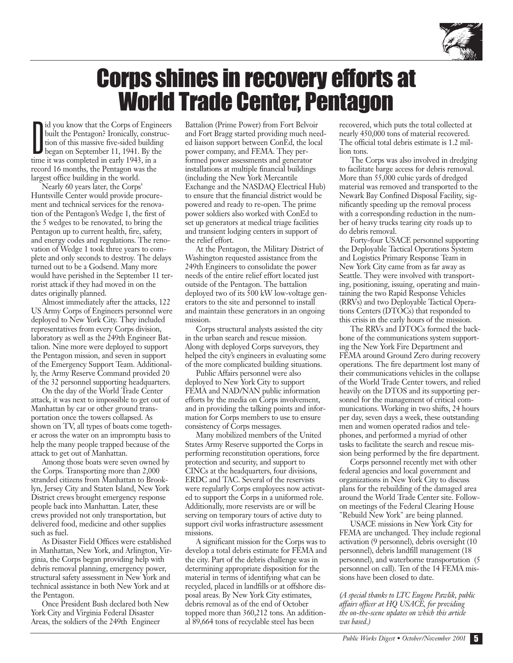

### Corps shines in recovery efforts at World Trade Center, Pentagon

D id you know that the Corps of Engineers built the Pentagon? Ironically, construction of this massive five-sided building began on September 11, 1941. By the time it was completed in early 1943, in a record 16 months, the Pentagon was the largest office building in the world.

Nearly 60 years later, the Corps' Huntsville Center would provide procurement and technical services for the renovation of the Pentagon's Wedge 1, the first of the 5 wedges to be renovated, to bring the Pentagon up to current health, fire, safety, and energy codes and regulations. The renovation of Wedge 1 took three years to complete and only seconds to destroy. The delays turned out to be a Godsend. Many more would have perished in the September 11 terrorist attack if they had moved in on the dates originally planned.

Almost immediately after the attacks, 122 US Army Corps of Engineers personnel were deployed to New York City. They included representatives from every Corps division, laboratory as well as the 249th Engineer Battalion. Nine more were deployed to support the Pentagon mission, and seven in support of the Emergency Support Team. Additionally, the Army Reserve Command provided 20 of the 32 personnel supporting headquarters.

On the day of the World Trade Center attack, it was next to impossible to get out of Manhattan by car or other ground transportation once the towers collapsed. As shown on TV, all types of boats come together across the water on an impromptu basis to help the many people trapped because of the attack to get out of Manhattan.

Among those boats were seven owned by the Corps. Transporting more than 2,000 stranded citizens from Manhattan to Brooklyn, Jersey City and Staten Island, New York District crews brought emergency response people back into Manhattan. Later, these crews provided not only transportation, but delivered food, medicine and other supplies such as fuel.

As Disaster Field Offices were established in Manhattan, New York, and Arlington, Virginia, the Corps began providing help with debris removal planning, emergency power, structural safety assessment in New York and technical assistance in both New York and at the Pentagon.

Once President Bush declared both New York City and Virginia Federal Disaster Areas, the soldiers of the 249th Engineer

Battalion (Prime Power) from Fort Belvoir and Fort Bragg started providing much needed liaison support between ConEd, the local power company, and FEMA. They performed power assessments and generator installations at multiple financial buildings (including the New York Mercantile Exchange and the NASDAQ Electrical Hub) to ensure that the financial district would be powered and ready to re-open. The prime power soldiers also worked with ConEd to set up generators at medical triage facilities and transient lodging centers in support of the relief effort.

At the Pentagon, the Military District of Washington requested assistance from the 249th Engineers to consolidate the power needs of the entire relief effort located just outside of the Pentagon. The battalion deployed two of its 500 kW low-voltage generators to the site and personnel to install and maintain these generators in an ongoing mission.

Corps structural analysts assisted the city in the urban search and rescue mission. Along with deployed Corps surveyors, they helped the city's engineers in evaluating some of the more complicated building situations.

Public Affairs personnel were also deployed to New York City to support FEMA and NAD/NAN public information efforts by the media on Corps involvement, and in providing the talking points and information for Corps members to use to ensure consistency of Corps messages.

Many mobilized members of the United States Army Reserve supported the Corps in performing reconstitution operations, force protection and security, and support to CINCs at the headquarters, four divisions, ERDC and TAC. Several of the reservists were regularly Corps employees now activated to support the Corps in a uniformed role. Additionally, more reservists are or will be serving on temporary tours of active duty to support civil works infrastructure assessment missions.

A significant mission for the Corps was to develop a total debris estimate for FEMA and the city. Part of the debris challenge was in determining appropriate disposition for the material in terms of identifying what can be recycled, placed in landfills or at offshore disposal areas. By New York City estimates, debris removal as of the end of October topped more than 360,212 tons. An additional 89,664 tons of recyclable steel has been

recovered, which puts the total collected at nearly 450,000 tons of material recovered. The official total debris estimate is 1.2 million tons.

The Corps was also involved in dredging to facilitate barge access for debris removal. More than 55,000 cubic yards of dredged material was removed and transported to the Newark Bay Confined Disposal Facility, significantly speeding up the removal process with a corresponding reduction in the number of heavy trucks tearing city roads up to do debris removal.

Forty-four USACE personnel supporting the Deployable Tactical Operations System and Logistics Primary Response Team in New York City came from as far away as Seattle. They were involved with transporting, positioning, issuing, operating and maintaining the two Rapid Response Vehicles (RRVs) and two Deployable Tactical Operations Centers (DTOCs) that responded to this crisis in the early hours of the mission.

The RRVs and DTOCs formed the backbone of the communications system supporting the New York Fire Department and FEMA around Ground Zero during recovery operations. The fire department lost many of their communications vehicles in the collapse of the World Trade Center towers, and relied heavily on the DTOS and its supporting personnel for the management of critical communications. Working in two shifts, 24 hours per day, seven days a week, these outstanding men and women operated radios and telephones, and performed a myriad of other tasks to facilitate the search and rescue mission being performed by the fire department.

Corps personnel recently met with other federal agencies and local government and organizations in New York City to discuss plans for the rebuilding of the damaged area around the World Trade Center site. Followon meetings of the Federal Clearing House "Rebuild New York" are being planned.

USACE missions in New York City for FEMA are unchanged. They include regional activation (9 personnel), debris oversight (10 personnel), debris landfill management (18 personnel), and waterborne transportation (5 personnel on call). Ten of the 14 FEMA missions have been closed to date.

*(A special thanks to LTC Eugene Pawlik, public affairs officer at HQ USACE, for providing the on-the-scene updates on which this article was based.)*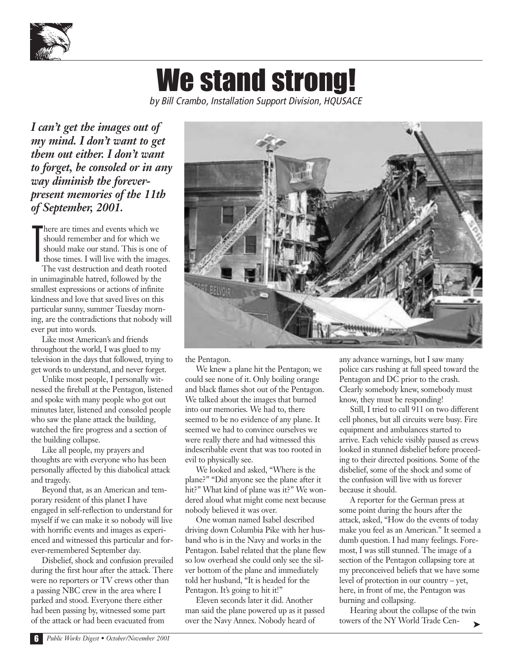

## We stand strong!

*by Bill Crambo, Installation Support Division, HQUSACE*

*I can't get the images out of my mind. I don't want to get them out either. I don't want to forget, be consoled or in any way diminish the foreverpresent memories of the 11th of September, 2001.*

T here are times and events which we should remember and for which we should make our stand. This is one of those times. I will live with the images. The vast destruction and death rooted in unimaginable hatred, followed by the

smallest expressions or actions of infinite kindness and love that saved lives on this particular sunny, summer Tuesday morning, are the contradictions that nobody will ever put into words.

Like most American's and friends throughout the world, I was glued to my television in the days that followed, trying to get words to understand, and never forget.

Unlike most people, I personally witnessed the fireball at the Pentagon, listened and spoke with many people who got out minutes later, listened and consoled people who saw the plane attack the building, watched the fire progress and a section of the building collapse.

Like all people, my prayers and thoughts are with everyone who has been personally affected by this diabolical attack and tragedy.

Beyond that, as an American and temporary resident of this planet I have engaged in self-reflection to understand for myself if we can make it so nobody will live with horrific events and images as experienced and witnessed this particular and forever-remembered September day.

Disbelief, shock and confusion prevailed during the first hour after the attack. There were no reporters or TV crews other than a passing NBC crew in the area where I parked and stood. Everyone there either had been passing by, witnessed some part of the attack or had been evacuated from



the Pentagon.

We knew a plane hit the Pentagon; we could see none of it. Only boiling orange and black flames shot out of the Pentagon. We talked about the images that burned into our memories. We had to, there seemed to be no evidence of any plane. It seemed we had to convince ourselves we were really there and had witnessed this indescribable event that was too rooted in evil to physically see.

We looked and asked, "Where is the plane?" "Did anyone see the plane after it hit?" What kind of plane was it?" We wondered aloud what might come next because nobody believed it was over.

One woman named Isabel described driving down Columbia Pike with her husband who is in the Navy and works in the Pentagon. Isabel related that the plane flew so low overhead she could only see the silver bottom of the plane and immediately told her husband, "It is headed for the Pentagon. It's going to hit it!"

Eleven seconds later it did. Another man said the plane powered up as it passed over the Navy Annex. Nobody heard of

any advance warnings, but I saw many police cars rushing at full speed toward the Pentagon and DC prior to the crash. Clearly somebody knew, somebody must know, they must be responding!

Still, I tried to call 911 on two different cell phones, but all circuits were busy. Fire equipment and ambulances started to arrive. Each vehicle visibly paused as crews looked in stunned disbelief before proceeding to their directed positions. Some of the disbelief, some of the shock and some of the confusion will live with us forever because it should.

A reporter for the German press at some point during the hours after the attack, asked, "How do the events of today make you feel as an American." It seemed a dumb question. I had many feelings. Foremost, I was still stunned. The image of a section of the Pentagon collapsing tore at my preconceived beliefs that we have some level of protection in our country – yet, here, in front of me, the Pentagon was burning and collapsing.

Hearing about the collapse of the twin towers of the NY World Trade Cen-➤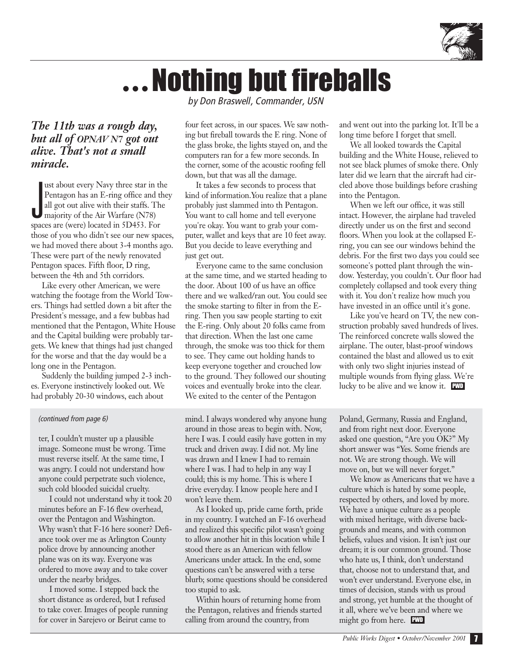

## **…**Nothing but fireballs

*by Don Braswell, Commander, USN*

#### *The 11th was a rough day, but all of OPNAV N7 got out alive. That's not a small miracle.*

ust about every Navy three star in<br>
Pentagon has an E-ring office and<br>
all got out alive with their staffs. T<br>
majority of the Air Warfare (N78) ust about every Navy three star in the Pentagon has an E-ring office and they all got out alive with their staffs. The spaces are (were) located in 5D453. For those of you who didn't see our new spaces, we had moved there about 3-4 months ago. These were part of the newly renovated Pentagon spaces. Fifth floor, D ring, between the 4th and 5th corridors.

Like every other American, we were watching the footage from the World Towers. Things had settled down a bit after the President's message, and a few bubbas had mentioned that the Pentagon, White House and the Capital building were probably targets. We knew that things had just changed for the worse and that the day would be a long one in the Pentagon.

Suddenly the building jumped 2-3 inches. Everyone instinctively looked out. We had probably 20-30 windows, each about

#### *(continued from page 6)*

ter, I couldn't muster up a plausible image. Someone must be wrong. Time must reverse itself. At the same time, I was angry. I could not understand how anyone could perpetrate such violence, such cold blooded suicidal cruelty.

I could not understand why it took 20 minutes before an F-16 flew overhead, over the Pentagon and Washington. Why wasn't that F-16 here sooner? Defiance took over me as Arlington County police drove by announcing another plane was on its way. Everyone was ordered to move away and to take cover under the nearby bridges.

I moved some. I stepped back the short distance as ordered, but I refused to take cover. Images of people running for cover in Sarejevo or Beirut came to

four feet across, in our spaces. We saw nothing but fireball towards the E ring. None of the glass broke, the lights stayed on, and the computers ran for a few more seconds. In the corner, some of the acoustic roofing fell down, but that was all the damage.

It takes a few seconds to process that kind of information.You realize that a plane probably just slammed into th Pentagon. You want to call home and tell everyone you're okay. You want to grab your computer, wallet and keys that are 10 feet away. But you decide to leave everything and just get out.

Everyone came to the same conclusion at the same time, and we started heading to the door. About 100 of us have an office there and we walked/ran out. You could see the smoke starting to filter in from the Ering. Then you saw people starting to exit the E-ring. Only about 20 folks came from that direction. When the last one came through, the smoke was too thick for them to see. They came out holding hands to keep everyone together and crouched low to the ground. They followed our shouting voices and eventually broke into the clear. We exited to the center of the Pentagon

mind. I always wondered why anyone hung around in those areas to begin with. Now, here I was. I could easily have gotten in my truck and driven away. I did not. My line was drawn and I knew I had to remain where I was. I had to help in any way I could; this is my home. This is where I drive everyday. I know people here and I won't leave them.

As I looked up, pride came forth, pride in my country. I watched an F-16 overhead and realized this specific pilot wasn't going to allow another hit in this location while I stood there as an American with fellow Americans under attack. In the end, some questions can't be answered with a terse blurb; some questions should be considered too stupid to ask.

Within hours of returning home from the Pentagon, relatives and friends started calling from around the country, from

and went out into the parking lot. It'll be a long time before I forget that smell.

We all looked towards the Capital building and the White House, relieved to not see black plumes of smoke there. Only later did we learn that the aircraft had circled above those buildings before crashing into the Pentagon.

When we left our office, it was still intact. However, the airplane had traveled directly under us on the first and second floors. When you look at the collapsed Ering, you can see our windows behind the debris. For the first two days you could see someone's potted plant through the window. Yesterday, you couldn't. Our floor had completely collapsed and took every thing with it. You don't realize how much you have invested in an office until it's gone.

Like you've heard on TV, the new construction probably saved hundreds of lives. The reinforced concrete walls slowed the airplane. The outer, blast-proof windows contained the blast and allowed us to exit with only two slight injuries instead of multiple wounds from flying glass. We're lucky to be alive and we know it. PWD

Poland, Germany, Russia and England, and from right next door. Everyone asked one question, "Are you OK?" My short answer was "Yes. Some friends are not. We are strong though. We will move on, but we will never forget."

We know as Americans that we have a culture which is hated by some people, respected by others, and loved by more. We have a unique culture as a people with mixed heritage, with diverse backgrounds and means, and with common beliefs, values and vision. It isn't just our dream; it is our common ground. Those who hate us, I think, don't understand that, choose not to understand that, and won't ever understand. Everyone else, in times of decision, stands with us proud and strong, yet humble at the thought of it all, where we've been and where we might go from here. PWD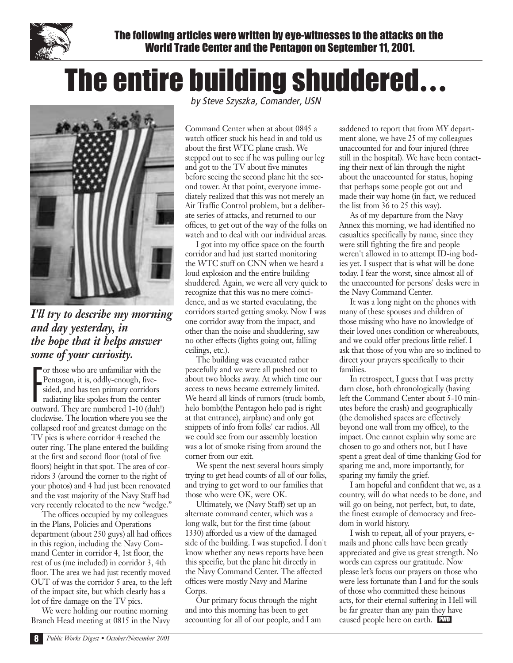

The following articles were written by eye-witnesses to the attacks on the World Trade Center and the Pentagon on September 11, 2001.

## The entire building shuddered **…**



*I'll try to describe my morning and day yesterday, in the hope that it helps answer some of your curiosity.*

F or those who are unfamiliar with the Pentagon, it is, oddly-enough, fivesided, and has ten primary corridors radiating like spokes from the center outward. They are numbered 1-10 (duh!) clockwise. The location where you see the collapsed roof and greatest damage on the TV pics is where corridor 4 reached the outer ring. The plane entered the building at the first and second floor (total of five floors) height in that spot. The area of corridors 3 (around the corner to the right of your photos) and 4 had just been renovated and the vast majority of the Navy Staff had very recently relocated to the new "wedge."

The offices occupied by my colleagues in the Plans, Policies and Operations department (about 250 guys) all had offices in this region, including the Navy Command Center in corridor 4, 1st floor, the rest of us (me included) in corridor 3, 4th floor. The area we had just recently moved OUT of was the corridor 5 area, to the left of the impact site, but which clearly has a lot of fire damage on the TV pics.

We were holding our routine morning Branch Head meeting at 0815 in the Navy *by Steve Szyszka, Comander, USN*

Command Center when at about 0845 a watch officer stuck his head in and told us about the first WTC plane crash. We stepped out to see if he was pulling our leg and got to the TV about five minutes before seeing the second plane hit the second tower. At that point, everyone immediately realized that this was not merely an Air Traffic Control problem, but a deliberate series of attacks, and returned to our offices, to get out of the way of the folks on watch and to deal with our individual areas.

I got into my office space on the fourth corridor and had just started monitoring the WTC stuff on CNN when we heard a loud explosion and the entire building shuddered. Again, we were all very quick to recognize that this was no mere coincidence, and as we started evaculating, the corridors started getting smoky. Now I was one corridor away from the impact, and other than the noise and shuddering, saw no other effects (lights going out, falling ceilings, etc.).

The building was evacuated rather peacefully and we were all pushed out to about two blocks away. At which time our access to news became extremely limited. We heard all kinds of rumors (truck bomb, helo bomb(the Pentagon helo pad is right at that entrance), airplane) and only got snippets of info from folks' car radios. All we could see from our assembly location was a lot of smoke rising from around the corner from our exit.

We spent the next several hours simply trying to get head counts of all of our folks, and trying to get word to our families that those who were OK, were OK.

Ultimately, we (Navy Staff) set up an alternate command center, which was a long walk, but for the first time (about 1330) afforded us a view of the damaged side of the building. I was stupefied. I don't know whether any news reports have been this specific, but the plane hit directly in the Navy Command Center. The affected offices were mostly Navy and Marine Corps.

Our primary focus through the night and into this morning has been to get accounting for all of our people, and I am saddened to report that from MY department alone, we have 25 of my colleagues unaccounted for and four injured (three still in the hospital). We have been contacting their next of kin through the night about the unaccounted for status, hoping that perhaps some people got out and made their way home (in fact, we reduced the list from 36 to 25 this way).

As of my departure from the Navy Annex this morning, we had identified no casualties specifically by name, since they were still fighting the fire and people weren't allowed in to attempt ID-ing bodies yet. I suspect that is what will be done today. I fear the worst, since almost all of the unaccounted for persons' desks were in the Navy Command Center.

It was a long night on the phones with many of these spouses and children of those missing who have no knowledge of their loved ones condition or whereabouts, and we could offer precious little relief. I ask that those of you who are so inclined to direct your prayers specifically to their families.

In retrospect, I guess that I was pretty darn close, both chronologically (having left the Command Center about 5-10 minutes before the crash) and geographically (the demolished spaces are effectively beyond one wall from my office), to the impact. One cannot explain why some are chosen to go and others not, but I have spent a great deal of time thanking God for sparing me and, more importantly, for sparing my family the grief.

I am hopeful and confident that we, as a country, will do what needs to be done, and will go on being, not perfect, but, to date, the finest example of democracy and freedom in world history.

I wish to repeat, all of your prayers, emails and phone calls have been greatly appreciated and give us great strength. No words can express our gratitude. Now please let's focus our prayers on those who were less fortunate than I and for the souls of those who committed these heinous acts, for their eternal suffering in Hell will be far greater than any pain they have caused people here on earth. PWD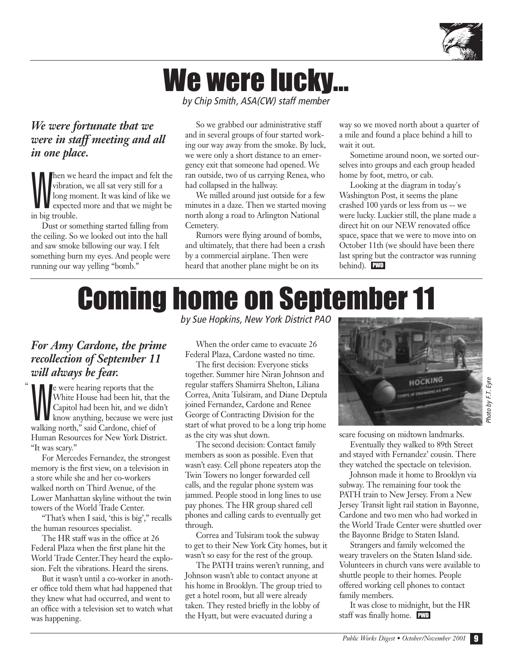

## We were lucky…

*by Chip Smith, ASA(CW) staff member*

#### *We were fortunate that we were in staff meeting and all in one place.*

W hen we heard the impact and felt the vibration, we all sat very still for a long moment. It was kind of like we expected more and that we might be in big trouble.

Dust or something started falling from the ceiling. So we looked out into the hall and saw smoke billowing our way. I felt something burn my eyes. And people were running our way yelling "bomb."

So we grabbed our administrative staff and in several groups of four started working our way away from the smoke. By luck, we were only a short distance to an emergency exit that someone had opened. We ran outside, two of us carrying Renea, who had collapsed in the hallway.

We milled around just outside for a few minutes in a daze. Then we started moving north along a road to Arlington National Cemetery.

Rumors were flying around of bombs, and ultimately, that there had been a crash by a commercial airplane. Then were heard that another plane might be on its

way so we moved north about a quarter of a mile and found a place behind a hill to wait it out.

Sometime around noon, we sorted ourselves into groups and each group headed home by foot, metro, or cab.

Looking at the diagram in today's Washington Post, it seems the plane crashed 100 yards or less from us -- we were lucky. Luckier still, the plane made a direct hit on our NEW renovated office space, space that we were to move into on October 11th (we should have been there last spring but the contractor was running behind). PWD

## Coming home on September 11

#### *For Amy Cardone, the prime recollection of September 11 will always be fear.*

 $\ddot{\phantom{0}}$ 

e were hearing reports that the<br>White House had been hit, that the<br>Capitol had been hit, and we didn't<br>Know anything, because we were just e were hearing reports that the White House had been hit, that the Capitol had been hit, and we didn't walking north," said Cardone, chief of Human Resources for New York District. "It was scary."

For Mercedes Fernandez, the strongest memory is the first view, on a television in a store while she and her co-workers walked north on Third Avenue, of the Lower Manhattan skyline without the twin towers of the World Trade Center.

"That's when I said, 'this is big'," recalls the human resources specialist.

The HR staff was in the office at 26 Federal Plaza when the first plane hit the World Trade Center.They heard the explosion. Felt the vibrations. Heard the sirens.

But it wasn't until a co-worker in another office told them what had happened that they knew what had occurred, and went to an office with a television set to watch what was happening.

*by Sue Hopkins, New York District PAO*

When the order came to evacuate 26 Federal Plaza, Cardone wasted no time.

The first decision: Everyone sticks together. Summer hire Niran Johnson and regular staffers Shamirra Shelton, Liliana Correa, Anita Tulsiram, and Diane Deptula joined Fernandez, Cardone and Renee George of Contracting Division for the start of what proved to be a long trip home as the city was shut down.

The second decision: Contact family members as soon as possible. Even that wasn't easy. Cell phone repeaters atop the Twin Towers no longer forwarded cell calls, and the regular phone system was jammed. People stood in long lines to use pay phones. The HR group shared cell phones and calling cards to eventually get through.

Correa and Tulsiram took the subway to get to their New York City homes, but it wasn't so easy for the rest of the group.

The PATH trains weren't running, and Johnson wasn't able to contact anyone at his home in Brooklyn. The group tried to get a hotel room, but all were already taken. They rested briefly in the lobby of the Hyatt, but were evacuated during a



*Photo by F.T. Eyre*

scare focusing on midtown landmarks.

Eventually they walked to 89th Street and stayed with Fernandez' cousin. There they watched the spectacle on television.

Johnson made it home to Brooklyn via subway. The remaining four took the PATH train to New Jersey. From a New Jersey Transit light rail station in Bayonne, Cardone and two men who had worked in the World Trade Center were shuttled over the Bayonne Bridge to Staten Island.

Strangers and family welcomed the weary travelers on the Staten Island side. Volunteers in church vans were available to shuttle people to their homes. People offered working cell phones to contact family members.

It was close to midnight, but the HR staff was finally home. PWD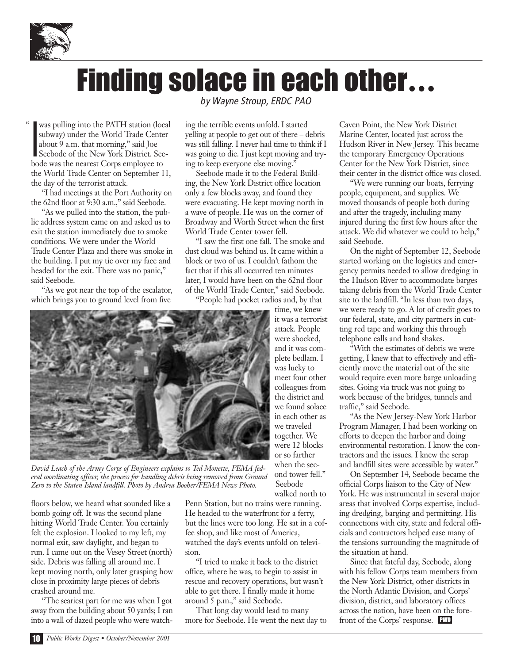

 $\mathfrak{c}$ 

## Finding solace in each other **…**

I was pulling into the PATH station (local subway) under the World Trade Center about 9 a.m. that morning," said Joe Seebode of the New York District. Seebode was the nearest Corps employee to the World Trade Center on September 11, the day of the terrorist attack.

"I had meetings at the Port Authority on the 62nd floor at 9:30 a.m.," said Seebode.

"As we pulled into the station, the public address system came on and asked us to exit the station immediately due to smoke conditions. We were under the World Trade Center Plaza and there was smoke in the building. I put my tie over my face and headed for the exit. There was no panic," said Seebode.

"As we got near the top of the escalator, which brings you to ground level from five

*by Wayne Stroup, ERDC PAO*

ing the terrible events unfold. I started yelling at people to get out of there – debris was still falling. I never had time to think if I was going to die. I just kept moving and trying to keep everyone else moving."

Seebode made it to the Federal Building, the New York District office location only a few blocks away, and found they were evacuating. He kept moving north in a wave of people. He was on the corner of Broadway and Worth Street when the first World Trade Center tower fell.

"I saw the first one fall. The smoke and dust cloud was behind us. It came within a block or two of us. I couldn't fathom the fact that if this all occurred ten minutes later, I would have been on the 62nd floor of the World Trade Center," said Seebode.

"People had pocket radios and, by that



*David Leach of the Army Corps of Engineers explains to Ted Monette, FEMA federal coordinating officer, the process for handling debris being removed from Ground Zero to the Staten Island landfill. Photo by Andrea Booher/FEMA News Photo.*

floors below, we heard what sounded like a bomb going off. It was the second plane hitting World Trade Center. You certainly felt the explosion. I looked to my left, my normal exit, saw daylight, and began to run. I came out on the Vesey Street (north) side. Debris was falling all around me. I kept moving north, only later grasping how close in proximity large pieces of debris crashed around me.

"The scariest part for me was when I got away from the building about 50 yards; I ran into a wall of dazed people who were watchtime, we knew it was a terrorist attack. People were shocked, and it was complete bedlam. I was lucky to meet four other colleagues from the district and we found solace in each other as we traveled together. We were 12 blocks or so farther when the sec-

ond tower fell." Seebode walked north to

Penn Station, but no trains were running. He headed to the waterfront for a ferry, but the lines were too long. He sat in a coffee shop, and like most of America, watched the day's events unfold on television.

"I tried to make it back to the district office, where he was, to begin to assist in rescue and recovery operations, but wasn't able to get there. I finally made it home around 5 p.m.," said Seebode.

That long day would lead to many more for Seebode. He went the next day to

Caven Point, the New York District Marine Center, located just across the Hudson River in New Jersey. This became the temporary Emergency Operations Center for the New York District, since their center in the district office was closed.

"We were running our boats, ferrying people, equipment, and supplies. We moved thousands of people both during and after the tragedy, including many injured during the first few hours after the attack. We did whatever we could to help," said Seebode.

On the night of September 12, Seebode started working on the logistics and emergency permits needed to allow dredging in the Hudson River to accommodate barges taking debris from the World Trade Center site to the landfill. "In less than two days, we were ready to go. A lot of credit goes to our federal, state, and city partners in cutting red tape and working this through telephone calls and hand shakes.

"With the estimates of debris we were getting, I knew that to effectively and efficiently move the material out of the site would require even more barge unloading sites. Going via truck was not going to work because of the bridges, tunnels and traffic," said Seebode.

"As the New Jersey-New York Harbor Program Manager, I had been working on efforts to deepen the harbor and doing environmental restoration. I know the contractors and the issues. I knew the scrap and landfill sites were accessible by water."

On September 14, Seebode became the official Corps liaison to the City of New York. He was instrumental in several major areas that involved Corps expertise, including dredging, barging and permitting. His connections with city, state and federal officials and contractors helped ease many of the tensions surrounding the magnitude of the situation at hand.

Since that fateful day, Seebode, along with his fellow Corps team members from the New York District, other districts in the North Atlantic Division, and Corps' division, district, and laboratory offices across the nation, have been on the forefront of the Corps' response. PWD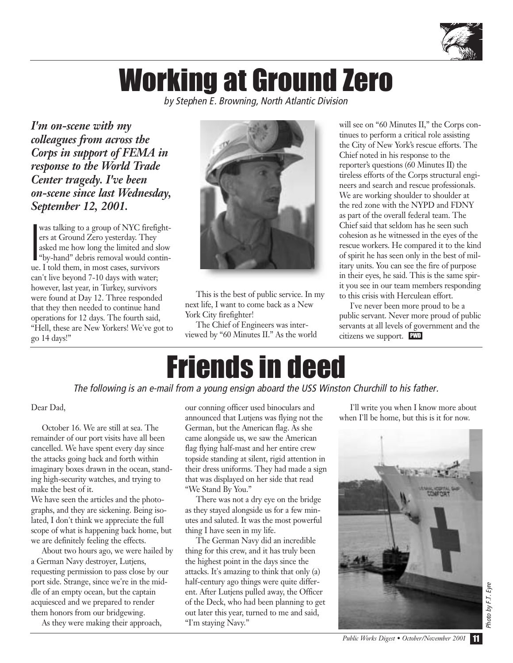

## Working at Ground Zero

*by Stephen E. Browning, North Atlantic Division*

*I'm on-scene with my colleagues from across the Corps in support of FEMA in response to the World Trade Center tragedy. I've been on-scene since last Wednesday, September 12, 2001.* 

I was talking to a group of NYC firefighters at Ground Zero yesterday. They asked me how long the limited and slow "by-hand" debris removal would continue. I told them, in most cases, survivors can't live beyond 7-10 days with water; however, last year, in Turkey, survivors were found at Day 12. Three responded that they then needed to continue hand operations for 12 days. The fourth said, "Hell, these are New Yorkers! We've got to go 14 days!"



This is the best of public service. In my next life, I want to come back as a New York City firefighter!

The Chief of Engineers was interviewed by "60 Minutes II." As the world

will see on "60 Minutes II," the Corps continues to perform a critical role assisting the City of New York's rescue efforts. The Chief noted in his response to the reporter's questions (60 Minutes II) the tireless efforts of the Corps structural engineers and search and rescue professionals. We are working shoulder to shoulder at the red zone with the NYPD and FDNY as part of the overall federal team. The Chief said that seldom has he seen such cohesion as he witnessed in the eyes of the rescue workers. He compared it to the kind of spirit he has seen only in the best of military units. You can see the fire of purpose in their eyes, he said. This is the same spirit you see in our team members responding to this crisis with Herculean effort.

I've never been more proud to be a public servant. Never more proud of public servants at all levels of government and the citizens we support. PWD

## Friends in deed

*The following is an e-mail from a young ensign aboard the USS Winston Churchill to his father.*

#### Dear Dad,

October 16. We are still at sea. The remainder of our port visits have all been cancelled. We have spent every day since the attacks going back and forth within imaginary boxes drawn in the ocean, standing high-security watches, and trying to make the best of it.

We have seen the articles and the photographs, and they are sickening. Being isolated, I don't think we appreciate the full scope of what is happening back home, but we are definitely feeling the effects.

About two hours ago, we were hailed by a German Navy destroyer, Lutjens, requesting permission to pass close by our port side. Strange, since we're in the middle of an empty ocean, but the captain acquiesced and we prepared to render them honors from our bridgewing.

As they were making their approach,

our conning officer used binoculars and announced that Lutjens was flying not the German, but the American flag. As she came alongside us, we saw the American flag flying half-mast and her entire crew topside standing at silent, rigid attention in their dress uniforms. They had made a sign that was displayed on her side that read "We Stand By You."

There was not a dry eye on the bridge as they stayed alongside us for a few minutes and saluted. It was the most powerful thing I have seen in my life.

The German Navy did an incredible thing for this crew, and it has truly been the highest point in the days since the attacks. It's amazing to think that only (a) half-century ago things were quite different. After Lutjens pulled away, the Officer of the Deck, who had been planning to get out later this year, turned to me and said, "I'm staying Navy."

I'll write you when I know more about when I'll be home, but this is it for now.



*Public Works Digest • October/November 2001* 11

*Photo by F.T. Eyre*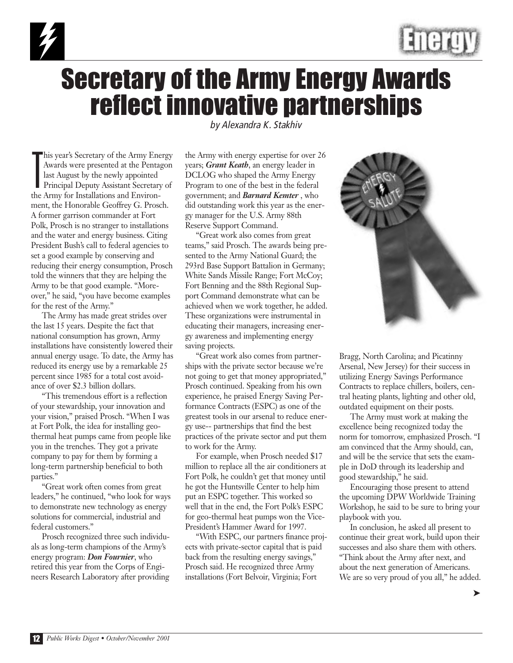



### Secretary of the Army Energy Awards reflect innovative partnerships

T his year's Secretary of the Army Energy Awards were presented at the Pentagon last August by the newly appointed Principal Deputy Assistant Secretary of the Army for Installations and Environment, the Honorable Geoffrey G. Prosch. A former garrison commander at Fort Polk, Prosch is no stranger to installations and the water and energy business. Citing President Bush's call to federal agencies to set a good example by conserving and reducing their energy consumption, Prosch told the winners that they are helping the Army to be that good example. "Moreover," he said, "you have become examples for the rest of the Army."

The Army has made great strides over the last 15 years. Despite the fact that national consumption has grown, Army installations have consistently lowered their annual energy usage. To date, the Army has reduced its energy use by a remarkable 25 percent since 1985 for a total cost avoidance of over \$2.3 billion dollars.

"This tremendous effort is a reflection of your stewardship, your innovation and your vision," praised Prosch. "When I was at Fort Polk, the idea for installing geothermal heat pumps came from people like you in the trenches. They got a private company to pay for them by forming a long-term partnership beneficial to both parties."

"Great work often comes from great leaders," he continued, "who look for ways to demonstrate new technology as energy solutions for commercial, industrial and federal customers."

Prosch recognized three such individuals as long-term champions of the Army's energy program: *Don Fournier*, who retired this year from the Corps of Engineers Research Laboratory after providing

*by Alexandra K. Stakhiv*

the Army with energy expertise for over 26 years; *Grant Keath*, an energy leader in DCLOG who shaped the Army Energy Program to one of the best in the federal government; and *Barnard Kemter* , who did outstanding work this year as the energy manager for the U.S. Army 88th Reserve Support Command.

"Great work also comes from great teams," said Prosch. The awards being presented to the Army National Guard; the 293rd Base Support Battalion in Germany; White Sands Missile Range; Fort McCoy; Fort Benning and the 88th Regional Support Command demonstrate what can be achieved when we work together, he added. These organizations were instrumental in educating their managers, increasing energy awareness and implementing energy saving projects.

"Great work also comes from partnerships with the private sector because we're not going to get that money appropriated," Prosch continued. Speaking from his own experience, he praised Energy Saving Performance Contracts (ESPC) as one of the greatest tools in our arsenal to reduce energy use-- partnerships that find the best practices of the private sector and put them to work for the Army.

For example, when Prosch needed \$17 million to replace all the air conditioners at Fort Polk, he couldn't get that money until he got the Huntsville Center to help him put an ESPC together. This worked so well that in the end, the Fort Polk's ESPC for geo-thermal heat pumps won the Vice-President's Hammer Award for 1997.

"With ESPC, our partners finance projects with private-sector capital that is paid back from the resulting energy savings," Prosch said. He recognized three Army installations (Fort Belvoir, Virginia; Fort



Bragg, North Carolina; and Picatinny Arsenal, New Jersey) for their success in utilizing Energy Savings Performance Contracts to replace chillers, boilers, central heating plants, lighting and other old, outdated equipment on their posts.

The Army must work at making the excellence being recognized today the norm for tomorrow, emphasized Prosch. "I am convinced that the Army should, can, and will be the service that sets the example in DoD through its leadership and good stewardship," he said.

Encouraging those present to attend the upcoming DPW Worldwide Training Workshop, he said to be sure to bring your playbook with you.

In conclusion, he asked all present to continue their great work, build upon their successes and also share them with others. "Think about the Army after next, and about the next generation of Americans. We are so very proud of you all," he added.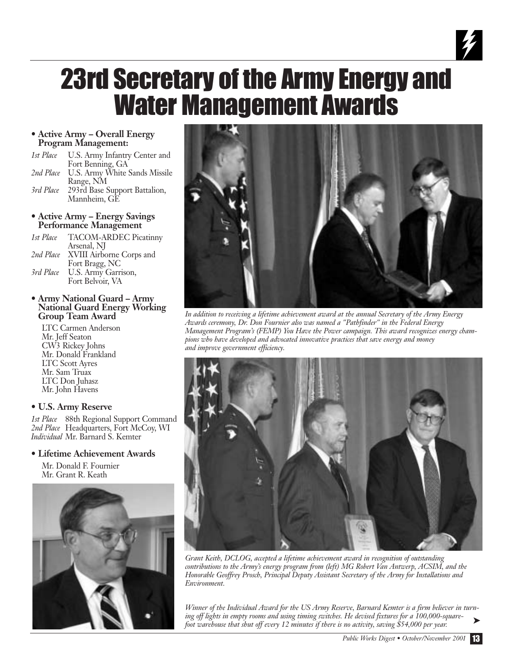### 23rd Secretary of the Army Energy and Water Management Awards

#### **• Active Army – Overall Energy Program Management:**

- *1st Place* U.S. Army Infantry Center and Fort Benning, GA *2nd Place* U.S. Army White Sands Missile Range, NM *3rd Place* 293rd Base Support Battalion, Mannheim, GE
- **Active Army Energy Savings Performance Management**

*1st Place* TACOM-ARDEC Picatinny Arsenal, NJ *2nd Place* XVIII Airborne Corps and Fort Bragg, NC *3rd Place* U.S. Army Garrison, Fort Belvoir, VA

#### **• Army National Guard – Army National Guard Energy Working Group Team Award**

LTC Carmen Anderson Mr. Jeff Seaton CW3 Rickey Johns Mr. Donald Frankland LTC Scott Ayres Mr. Sam Truax LTC Don Juhasz Mr. John Havens

#### **• U.S. Army Reserve**

*1st Place* 88th Regional Support Command 2nd Place Headquarters, Fort McCoy, WI *Individual* Mr. Barnard S. Kemter

#### **• Lifetime Achievement Awards**

Mr. Donald F. Fournier Mr. Grant R. Keath





 $\frac{1}{\gamma}$ 

*In addition to receiving a lifetime achievement award at the annual Secretary of the Army Energy Awards ceremony, Dr. Don Fournier also was named a "Pathfinder" in the Federal Energy Management Program's (FEMP) You Have the Power campaign. This award recognizes energy champions who have developed and advocated innovative practices that save energy and money and improve government efficiency.*



*Grant Keith, DCLOG, accepted a lifetime achievement award in recognition of outstanding contributions to the Army's energy program from (left) MG Robert Van Antwerp, ACSIM, and the Honorable Geoffrey Prosch, Principal Deputy Assistant Secretary of the Army for Installations and Environment.*

*Winner of the Individual Award for the US Army Reserve, Barnard Kemter is a firm believer in turning off lights in empty rooms and using timing switches. He devised fixtures for a 100,000-squarefoot warehouse that shut off every 12 minutes if there is no activity, saving \$54,000 per year.*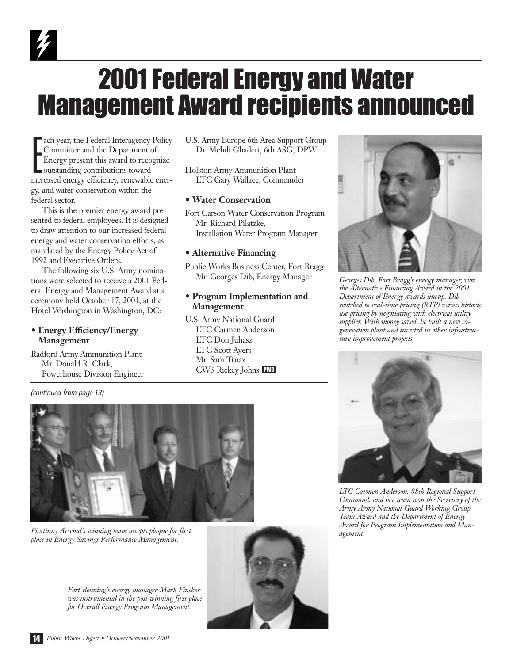## 2001 Federal Energy and Water Management Award recipients announced

E ach year, the Federal Interagency Policy Committee and the Department of Energy present this award to recognize outstanding contributions toward increased energy efficiency, renewable energy, and water conservation within the federal sector.

This is the premier energy award presented to federal employees. It is designed to draw attention to our increased federal energy and water conservation efforts, as mandated by the Energy Policy Act of 1992 and Executive Orders.

The following six U.S. Army nominations were selected to receive a 2001 Federal Energy and Management Award at a ceremony held October 17, 2001, at the Hotel Washington in Washington, DC:

#### **• Energy Efficiency/Energy Management**

Radford Army Ammunition Plant Mr. Donald R. Clark, Powerhouse Division Engineer

*(continued from page 13)*

U.S. Army Europe 6th Area Support Group Dr. Mehdi Ghaderi, 6th ASG, DPW

Holston Army Ammunition Plant LTC Gary Wallace, Commander

#### **• Water Conservation**

Fort Carson Water Conservation Program Mr. Richard Pilatzke, Installation Water Program Manager

#### **• Alternative Financing**

Public Works Business Center, Fort Bragg Mr. Georges Dib, Energy Manager

#### **• Program Implementation and Management**

U.S. Army National Guard LTC Carmen Anderson LTC Don Juhasz LTC Scott Ayers Mr. Sam Truax CW3 Rickey Johns PWD



*Georges Dib, Fort Bragg's energy manager, won the Alternative Financing Award in the 2001 Department of Energy awards lineup. Dib switched to real-time pricing (RTP) versus historic use pricing by negotiating with electrical utility supplier. With money saved, he built a new cogeneration plant and invested in other infrastructure improvement projects.* 



*LTC Carmen Anderson, 88th Regional Support Command, and her team won the Secretary of the Army Army National Guard Working Group Team Award and the Department of Energy Award for Program Implementation and Management.*



*Picatinny Arsenal's winning team accepts plaque for first place in Energy Savings Performance Management.*

*Fort Benning's energy manager Mark Fincher was instrumental in the post winning first place for Overall Energy Program Management.* 

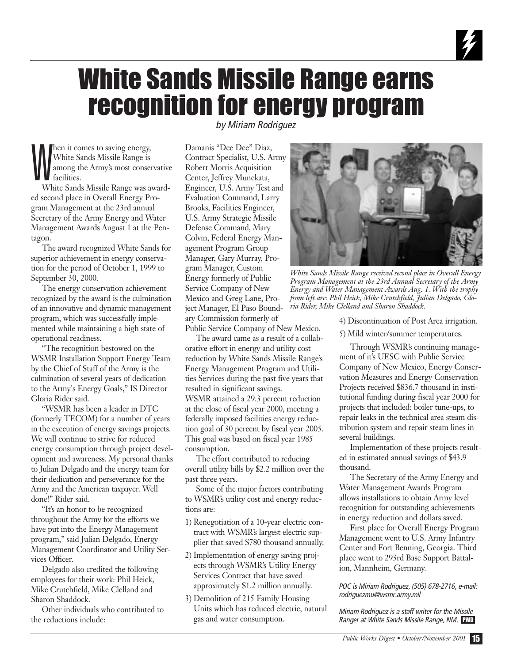### White Sands Missile Range earns recognition for energy program

W hen it comes to saving energy, White Sands Missile Range is among the Army's most conservative **facilities** 

White Sands Missile Range was awarded second place in Overall Energy Program Management at the 23rd annual Secretary of the Army Energy and Water Management Awards August 1 at the Pentagon.

The award recognized White Sands for superior achievement in energy conservation for the period of October 1, 1999 to September 30, 2000.

The energy conservation achievement recognized by the award is the culmination of an innovative and dynamic management program, which was successfully implemented while maintaining a high state of operational readiness.

"The recognition bestowed on the WSMR Installation Support Energy Team by the Chief of Staff of the Army is the culmination of several years of dedication to the Army's Energy Goals," IS Director Gloria Rider said.

"WSMR has been a leader in DTC (formerly TECOM) for a number of years in the execution of energy savings projects. We will continue to strive for reduced energy consumption through project development and awareness. My personal thanks to Julian Delgado and the energy team for their dedication and perseverance for the Army and the American taxpayer. Well done!" Rider said.

"It's an honor to be recognized throughout the Army for the efforts we have put into the Energy Management program," said Julian Delgado, Energy Management Coordinator and Utility Services Officer.

Delgado also credited the following employees for their work: Phil Heick, Mike Crutchfield, Mike Clelland and Sharon Shaddock.

Other individuals who contributed to the reductions include:

*by Miriam Rodriguez*

Damanis "Dee Dee" Diaz, Contract Specialist, U.S. Army Robert Morris Acquisition Center, Jeffrey Munekata, Engineer, U.S. Army Test and Evaluation Command, Larry Brooks, Facilities Engineer, U.S. Army Strategic Missile Defense Command, Mary Colvin, Federal Energy Management Program Group Manager, Gary Murray, Program Manager, Custom Energy formerly of Public Service Company of New Mexico and Greg Lane, Project Manager, El Paso Boundary Commission formerly of Public Service Company of New Mexico.

The award came as a result of a collab-

orative effort in energy and utility cost reduction by White Sands Missile Range's Energy Management Program and Utilities Services during the past five years that resulted in significant savings. WSMR attained a 29.3 percent reduction at the close of fiscal year 2000, meeting a federally imposed facilities energy reduction goal of 30 percent by fiscal year 2005. This goal was based on fiscal year 1985 consumption.

The effort contributed to reducing overall utility bills by \$2.2 million over the past three years.

Some of the major factors contributing to WSMR's utility cost and energy reductions are:

- 1) Renegotiation of a 10-year electric contract with WSMR's largest electric supplier that saved \$780 thousand annually.
- 2) Implementation of energy saving projects through WSMR's Utility Energy Services Contract that have saved approximately \$1.2 million annually.
- 3) Demolition of 215 Family Housing Units which has reduced electric, natural gas and water consumption.



*White Sands Missile Range received second place in Overall Energy Program Management at the 23rd Annual Secretary of the Army Energy and Water Management Awards Aug. 1. With the trophy from left are: Phil Heick, Mike Crutchfield, Julian Delgado, Gloria Rider, Mike Clelland and Sharon Shaddock.*

4) Discontinuation of Post Area irrigation.

5) Mild winter/summer temperatures.

Through WSMR's continuing management of it's UESC with Public Service Company of New Mexico, Energy Conservation Measures and Energy Conservation Projects received \$836.7 thousand in institutional funding during fiscal year 2000 for projects that included: boiler tune-ups, to repair leaks in the technical area steam distribution system and repair steam lines in several buildings.

Implementation of these projects resulted in estimated annual savings of \$43.9 thousand.

The Secretary of the Army Energy and Water Management Awards Program allows installations to obtain Army level recognition for outstanding achievements in energy reduction and dollars saved.

First place for Overall Energy Program Management went to U.S. Army Infantry Center and Fort Benning, Georgia. Third place went to 293rd Base Support Battalion, Mannheim, Germany.

*POC is Miriam Rodriguez, (505) 678-2716, e-mail: rodriguezmu@wsmr.army.mil*

*Miriam Rodriguez is a staff writer for the Missile Ranger at White Sands Missile Range, NM.* PWD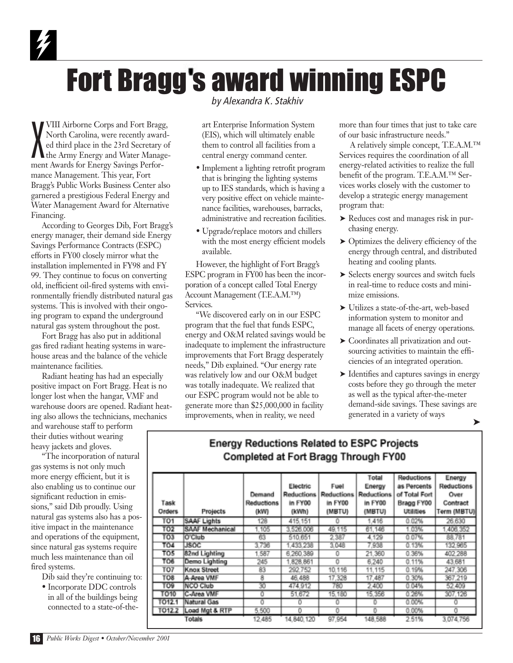## **Fort Bragg's award winning ESPC**

X VIII Airborne Corps and Fort Bragg, North Carolina, were recently awarded third place in the 23rd Secretary of the Army Energy and Water Management Awards for Energy Savings Performance Management. This year, Fort Bragg's Public Works Business Center also garnered a prestigious Federal Energy and Water Management Award for Alternative Financing.

According to Georges Dib, Fort Bragg's energy manager, their demand side Energy Savings Performance Contracts (ESPC) efforts in FY00 closely mirror what the installation implemented in FY98 and FY 99. They continue to focus on converting old, inefficient oil-fired systems with environmentally friendly distributed natural gas systems. This is involved with their ongoing program to expand the underground natural gas system throughout the post.

Fort Bragg has also put in additional gas fired radiant heating systems in warehouse areas and the balance of the vehicle maintenance facilities.

Radiant heating has had an especially positive impact on Fort Bragg. Heat is no longer lost when the hangar, VMF and warehouse doors are opened. Radiant heating also allows the technicians, mechanics

and warehouse staff to perform their duties without wearing heavy jackets and gloves.

"The incorporation of natural gas systems is not only much more energy efficient, but it is also enabling us to continue our significant reduction in emissions," said Dib proudly. Using natural gas systems also has a positive impact in the maintenance and operations of the equipment, since natural gas systems require much less maintenance than oil fired systems.

- Dib said they're continuing to:
- Incorporate DDC controls in all of the buildings being connected to a state-of-the-

*by Alexandra K. Stakhiv*

art Enterprise Information System (EIS), which will ultimately enable them to control all facilities from a central energy command center.

- Implement a lighting retrofit program that is bringing the lighting systems up to IES standards, which is having a very positive effect on vehicle maintenance facilities, warehouses, barracks, administrative and recreation facilities.
- Upgrade/replace motors and chillers with the most energy efficient models available.

However, the highlight of Fort Bragg's ESPC program in FY00 has been the incorporation of a concept called Total Energy Account Management (T.E.A.M.™) Services.

"We discovered early on in our ESPC program that the fuel that funds ESPC, energy and O&M related savings would be inadequate to implement the infrastructure improvements that Fort Bragg desperately needs," Dib explained. "Our energy rate was relatively low and our O&M budget was totally inadequate. We realized that our ESPC program would not be able to generate more than \$25,000,000 in facility improvements, when in reality, we need

more than four times that just to take care of our basic infrastructure needs."

A relatively simple concept, T.E.A.M.™ Services requires the coordination of all energy-related activities to realize the full benefit of the program. T.E.A.M.™ Services works closely with the customer to develop a strategic energy management program that:

- ➤ Reduces cost and manages risk in purchasing energy.
- ➤ Optimizes the delivery efficiency of the energy through central, and distributed heating and cooling plants.
- ➤ Selects energy sources and switch fuels in real-time to reduce costs and minimize emissions.
- ➤ Utilizes a state-of-the-art, web-based information system to monitor and manage all facets of energy operations.
- ➤ Coordinates all privatization and outsourcing activities to maintain the efficiencies of an integrated operation.
- ➤ Identifies and captures savings in energy costs before they go through the meter as well as the typical after-the-meter demand-side savings. These savings are generated in a variety of ways

| Task<br><b>Orders</b> | <b>Projects</b> | Demand<br>Reductions<br>(kW) | Electric<br><b>Reductions</b><br>in FY00<br>(kWh) | Fuel<br><b>Reductions</b><br>in FY00<br>(MBTU) | Total<br>Energy<br><b>Reductions</b><br>in FY00<br>(MBTU) | <b>Reductions</b><br>as Percents<br>of Total Fort<br>Bragg FY00<br><b>Utilities</b> | Energy<br><b>Reductions</b><br>Over<br>Contract<br>Term (MBTU) |
|-----------------------|-----------------|------------------------------|---------------------------------------------------|------------------------------------------------|-----------------------------------------------------------|-------------------------------------------------------------------------------------|----------------------------------------------------------------|
| TO <sub>1</sub>       | SAAF Lights     | 128                          | 415.151                                           |                                                | 1.416                                                     | 0.02%                                                                               | 26.630                                                         |
| TO <sub>2</sub>       | SAAF Mechanical | 1.105                        | 3.526.006                                         | 49.115                                         | 61.146                                                    | 1.03%                                                                               | 406 352                                                        |
| тоз                   | O'Club          | 63                           | 510.651                                           | 2,387                                          | 4.129                                                     | 0.07%                                                                               | 88.781                                                         |
| <b>TO4</b>            | <b>JSOC</b>     | 3.736                        | 1.433.238                                         | 3.048                                          | 7.938                                                     | 0.13%                                                                               | 132 985                                                        |
| TO <sub>5</sub>       | 82nd Lighting   | 1.587                        | 6.260.389                                         | 0                                              | 21.360                                                    | 0.36%                                                                               | 402 288                                                        |
| TO6                   | Demo Lighting   | 245                          | 828.861                                           | o                                              | 6,240                                                     | 0.11%                                                                               | 43 681                                                         |
| TO7                   | Knox Street     | 83                           | 292.752                                           | 10.116                                         | 11,115                                                    | 0.19%                                                                               | 247.306                                                        |
| TO <sub>8</sub>       | A-Area VMF      | 8                            | 46,488                                            | 17.328                                         | 17.487                                                    | 0.30%                                                                               | 367.219                                                        |
| TO9                   | <b>NCO Club</b> | 30                           | 474,912                                           | 780                                            | 2,400                                                     | 0.04%                                                                               | 52.409                                                         |
| <b>TO10</b>           | C-Area VMF      | o                            | 51,672                                            | 15.180                                         | 15,356                                                    | 0.26%                                                                               | 307.126                                                        |
| T012.1                | Natural Gas     | o                            | o                                                 | 0                                              |                                                           | 0.00%                                                                               | O                                                              |
| T012.2                | Load Mgt & RTP  | 5,500                        | o                                                 | 0                                              | n                                                         | 0.00%                                                                               | Ō                                                              |
|                       | Totals          | 12,485                       | 14,840.120                                        | 97.954                                         | 148,588                                                   | 2.51%                                                                               | 3.074.756                                                      |

#### **Energy Reductions Related to ESPC Projects** Completed at Fort Bragg Through FY00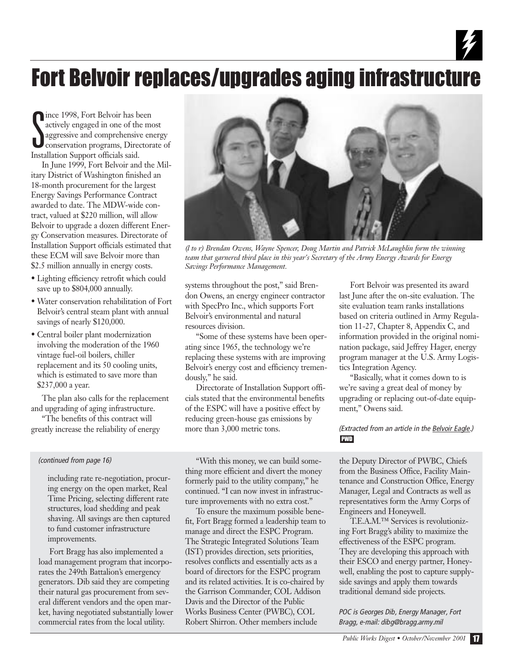### Fort Belvoir replaces/upgrades aging infrastructure

Since 1998, Fort Belvoir has been<br>
actively engaged in one of the most<br>
aggressive and comprehensive energy<br>
Leonservation programs, Directorate of ince 1998, Fort Belvoir has been actively engaged in one of the most aggressive and comprehensive energy Installation Support officials said.

In June 1999, Fort Belvoir and the Military District of Washington finished an 18-month procurement for the largest Energy Savings Performance Contract awarded to date. The MDW-wide contract, valued at \$220 million, will allow Belvoir to upgrade a dozen different Energy Conservation measures. Directorate of Installation Support officials estimated that these ECM will save Belvoir more than \$2.5 million annually in energy costs.

- Lighting efficiency retrofit which could save up to \$804,000 annually.
- Water conservation rehabilitation of Fort Belvoir's central steam plant with annual savings of nearly \$120,000.
- Central boiler plant modernization involving the moderation of the 1960 vintage fuel-oil boilers, chiller replacement and its 50 cooling units, which is estimated to save more than \$237,000 a year.

The plan also calls for the replacement and upgrading of aging infrastructure.

"The benefits of this contract will greatly increase the reliability of energy

#### *(continued from page 16)*

including rate re-negotiation, procuring energy on the open market, Real Time Pricing, selecting different rate structures, load shedding and peak shaving. All savings are then captured to fund customer infrastructure improvements.

Fort Bragg has also implemented a load management program that incorporates the 249th Battalion's emergency generators. Dib said they are competing their natural gas procurement from several different vendors and the open market, having negotiated substantially lower commercial rates from the local utility.



*(l to r) Brendan Owens, Wayne Spencer, Doug Martin and Patrick McLaughlin form the winning team that garnered third place in this year's Secretary of the Army Energy Awards for Energy Savings Performance Management.*

systems throughout the post," said Brendon Owens, an energy engineer contractor with SpecPro Inc., which supports Fort Belvoir's environmental and natural resources division.

"Some of these systems have been operating since 1965, the technology we're replacing these systems with are improving Belvoir's energy cost and efficiency tremendously," he said.

Directorate of Installation Support officials stated that the environmental benefits of the ESPC will have a positive effect by reducing green-house gas emissions by more than 3,000 metric tons.

"With this money, we can build something more efficient and divert the money formerly paid to the utility company," he continued. "I can now invest in infrastructure improvements with no extra cost."

To ensure the maximum possible benefit, Fort Bragg formed a leadership team to manage and direct the ESPC Program. The Strategic Integrated Solutions Team (IST) provides direction, sets priorities, resolves conflicts and essentially acts as a board of directors for the ESPC program and its related activities. It is co-chaired by the Garrison Commander, COL Addison Davis and the Director of the Public Works Business Center (PWBC), COL Robert Shirron. Other members include

Fort Belvoir was presented its award last June after the on-site evaluation. The site evaluation team ranks installations based on criteria outlined in Army Regulation 11-27, Chapter 8, Appendix C, and information provided in the original nomination package, said Jeffrey Hager, energy program manager at the U.S. Army Logistics Integration Agency.

"Basically, what it comes down to is we're saving a great deal of money by upgrading or replacing out-of-date equipment," Owens said.

#### *(Extracted from an article in the Belvoir Eagle.)* PWD

the Deputy Director of PWBC, Chiefs from the Business Office, Facility Maintenance and Construction Office, Energy Manager, Legal and Contracts as well as representatives form the Army Corps of Engineers and Honeywell.

T.E.A.M.™ Services is revolutionizing Fort Bragg's ability to maximize the effectiveness of the ESPC program. They are developing this approach with their ESCO and energy partner, Honeywell, enabling the post to capture supplyside savings and apply them towards traditional demand side projects.

*POC is Georges Dib, Energy Manager, Fort Bragg, e-mail: dibg@bragg.army.mil*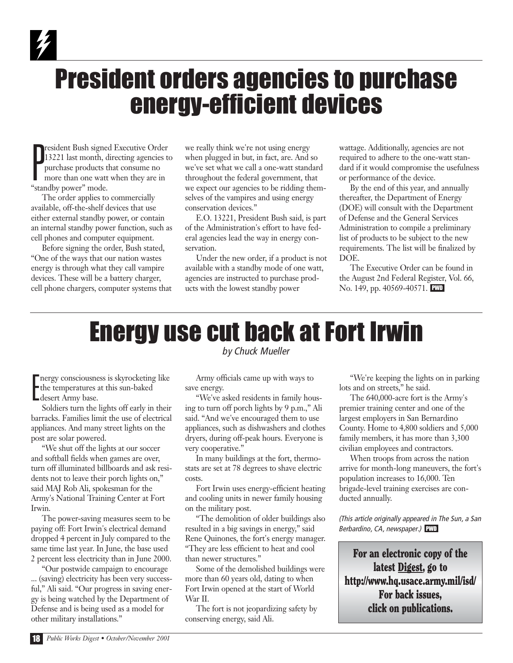### President orders agencies to purchase energy-efficient devices

P resident Bush signed Executive Order 13221 last month, directing agencies to purchase products that consume no more than one watt when they are in "standby power" mode.

The order applies to commercially available, off-the-shelf devices that use either external standby power, or contain an internal standby power function, such as cell phones and computer equipment.

Before signing the order, Bush stated, "One of the ways that our nation wastes energy is through what they call vampire devices. These will be a battery charger, cell phone chargers, computer systems that we really think we're not using energy when plugged in but, in fact, are. And so we've set what we call a one-watt standard throughout the federal government, that we expect our agencies to be ridding themselves of the vampires and using energy conservation devices."

E.O. 13221, President Bush said, is part of the Administration's effort to have federal agencies lead the way in energy conservation.

Under the new order, if a product is not available with a standby mode of one watt, agencies are instructed to purchase products with the lowest standby power

wattage. Additionally, agencies are not required to adhere to the one-watt standard if it would compromise the usefulness or performance of the device.

By the end of this year, and annually thereafter, the Department of Energy (DOE) will consult with the Department of Defense and the General Services Administration to compile a preliminary list of products to be subject to the new requirements. The list will be finalized by DOE.

The Executive Order can be found in the August 2nd Federal Register, Vol. 66, No. 149, pp. 40569-40571. PWD

### Energy use cut back at Fort Irwin *by Chuck Mueller*

Thergy consciousnes<br>the temperatures :<br>desert Army base. nergy consciousness is skyrocketing like the temperatures at this sun-baked

Soldiers turn the lights off early in their barracks. Families limit the use of electrical appliances. And many street lights on the post are solar powered.

"We shut off the lights at our soccer and softball fields when games are over, turn off illuminated billboards and ask residents not to leave their porch lights on," said MAJ Rob Ali, spokesman for the Army's National Training Center at Fort Irwin.

The power-saving measures seem to be paying off: Fort Irwin's electrical demand dropped 4 percent in July compared to the same time last year. In June, the base used 2 percent less electricity than in June 2000.

"Our postwide campaign to encourage ... (saving) electricity has been very successful," Ali said. "Our progress in saving energy is being watched by the Department of Defense and is being used as a model for other military installations."

Army officials came up with ways to save energy.

"We've asked residents in family housing to turn off porch lights by 9 p.m.," Ali said. "And we've encouraged them to use appliances, such as dishwashers and clothes dryers, during off-peak hours. Everyone is very cooperative."

In many buildings at the fort, thermostats are set at 78 degrees to shave electric costs.

Fort Irwin uses energy-efficient heating and cooling units in newer family housing on the military post.

"The demolition of older buildings also resulted in a big savings in energy," said Rene Quinones, the fort's energy manager. "They are less efficient to heat and cool than newer structures."

Some of the demolished buildings were more than 60 years old, dating to when Fort Irwin opened at the start of World War II.

The fort is not jeopardizing safety by conserving energy, said Ali.

"We're keeping the lights on in parking lots and on streets," he said.

The 640,000-acre fort is the Army's premier training center and one of the largest employers in San Bernardino County. Home to 4,800 soldiers and 5,000 family members, it has more than 3,300 civilian employees and contractors.

When troops from across the nation arrive for month-long maneuvers, the fort's population increases to 16,000. Ten brigade-level training exercises are conducted annually.

*(This article originally appeared in The Sun, a San Berbardino, CA, newspaper.)* PWD

For an electronic copy of the latest Digest, go to http://www.hq.usace.army.mil/isd/ For back issues, click on publications.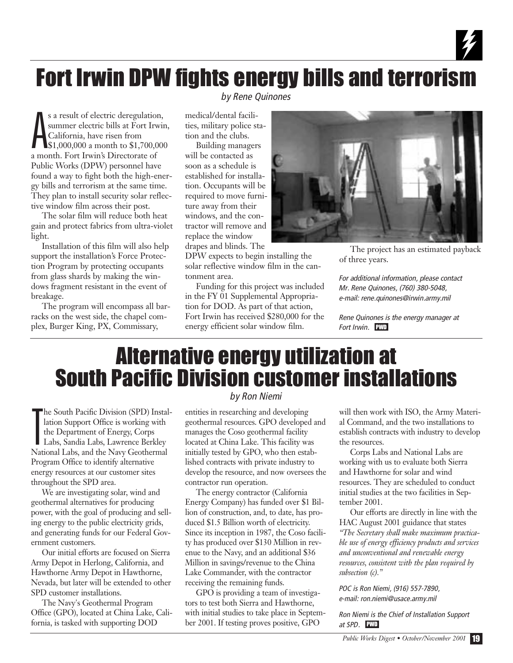### Fort Irwin DPW fights energy bills and terrorism

A s a result of electric deregulation, summer electric bills at Fort Irwin, California, have risen from \$1,000,000 a month to \$1,700,000 a month. Fort Irwin's Directorate of Public Works (DPW) personnel have found a way to fight both the high-energy bills and terrorism at the same time. They plan to install security solar reflective window film across their post.

The solar film will reduce both heat gain and protect fabrics from ultra-violet light.

Installation of this film will also help support the installation's Force Protection Program by protecting occupants from glass shards by making the windows fragment resistant in the event of breakage.

The program will encompass all barracks on the west side, the chapel complex, Burger King, PX, Commissary,

*by Rene Quinones*

medical/dental facilities, military police station and the clubs.

Building managers will be contacted as soon as a schedule is established for installation. Occupants will be required to move furniture away from their windows, and the contractor will remove and replace the window drapes and blinds. The

DPW expects to begin installing the solar reflective window film in the cantonment area.

Funding for this project was included in the FY 01 Supplemental Appropriation for DOD. As part of that action, Fort Irwin has received \$280,000 for the energy efficient solar window film.



The project has an estimated payback of three years.

4

*For additional information, please contact Mr. Rene Quinones, (760) 380-5048, e-mail: rene.quinones@irwin.army.mil*

*Rene Quinones is the energy manager at Fort Irwin.* PWD

### Alternative energy utilization at South Pacific Division customer installations

T he South Pacific Division (SPD) Installation Support Office is working with the Department of Energy, Corps Labs, Sandia Labs, Lawrence Berkley National Labs, and the Navy Geothermal Program Office to identify alternative energy resources at our customer sites throughout the SPD area.

We are investigating solar, wind and geothermal alternatives for producing power, with the goal of producing and selling energy to the public electricity grids, and generating funds for our Federal Government customers.

Our initial efforts are focused on Sierra Army Depot in Herlong, California, and Hawthorne Army Depot in Hawthorne, Nevada, but later will be extended to other SPD customer installations.

The Navy's Geothermal Program Office (GPO), located at China Lake, California, is tasked with supporting DOD

#### *by Ron Niemi*

entities in researching and developing geothermal resources. GPO developed and manages the Coso geothermal facility located at China Lake. This facility was initially tested by GPO, who then established contracts with private industry to develop the resource, and now oversees the contractor run operation.

The energy contractor (California Energy Company) has funded over \$1 Billion of construction, and, to date, has produced \$1.5 Billion worth of electricity. Since its inception in 1987, the Coso facility has produced over \$130 Million in revenue to the Navy, and an additional \$36 Million in savings/revenue to the China Lake Commander, with the contractor receiving the remaining funds.

GPO is providing a team of investigators to test both Sierra and Hawthorne, with initial studies to take place in September 2001. If testing proves positive, GPO

will then work with ISO, the Army Material Command, and the two installations to establish contracts with industry to develop the resources.

Corps Labs and National Labs are working with us to evaluate both Sierra and Hawthorne for solar and wind resources. They are scheduled to conduct initial studies at the two facilities in September 2001.

Our efforts are directly in line with the HAC August 2001 guidance that states *"The Secretary shall make maximum practicable use of energy efficiency products and services and unconventional and renewable energy resources, consistent with the plan required by subsection (c)."*

*POC is Ron Niemi, (916) 557-7890, e-mail: ron.niemi@usace.army.mil*

*Ron Niemi is the Chief of Installation Support at SPD.* PWD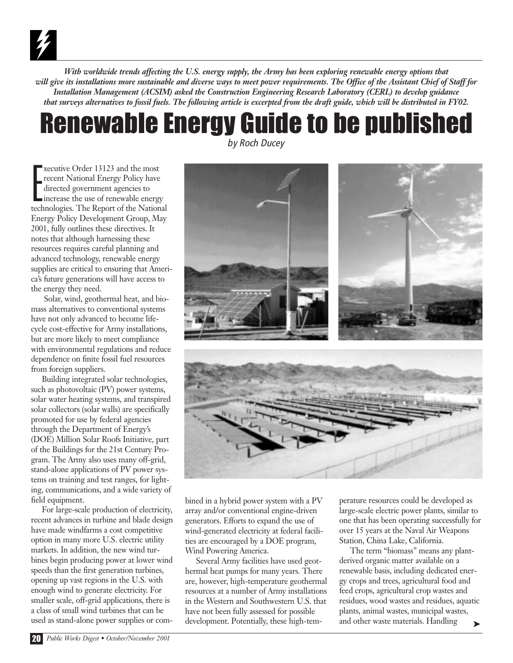*With worldwide trends affecting the U.S. energy supply, the Army has been exploring renewable energy options that will give its installations more sustainable and diverse ways to meet power requirements. The Office of the Assistant Chief of Staff for Installation Management (ACSIM) asked the Construction Engineering Research Laboratory (CERL) to develop guidance that surveys alternatives to fossil fuels. The following article is excerpted from the draft guide, which will be distributed in FY02.*

## Renewable Energy Guide to be published

E xecutive Order 13123 and the most recent National Energy Policy have directed government agencies to increase the use of renewable energy technologies. The Report of the National Energy Policy Development Group, May 2001, fully outlines these directives. It notes that although harnessing these resources requires careful planning and advanced technology, renewable energy supplies are critical to ensuring that America's future generations will have access to the energy they need.

Solar, wind, geothermal heat, and biomass alternatives to conventional systems have not only advanced to become lifecycle cost-effective for Army installations, but are more likely to meet compliance with environmental regulations and reduce dependence on finite fossil fuel resources from foreign suppliers.

Building integrated solar technologies, such as photovoltaic (PV) power systems, solar water heating systems, and transpired solar collectors (solar walls) are specifically promoted for use by federal agencies through the Department of Energy's (DOE) Million Solar Roofs Initiative, part of the Buildings for the 21st Century Program. The Army also uses many off-grid, stand-alone applications of PV power systems on training and test ranges, for lighting, communications, and a wide variety of field equipment.

For large-scale production of electricity, recent advances in turbine and blade design have made windfarms a cost competitive option in many more U.S. electric utility markets. In addition, the new wind turbines begin producing power at lower wind speeds than the first generation turbines, opening up vast regions in the U.S. with enough wind to generate electricity. For smaller scale, off-grid applications, there is a class of small wind turbines that can be used as stand-alone power supplies or com*by Roch Ducey*



bined in a hybrid power system with a PV array and/or conventional engine-driven generators. Efforts to expand the use of wind-generated electricity at federal facilities are encouraged by a DOE program, Wind Powering America.

Several Army facilities have used geothermal heat pumps for many years. There are, however, high-temperature geothermal resources at a number of Army installations in the Western and Southwestern U.S. that have not been fully assessed for possible development. Potentially, these high-tem-

perature resources could be developed as large-scale electric power plants, similar to one that has been operating successfully for over 15 years at the Naval Air Weapons Station, China Lake, California.

The term "biomass" means any plantderived organic matter available on a renewable basis, including dedicated energy crops and trees, agricultural food and feed crops, agricultural crop wastes and residues, wood wastes and residues, aquatic plants, animal wastes, municipal wastes, and other waste materials. Handling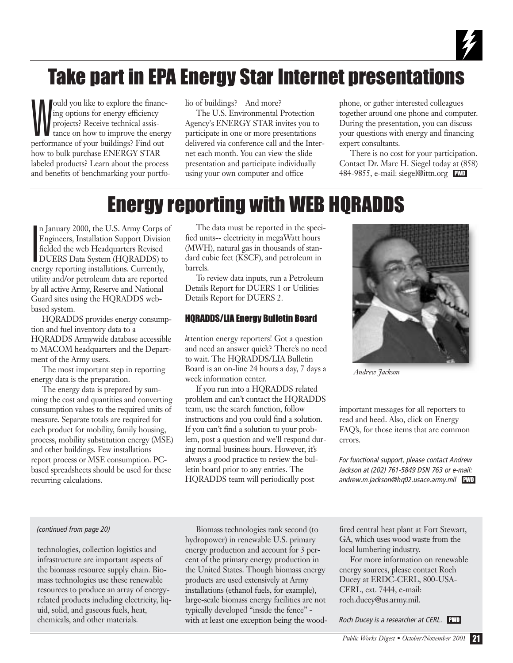

### Take part in EPA Energy Star Internet presentations

W ould you like to explore the financing options for energy efficiency projects? Receive technical assistance on how to improve the energy performance of your buildings? Find out how to bulk purchase ENERGY STAR labeled products? Learn about the process and benefits of benchmarking your portfo-

lio of buildings? And more?

The U.S. Environmental Protection Agency's ENERGY STAR invites you to participate in one or more presentations delivered via conference call and the Internet each month. You can view the slide presentation and participate individually using your own computer and office

phone, or gather interested colleagues together around one phone and computer. During the presentation, you can discuss your questions with energy and financing expert consultants.

There is no cost for your participation. Contact Dr. Marc H. Siegel today at (858) 484-9855, e-mail: siegel@ittn.org PWD

### Energy reporting with WEB HQRADDS

I n January 2000, the U.S. Army Corps of Engineers, Installation Support Division fielded the web Headquarters Revised DUERS Data System (HQRADDS) to energy reporting installations. Currently, utility and/or petroleum data are reported by all active Army, Reserve and National Guard sites using the HQRADDS webbased system.

HQRADDS provides energy consumption and fuel inventory data to a HQRADDS Armywide database accessible to MACOM headquarters and the Department of the Army users.

The most important step in reporting energy data is the preparation.

The energy data is prepared by summing the cost and quantities and converting consumption values to the required units of measure. Separate totals are required for each product for mobility, family housing, process, mobility substitution energy (MSE) and other buildings. Few installations report process or MSE consumption. PCbased spreadsheets should be used for these recurring calculations.

The data must be reported in the specified units-- electricity in megaWatt hours (MWH), natural gas in thousands of standard cubic feet (KSCF), and petroleum in barrels.

To review data inputs, run a Petroleum Details Report for DUERS 1 or Utilities Details Report for DUERS 2.

#### HQRADDS/LIA Energy Bulletin Board

Attention energy reporters! Got a question and need an answer quick? There's no need to wait. The HQRADDS/LIA Bulletin Board is an on-line 24 hours a day, 7 days a week information center.

If you run into a HQRADDS related problem and can't contact the HQRADDS team, use the search function, follow instructions and you could find a solution. If you can't find a solution to your problem, post a question and we'll respond during normal business hours. However, it's always a good practice to review the bulletin board prior to any entries. The HQRADDS team will periodically post



*Andrew Jackson*

important messages for all reporters to read and heed. Also, click on Energy FAQ's, for those items that are common errors.

*For functional support, please contact Andrew Jackson at (202) 761-5849 DSN 763 or e-mail: andrew.m.jackson@hq02.usace.army.mil* PWD

#### *(continued from page 20)*

technologies, collection logistics and infrastructure are important aspects of the biomass resource supply chain. Biomass technologies use these renewable resources to produce an array of energyrelated products including electricity, liquid, solid, and gaseous fuels, heat, chemicals, and other materials.

Biomass technologies rank second (to hydropower) in renewable U.S. primary energy production and account for 3 percent of the primary energy production in the United States. Though biomass energy products are used extensively at Army installations (ethanol fuels, for example), large-scale biomass energy facilities are not typically developed "inside the fence" with at least one exception being the wood-

fired central heat plant at Fort Stewart, GA, which uses wood waste from the local lumbering industry.

For more information on renewable energy sources, please contact Roch Ducey at ERDC-CERL, 800-USA-CERL, ext. 7444, e-mail: roch.ducey@us.army.mil.

*Roch Ducey is a researcher at CERL.* PWD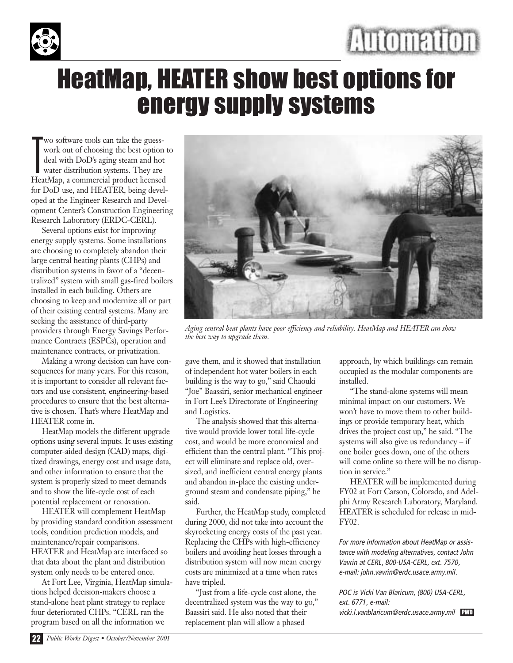



### HeatMap, HEATER show best options for energy supply systems

T wo software tools can take the guesswork out of choosing the best option to deal with DoD's aging steam and hot water distribution systems. They are HeatMap, a commercial product licensed for DoD use, and HEATER, being developed at the Engineer Research and Development Center's Construction Engineering Research Laboratory (ERDC-CERL).

Several options exist for improving energy supply systems. Some installations are choosing to completely abandon their large central heating plants (CHPs) and distribution systems in favor of a "decentralized" system with small gas-fired boilers installed in each building. Others are choosing to keep and modernize all or part of their existing central systems. Many are seeking the assistance of third-party providers through Energy Savings Performance Contracts (ESPCs), operation and maintenance contracts, or privatization.

Making a wrong decision can have consequences for many years. For this reason, it is important to consider all relevant factors and use consistent, engineering-based procedures to ensure that the best alternative is chosen. That's where HeatMap and HEATER come in.

HeatMap models the different upgrade options using several inputs. It uses existing computer-aided design (CAD) maps, digitized drawings, energy cost and usage data, and other information to ensure that the system is properly sized to meet demands and to show the life-cycle cost of each potential replacement or renovation.

HEATER will complement HeatMap by providing standard condition assessment tools, condition prediction models, and maintenance/repair comparisons. HEATER and HeatMap are interfaced so that data about the plant and distribution system only needs to be entered once.

At Fort Lee, Virginia, HeatMap simulations helped decision-makers choose a stand-alone heat plant strategy to replace four deteriorated CHPs. "CERL ran the program based on all the information we



*Aging central heat plants have poor efficiency and reliability. HeatMap and HEATER can show the best way to upgrade them.*

gave them, and it showed that installation of independent hot water boilers in each building is the way to go," said Chaouki "Joe" Baassiri, senior mechanical engineer in Fort Lee's Directorate of Engineering and Logistics.

The analysis showed that this alternative would provide lower total life-cycle cost, and would be more economical and efficient than the central plant. "This project will eliminate and replace old, oversized, and inefficient central energy plants and abandon in-place the existing underground steam and condensate piping," he said.

Further, the HeatMap study, completed during 2000, did not take into account the skyrocketing energy costs of the past year. Replacing the CHPs with high-efficiency boilers and avoiding heat losses through a distribution system will now mean energy costs are minimized at a time when rates have tripled.

"Just from a life-cycle cost alone, the decentralized system was the way to go," Baassiri said. He also noted that their replacement plan will allow a phased

approach, by which buildings can remain occupied as the modular components are installed.

"The stand-alone systems will mean minimal impact on our customers. We won't have to move them to other buildings or provide temporary heat, which drives the project cost up," he said. "The systems will also give us redundancy – if one boiler goes down, one of the others will come online so there will be no disruption in service."

HEATER will be implemented during FY02 at Fort Carson, Colorado, and Adelphi Army Research Laboratory, Maryland. HEATER is scheduled for release in mid-FY02.

*For more information about HeatMap or assistance with modeling alternatives, contact John Vavrin at CERL, 800-USA-CERL, ext. 7570, e-mail: john.vavrin@erdc.usace.army.mil.* 

*POC is Vicki Van Blaricum, (800) USA-CERL, ext. 6771, e-mail: vicki.l.vanblaricum@erdc.usace.army.mil* PWD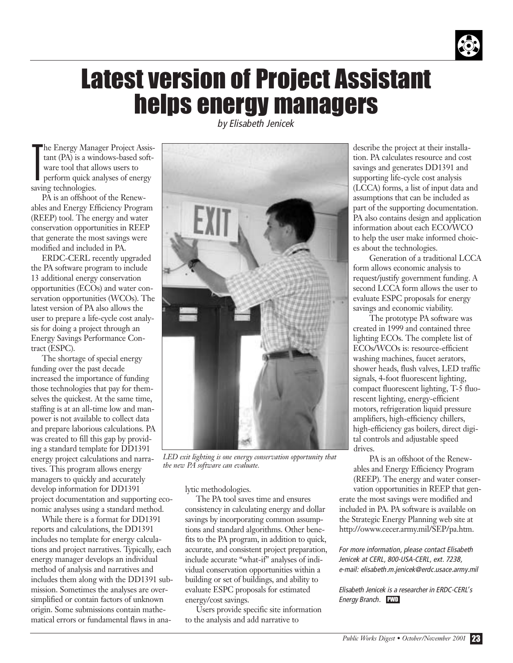

### Latest version of Project Assistant helps energy managers

T he Energy Manager Project Assistant (PA) is a windows-based software tool that allows users to perform quick analyses of energy saving technologies.

PA is an offshoot of the Renewables and Energy Efficiency Program (REEP) tool. The energy and water conservation opportunities in REEP that generate the most savings were modified and included in PA.

ERDC-CERL recently upgraded the PA software program to include 13 additional energy conservation opportunities (ECOs) and water conservation opportunities (WCOs). The latest version of PA also allows the user to prepare a life-cycle cost analysis for doing a project through an Energy Savings Performance Contract (ESPC).

The shortage of special energy funding over the past decade increased the importance of funding those technologies that pay for themselves the quickest. At the same time, staffing is at an all-time low and manpower is not available to collect data and prepare laborious calculations. PA was created to fill this gap by providing a standard template for DD1391 energy project calculations and narratives. This program allows energy managers to quickly and accurately develop information for DD1391 project documentation and supporting economic analyses using a standard method.

While there is a format for DD1391 reports and calculations, the DD1391 includes no template for energy calculations and project narratives. Typically, each energy manager develops an individual method of analysis and narratives and includes them along with the DD1391 submission. Sometimes the analyses are oversimplified or contain factors of unknown origin. Some submissions contain mathematical errors or fundamental flaws in ana*by Elisabeth Jenicek*



*LED exit lighting is one energy conservation opportunity that the new PA software can evaluate.*

lytic methodologies.

The PA tool saves time and ensures consistency in calculating energy and dollar savings by incorporating common assumptions and standard algorithms. Other benefits to the PA program, in addition to quick, accurate, and consistent project preparation, include accurate "what-if" analyses of individual conservation opportunities within a building or set of buildings, and ability to evaluate ESPC proposals for estimated energy/cost savings.

Users provide specific site information to the analysis and add narrative to

describe the project at their installation. PA calculates resource and cost savings and generates DD1391 and supporting life-cycle cost analysis (LCCA) forms, a list of input data and assumptions that can be included as part of the supporting documentation. PA also contains design and application information about each ECO/WCO to help the user make informed choices about the technologies.

Generation of a traditional LCCA form allows economic analysis to request/justify government funding. A second LCCA form allows the user to evaluate ESPC proposals for energy savings and economic viability.

The prototype PA software was created in 1999 and contained three lighting ECOs. The complete list of ECOs/WCOs is: resource-efficient washing machines, faucet aerators, shower heads, flush valves, LED traffic signals, 4-foot fluorescent lighting, compact fluorescent lighting, T-5 fluorescent lighting, energy-efficient motors, refrigeration liquid pressure amplifiers, high-efficiency chillers, high-efficiency gas boilers, direct digital controls and adjustable speed drives.

PA is an offshoot of the Renewables and Energy Efficiency Program (REEP). The energy and water conser-

vation opportunities in REEP that generate the most savings were modified and included in PA. PA software is available on the Strategic Energy Planning web site at http://owww.cecer.army.mil/SEP/pa.htm.

*For more information, please contact Elisabeth Jenicek at CERL, 800-USA-CERL, ext. 7238, e-mail: elisabeth.m.jenicek@erdc.usace.army.mil*

*Elisabeth Jenicek is a researcher in ERDC-CERL's Energy Branch.* PWD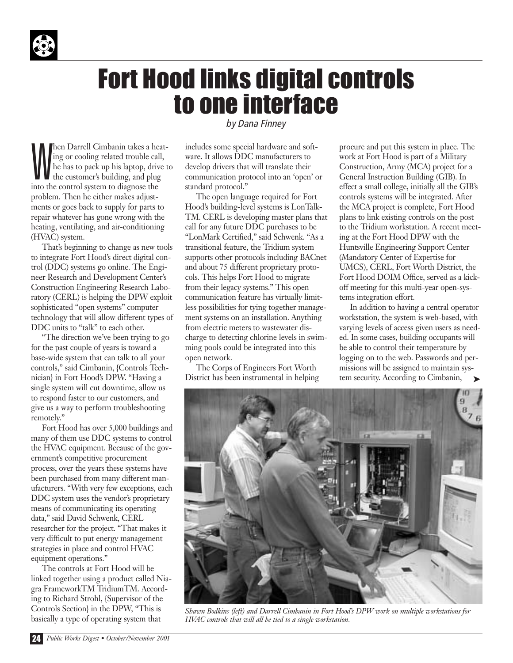

### Fort Hood links digital controls to one interface

W hen Darrell Cimbanin takes a heating or cooling related trouble call, he has to pack up his laptop, drive to the customer's building, and plug into the control system to diagnose the problem. Then he either makes adjustments or goes back to supply for parts to repair whatever has gone wrong with the heating, ventilating, and air-conditioning (HVAC) system.

That's beginning to change as new tools to integrate Fort Hood's direct digital control (DDC) systems go online. The Engineer Research and Development Center's Construction Engineering Research Laboratory (CERL) is helping the DPW exploit sophisticated "open systems" computer technology that will allow different types of DDC units to "talk" to each other.

"The direction we've been trying to go for the past couple of years is toward a base-wide system that can talk to all your controls," said Cimbanin, {Controls Technician} in Fort Hood's DPW. "Having a single system will cut downtime, allow us to respond faster to our customers, and give us a way to perform troubleshooting remotely."

Fort Hood has over 5,000 buildings and many of them use DDC systems to control the HVAC equipment. Because of the government's competitive procurement process, over the years these systems have been purchased from many different manufacturers. "With very few exceptions, each DDC system uses the vendor's proprietary means of communicating its operating data," said David Schwenk, CERL researcher for the project. "That makes it very difficult to put energy management strategies in place and control HVAC equipment operations."

The controls at Fort Hood will be linked together using a product called Niagra FrameworkTM TridiumTM. According to Richard Strohl, {Supervisor of the Controls Section} in the DPW, "This is basically a type of operating system that

*by Dana Finney*

includes some special hardware and software. It allows DDC manufacturers to develop drivers that will translate their communication protocol into an 'open' or standard protocol."

The open language required for Fort Hood's building-level systems is LonTalk-TM. CERL is developing master plans that call for any future DDC purchases to be "LonMark Certified," said Schwenk. "As a transitional feature, the Tridium system supports other protocols including BACnet and about 75 different proprietary protocols. This helps Fort Hood to migrate from their legacy systems." This open communication feature has virtually limitless possibilities for tying together management systems on an installation. Anything from electric meters to wastewater discharge to detecting chlorine levels in swimming pools could be integrated into this open network.

The Corps of Engineers Fort Worth District has been instrumental in helping procure and put this system in place. The work at Fort Hood is part of a Military Construction, Army (MCA) project for a General Instruction Building (GIB). In effect a small college, initially all the GIB's controls systems will be integrated. After the MCA project is complete, Fort Hood plans to link existing controls on the post to the Tridium workstation. A recent meeting at the Fort Hood DPW with the Huntsville Engineering Support Center (Mandatory Center of Expertise for UMCS), CERL, Fort Worth District, the Fort Hood DOIM Office, served as a kickoff meeting for this multi-year open-systems integration effort.

In addition to having a central operator workstation, the system is web-based, with varying levels of access given users as needed. In some cases, building occupants will be able to control their temperature by logging on to the web. Passwords and permissions will be assigned to maintain system security. According to Cimbanin,



*Shawn Bodkins (left) and Darrell Cimbanin in Fort Hood's DPW work on multiple workstations for HVAC controls that will all be tied to a single workstation.*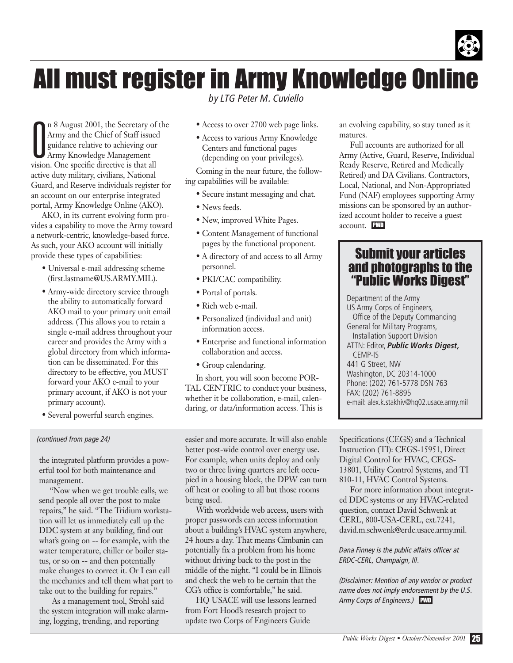

### All must register in Army Knowledge Online

*by LTG Peter M. Cuviello*

O n 8 August 2001, the Secretary of the Army and the Chief of Staff issued guidance relative to achieving our Army Knowledge Management vision. One specific directive is that all active duty military, civilians, National Guard, and Reserve individuals register for an account on our enterprise integrated portal, Army Knowledge Online (AKO).

AKO, in its current evolving form provides a capability to move the Army toward a network-centric, knowledge-based force. As such, your AKO account will initially provide these types of capabilities:

- Universal e-mail addressing scheme (first.lastname@US.ARMY.MIL).
- Army-wide directory service through the ability to automatically forward AKO mail to your primary unit email address. (This allows you to retain a single e-mail address throughout your career and provides the Army with a global directory from which information can be disseminated. For this directory to be effective, you MUST forward your AKO e-mail to your primary account, if AKO is not your primary account).
- Several powerful search engines.

#### *(continued from page 24)*

the integrated platform provides a powerful tool for both maintenance and management.

"Now when we get trouble calls, we send people all over the post to make repairs," he said. "The Tridium workstation will let us immediately call up the DDC system at any building, find out what's going on -- for example, with the water temperature, chiller or boiler status, or so on -- and then potentially make changes to correct it. Or I can call the mechanics and tell them what part to take out to the building for repairs."

As a management tool, Strohl said the system integration will make alarming, logging, trending, and reporting

- Access to over 2700 web page links.
- Access to various Army Knowledge Centers and functional pages (depending on your privileges).

Coming in the near future, the following capabilities will be available:

- Secure instant messaging and chat.
- News feeds.
- New, improved White Pages.
- Content Management of functional pages by the functional proponent.
- A directory of and access to all Army personnel.
- PKI/CAC compatibility.
- Portal of portals.
- Rich web e-mail.
- Personalized (individual and unit) information access.
- Enterprise and functional information collaboration and access.
- Group calendaring.

In short, you will soon become POR-TAL CENTRIC to conduct your business, whether it be collaboration, e-mail, calendaring, or data/information access. This is

easier and more accurate. It will also enable better post-wide control over energy use. For example, when units deploy and only two or three living quarters are left occupied in a housing block, the DPW can turn off heat or cooling to all but those rooms being used.

With worldwide web access, users with proper passwords can access information about a building's HVAC system anywhere, 24 hours a day. That means Cimbanin can potentially fix a problem from his home without driving back to the post in the middle of the night. "I could be in Illinois and check the web to be certain that the CG's office is comfortable," he said.

HQ USACE will use lessons learned from Fort Hood's research project to update two Corps of Engineers Guide

an evolving capability, so stay tuned as it matures.

Full accounts are authorized for all Army (Active, Guard, Reserve, Individual Ready Reserve, Retired and Medically Retired) and DA Civilians. Contractors, Local, National, and Non-Appropriated Fund (NAF) employees supporting Army missions can be sponsored by an authorized account holder to receive a guest account. PWD

#### Submit your articles and photographs to the "Public Works Digest"

Department of the Army US Army Corps of Engineers, Office of the Deputy Commanding General for Military Programs, Installation Support Division ATTN: Editor, *Public Works Digest,* CEMP-IS 441 G Street, NW Washington, DC 20314-1000 Phone: (202) 761-5778 DSN 763 FAX: (202) 761-8895 e-mail: alex.k.stakhiv@hq02.usace.army.mil

Specifications (CEGS) and a Technical Instruction (TI): CEGS-15951, Direct Digital Control for HVAC, CEGS-13801, Utility Control Systems, and TI 810-11, HVAC Control Systems.

For more information about integrated DDC systems or any HVAC-related question, contact David Schwenk at CERL, 800-USA-CERL, ext.7241, david.m.schwenk@erdc.usace.army.mil.

*Dana Finney is the public affairs officer at ERDC-CERL, Champaign, Ill.* 

*(Disclaimer: Mention of any vendor or product name does not imply endorsement by the U.S. Army Corps of Engineers.)* PWD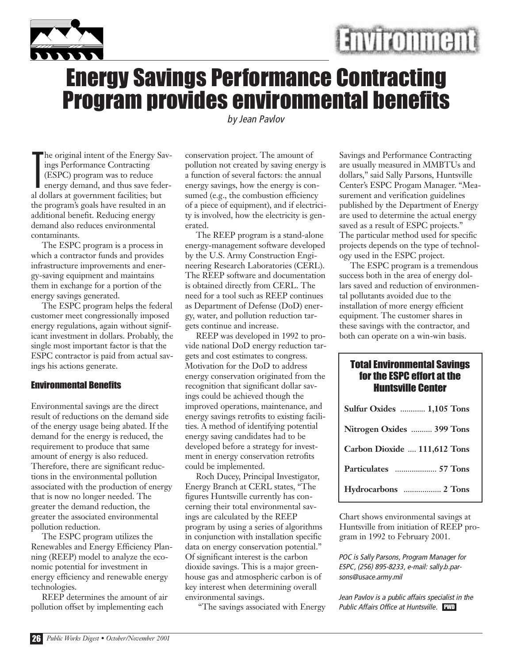



### Energy Savings Performance Contracting Program provides environmental benefits

*by Jean Pavlov*

T he original intent of the Energy Savings Performance Contracting (ESPC) program was to reduce energy demand, and thus save federal dollars at government facilities; but the program's goals have resulted in an additional benefit. Reducing energy demand also reduces environmental contaminants.

The ESPC program is a process in which a contractor funds and provides infrastructure improvements and energy-saving equipment and maintains them in exchange for a portion of the energy savings generated.

The ESPC program helps the federal customer meet congressionally imposed energy regulations, again without significant investment in dollars. Probably, the single most important factor is that the ESPC contractor is paid from actual savings his actions generate.

#### Environmental Benefits

Environmental savings are the direct result of reductions on the demand side of the energy usage being abated. If the demand for the energy is reduced, the requirement to produce that same amount of energy is also reduced. Therefore, there are significant reductions in the environmental pollution associated with the production of energy that is now no longer needed. The greater the demand reduction, the greater the associated environmental pollution reduction.

The ESPC program utilizes the Renewables and Energy Efficiency Planning (REEP) model to analyze the economic potential for investment in energy efficiency and renewable energy technologies.

REEP determines the amount of air pollution offset by implementing each

conservation project. The amount of pollution not created by saving energy is a function of several factors: the annual energy savings, how the energy is consumed (e.g., the combustion efficiency of a piece of equipment), and if electricity is involved, how the electricity is generated.

The REEP program is a stand-alone energy-management software developed by the U.S. Army Construction Engineering Research Laboratories (CERL). The REEP software and documentation is obtained directly from CERL. The need for a tool such as REEP continues as Department of Defense (DoD) energy, water, and pollution reduction targets continue and increase.

REEP was developed in 1992 to provide national DoD energy reduction targets and cost estimates to congress. Motivation for the DoD to address energy conservation originated from the recognition that significant dollar savings could be achieved though the improved operations, maintenance, and energy savings retrofits to existing facilities. A method of identifying potential energy saving candidates had to be developed before a strategy for investment in energy conservation retrofits could be implemented.

Roch Ducey, Principal Investigator, Energy Branch at CERL states, "The figures Huntsville currently has concerning their total environmental savings are calculated by the REEP program by using a series of algorithms in conjunction with installation specific data on energy conservation potential." Of significant interest is the carbon dioxide savings. This is a major greenhouse gas and atmospheric carbon is of key interest when determining overall environmental savings.

"The savings associated with Energy

Savings and Performance Contracting are usually measured in MMBTUs and dollars," said Sally Parsons, Huntsville Center's ESPC Progam Manager. "Measurement and verification guidelines published by the Department of Energy are used to determine the actual energy saved as a result of ESPC projects." The particular method used for specific projects depends on the type of technology used in the ESPC project.

The ESPC program is a tremendous success both in the area of energy dollars saved and reduction of environmental pollutants avoided due to the installation of more energy efficient equipment. The customer shares in these savings with the contractor, and both can operate on a win-win basis.

#### Total Environmental Savings for the ESPC effort at the Huntsville Center

| Sulfur Oxides  1,105 Tons    |
|------------------------------|
| Nitrogen Oxides  399 Tons    |
| Carbon Dioxide  111,612 Tons |
|                              |
|                              |

Chart shows environmental savings at Huntsville from initiation of REEP program in 1992 to February 2001.

*POC is Sally Parsons, Program Manager for ESPC, (256) 895-8233, e-mail: sally.b.parsons@usace.army.mil* 

*Jean Pavlov is a public affairs specialist in the Public Affairs Office at Huntsville.* PWD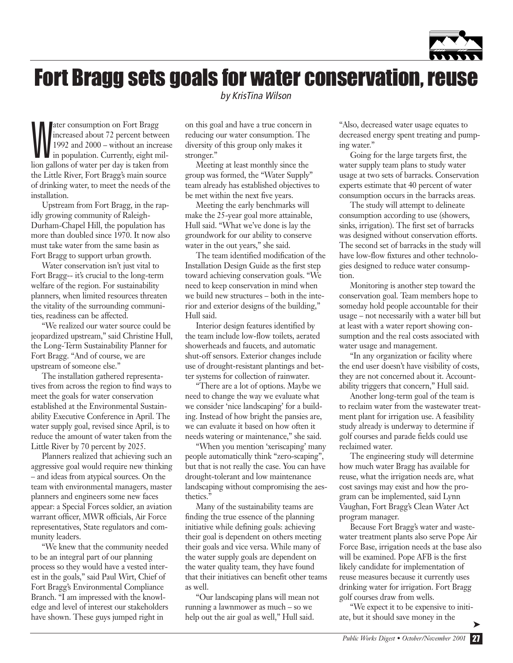

### Fort Bragg sets goals for water conservation, reuse

*by KrisTina Wilson*

ater consumption on Fort Bragg<br>increased about 72 percent between<br>1992 and 2000 – without an increase<br>in population. Currently, eight milater consumption on Fort Bragg increased about 72 percent between 1992 and 2000 – without an increase lion gallons of water per day is taken from the Little River, Fort Bragg's main source of drinking water, to meet the needs of the installation.

Upstream from Fort Bragg, in the rapidly growing community of Raleigh-Durham-Chapel Hill, the population has more than doubled since 1970. It now also must take water from the same basin as Fort Bragg to support urban growth.

Water conservation isn't just vital to Fort Bragg-- it's crucial to the long-term welfare of the region. For sustainability planners, when limited resources threaten the vitality of the surrounding communities, readiness can be affected.

"We realized our water source could be jeopardized upstream," said Christine Hull, the Long-Term Sustainability Planner for Fort Bragg. "And of course, we are upstream of someone else."

The installation gathered representatives from across the region to find ways to meet the goals for water conservation established at the Environmental Sustainability Executive Conference in April. The water supply goal, revised since April, is to reduce the amount of water taken from the Little River by 70 percent by 2025.

Planners realized that achieving such an aggressive goal would require new thinking – and ideas from atypical sources. On the team with environmental managers, master planners and engineers some new faces appear: a Special Forces soldier, an aviation warrant officer, MWR officials, Air Force representatives, State regulators and community leaders.

"We knew that the community needed to be an integral part of our planning process so they would have a vested interest in the goals," said Paul Wirt, Chief of Fort Bragg's Environmental Compliance Branch. "I am impressed with the knowledge and level of interest our stakeholders have shown. These guys jumped right in

on this goal and have a true concern in reducing our water consumption. The diversity of this group only makes it stronger."

Meeting at least monthly since the group was formed, the "Water Supply" team already has established objectives to be met within the next five years.

Meeting the early benchmarks will make the 25-year goal more attainable, Hull said. "What we've done is lay the groundwork for our ability to conserve water in the out years," she said.

The team identified modification of the Installation Design Guide as the first step toward achieving conservation goals. "We need to keep conservation in mind when we build new structures – both in the interior and exterior designs of the building," Hull said.

Interior design features identified by the team include low-flow toilets, aerated showerheads and faucets, and automatic shut-off sensors. Exterior changes include use of drought-resistant plantings and better systems for collection of rainwater.

"There are a lot of options. Maybe we need to change the way we evaluate what we consider 'nice landscaping' for a building. Instead of how bright the pansies are, we can evaluate it based on how often it needs watering or maintenance," she said.

"When you mention 'xeriscaping' many people automatically think "zero-scaping", but that is not really the case. You can have drought-tolerant and low maintenance landscaping without compromising the aesthetics."

Many of the sustainability teams are finding the true essence of the planning initiative while defining goals: achieving their goal is dependent on others meeting their goals and vice versa. While many of the water supply goals are dependent on the water quality team, they have found that their initiatives can benefit other teams as well.

"Our landscaping plans will mean not running a lawnmower as much – so we help out the air goal as well," Hull said.

"Also, decreased water usage equates to decreased energy spent treating and pumping water."

Going for the large targets first, the water supply team plans to study water usage at two sets of barracks. Conservation experts estimate that 40 percent of water consumption occurs in the barracks areas.

The study will attempt to delineate consumption according to use (showers, sinks, irrigation). The first set of barracks was designed without conservation efforts. The second set of barracks in the study will have low-flow fixtures and other technologies designed to reduce water consumption.

Monitoring is another step toward the conservation goal. Team members hope to someday hold people accountable for their usage – not necessarily with a water bill but at least with a water report showing consumption and the real costs associated with water usage and management.

"In any organization or facility where the end user doesn't have visibility of costs, they are not concerned about it. Accountability triggers that concern," Hull said.

Another long-term goal of the team is to reclaim water from the wastewater treatment plant for irrigation use. A feasibility study already is underway to determine if golf courses and parade fields could use reclaimed water.

The engineering study will determine how much water Bragg has available for reuse, what the irrigation needs are, what cost savings may exist and how the program can be implemented, said Lynn Vaughan, Fort Bragg's Clean Water Act program manager.

Because Fort Bragg's water and wastewater treatment plants also serve Pope Air Force Base, irrigation needs at the base also will be examined. Pope AFB is the first likely candidate for implementation of reuse measures because it currently uses drinking water for irrigation. Fort Bragg golf courses draw from wells.

"We expect it to be expensive to initiate, but it should save money in the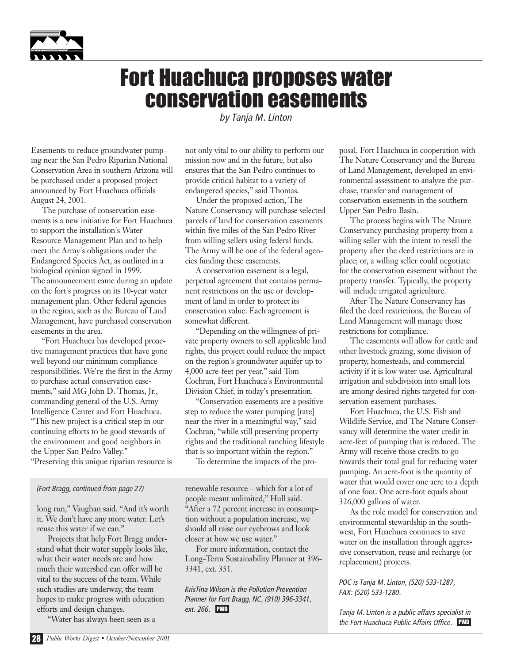

### Fort Huachuca proposes water conservation easements

*by Tanja M. Linton* 

Easements to reduce groundwater pumping near the San Pedro Riparian National Conservation Area in southern Arizona will be purchased under a proposed project announced by Fort Huachuca officials August 24, 2001.

The purchase of conservation easements is a new initiative for Fort Huachuca to support the installation's Water Resource Management Plan and to help meet the Army's obligations under the Endangered Species Act, as outlined in a biological opinion signed in 1999. The announcement came during an update on the fort's progress on its 10-year water

management plan. Other federal agencies in the region, such as the Bureau of Land Management, have purchased conservation easements in the area.

"Fort Huachuca has developed proactive management practices that have gone well beyond our minimum compliance responsibilities. We're the first in the Army to purchase actual conservation easements," said MG John D. Thomas, Jr., commanding general of the U.S. Army Intelligence Center and Fort Huachuca. "This new project is a critical step in our continuing efforts to be good stewards of the environment and good neighbors in the Upper San Pedro Valley." "Preserving this unique riparian resource is

#### *(Fort Bragg, continued from page 27)*

long run," Vaughan said. "And it's worth it. We don't have any more water. Let's reuse this water if we can."

Projects that help Fort Bragg understand what their water supply looks like, what their water needs are and how much their watershed can offer will be vital to the success of the team. While such studies are underway, the team hopes to make progress with education efforts and design changes.

"Water has always been seen as a

not only vital to our ability to perform our mission now and in the future, but also ensures that the San Pedro continues to provide critical habitat to a variety of endangered species," said Thomas.

Under the proposed action, The Nature Conservancy will purchase selected parcels of land for conservation easements within five miles of the San Pedro River from willing sellers using federal funds. The Army will be one of the federal agencies funding these easements.

A conservation easement is a legal, perpetual agreement that contains permanent restrictions on the use or development of land in order to protect its conservation value. Each agreement is somewhat different.

"Depending on the willingness of private property owners to sell applicable land rights, this project could reduce the impact on the region's groundwater aquifer up to 4,000 acre-feet per year," said Tom Cochran, Fort Huachuca's Environmental Division Chief, in today's presentation.

"Conservation easements are a positive step to reduce the water pumping [rate] near the river in a meaningful way," said Cochran, "while still preserving property rights and the traditional ranching lifestyle that is so important within the region."

To determine the impacts of the pro-

renewable resource – which for a lot of people meant unlimited," Hull said. "After a 72 percent increase in consumption without a population increase, we should all raise our eyebrows and look closer at how we use water."

For more information, contact the Long-Term Sustainability Planner at 396- 3341, ext. 351.

*KrisTina Wilson is the Pollution Prevention Planner for Fort Bragg, NC, (910) 396-3341, ext. 266.* PWD

posal, Fort Huachuca in cooperation with The Nature Conservancy and the Bureau of Land Management, developed an environmental assessment to analyze the purchase, transfer and management of conservation easements in the southern Upper San Pedro Basin.

The process begins with The Nature Conservancy purchasing property from a willing seller with the intent to resell the property after the deed restrictions are in place; or, a willing seller could negotiate for the conservation easement without the property transfer. Typically, the property will include irrigated agriculture.

After The Nature Conservancy has filed the deed restrictions, the Bureau of Land Management will manage those restrictions for compliance.

The easements will allow for cattle and other livestock grazing, some division of property, homesteads, and commercial activity if it is low water use. Agricultural irrigation and subdivision into small lots are among desired rights targeted for conservation easement purchases.

Fort Huachuca, the U.S. Fish and Wildlife Service, and The Nature Conservancy will determine the water credit in acre-feet of pumping that is reduced. The Army will receive those credits to go towards their total goal for reducing water pumping. An acre-foot is the quantity of water that would cover one acre to a depth of one foot. One acre-foot equals about 326,000 gallons of water.

As the role model for conservation and environmental stewardship in the southwest, Fort Huachuca continues to save water on the installation through aggressive conservation, reuse and recharge (or replacement) projects.

*POC is Tanja M. Linton, (520) 533-1287, FAX: (520) 533-1280.*

*Tanja M. Linton is a public affairs specialist in the Fort Huachuca Public Affairs Office.* PWD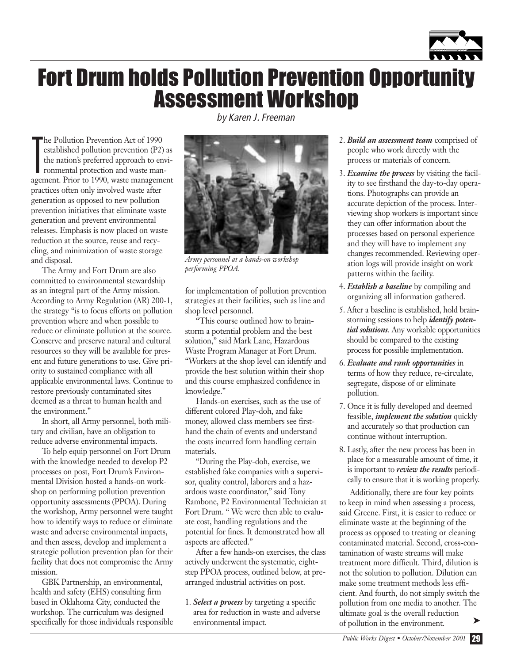

### Fort Drum holds Pollution Prevention Opportunity Assessment Workshop

T he Pollution Prevention Act of 1990 established pollution prevention (P2) as the nation's preferred approach to environmental protection and waste management. Prior to 1990, waste management practices often only involved waste after generation as opposed to new pollution prevention initiatives that eliminate waste generation and prevent environmental releases. Emphasis is now placed on waste reduction at the source, reuse and recycling, and minimization of waste storage and disposal.

The Army and Fort Drum are also committed to environmental stewardship as an integral part of the Army mission. According to Army Regulation (AR) 200-1, the strategy "is to focus efforts on pollution prevention where and when possible to reduce or eliminate pollution at the source. Conserve and preserve natural and cultural resources so they will be available for present and future generations to use. Give priority to sustained compliance with all applicable environmental laws. Continue to restore previously contaminated sites deemed as a threat to human health and the environment."

In short, all Army personnel, both military and civilian, have an obligation to reduce adverse environmental impacts.

To help equip personnel on Fort Drum with the knowledge needed to develop P2 processes on post, Fort Drum's Environmental Division hosted a hands-on workshop on performing pollution prevention opportunity assessments (PPOA). During the workshop, Army personnel were taught how to identify ways to reduce or eliminate waste and adverse environmental impacts, and then assess, develop and implement a strategic pollution prevention plan for their facility that does not compromise the Army mission.

GBK Partnership, an environmental, health and safety (EHS) consulting firm based in Oklahoma City, conducted the workshop. The curriculum was designed specifically for those individuals responsible *by Karen J. Freeman*



*Army personnel at a hands-on workshop performing PPOA.*

for implementation of pollution prevention strategies at their facilities, such as line and shop level personnel.

"This course outlined how to brainstorm a potential problem and the best solution," said Mark Lane, Hazardous Waste Program Manager at Fort Drum. "Workers at the shop level can identify and provide the best solution within their shop and this course emphasized confidence in knowledge."

Hands-on exercises, such as the use of different colored Play-doh, and fake money, allowed class members see firsthand the chain of events and understand the costs incurred form handling certain materials.

"During the Play-doh, exercise, we established fake companies with a supervisor, quality control, laborers and a hazardous waste coordinator," said Tony Rambone, P2 Environmental Technician at Fort Drum. " We were then able to evaluate cost, handling regulations and the potential for fines. It demonstrated how all aspects are affected."

After a few hands-on exercises, the class actively underwent the systematic, eightstep PPOA process, outlined below, at prearranged industrial activities on post.

1. *Select a process* by targeting a specific area for reduction in waste and adverse environmental impact.

- 2. *Build an assessment team* comprised of people who work directly with the process or materials of concern.
- 3. *Examine the process* by visiting the facility to see firsthand the day-to-day operations. Photographs can provide an accurate depiction of the process. Interviewing shop workers is important since they can offer information about the processes based on personal experience and they will have to implement any changes recommended. Reviewing operation logs will provide insight on work patterns within the facility.
- 4. *Establish a baseline* by compiling and organizing all information gathered.
- 5. After a baseline is established, hold brainstorming sessions to help *identify potential solutions*. Any workable opportunities should be compared to the existing process for possible implementation.
- 6. *Evaluate and rank opportunities* in terms of how they reduce, re-circulate, segregate, dispose of or eliminate pollution.
- 7. Once it is fully developed and deemed feasible, *implement the solution* quickly and accurately so that production can continue without interruption.
- 8. Lastly, after the new process has been in place for a measurable amount of time, it is important to *review the results* periodically to ensure that it is working properly.

Additionally, there are four key points to keep in mind when assessing a process, said Greene. First, it is easier to reduce or eliminate waste at the beginning of the process as opposed to treating or cleaning contaminated material. Second, cross-contamination of waste streams will make treatment more difficult. Third, dilution is not the solution to pollution. Dilution can make some treatment methods less efficient. And fourth, do not simply switch the pollution from one media to another. The ultimate goal is the overall reduction of pollution in the environment.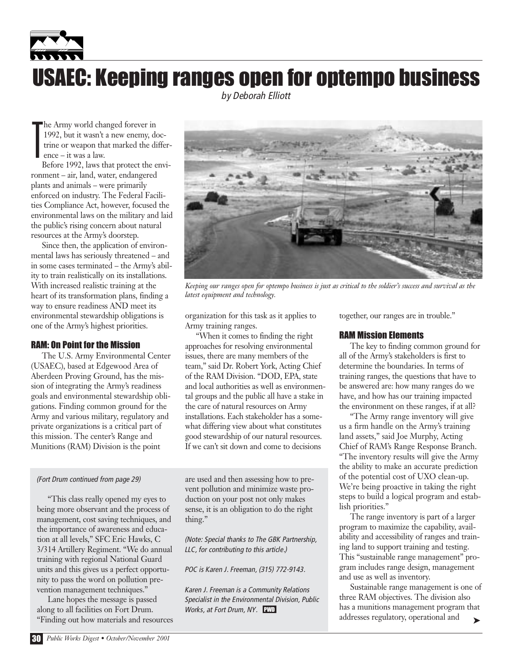

*by Deborah Elliott*

T he Army world changed forever in 1992, but it wasn't a new enemy, doctrine or weapon that marked the difference – it was a law.

Before 1992, laws that protect the environment – air, land, water, endangered plants and animals – were primarily enforced on industry. The Federal Facilities Compliance Act, however, focused the environmental laws on the military and laid the public's rising concern about natural resources at the Army's doorstep.

Since then, the application of environmental laws has seriously threatened – and in some cases terminated – the Army's ability to train realistically on its installations. With increased realistic training at the heart of its transformation plans, finding a way to ensure readiness AND meet its environmental stewardship obligations is one of the Army's highest priorities.

#### RAM: On Point for the Mission

The U.S. Army Environmental Center (USAEC), based at Edgewood Area of Aberdeen Proving Ground, has the mission of integrating the Army's readiness goals and environmental stewardship obligations. Finding common ground for the Army and various military, regulatory and private organizations is a critical part of this mission. The center's Range and Munitions (RAM) Division is the point

#### *(Fort Drum continued from page 29)*

"This class really opened my eyes to being more observant and the process of management, cost saving techniques, and the importance of awareness and education at all levels," SFC Eric Hawks, C 3/314 Artillery Regiment. "We do annual training with regional National Guard units and this gives us a perfect opportunity to pass the word on pollution prevention management techniques."

Lane hopes the message is passed along to all facilities on Fort Drum. "Finding out how materials and resources



*Keeping our ranges open for optempo business is just as critical to the soldier's success and survival as the latest equipment and technology.*

organization for this task as it applies to Army training ranges.

"When it comes to finding the right approaches for resolving environmental issues, there are many members of the team," said Dr. Robert York, Acting Chief of the RAM Division. "DOD, EPA, state and local authorities as well as environmental groups and the public all have a stake in the care of natural resources on Army installations. Each stakeholder has a somewhat differing view about what constitutes good stewardship of our natural resources. If we can't sit down and come to decisions

are used and then assessing how to prevent pollution and minimize waste production on your post not only makes sense, it is an obligation to do the right thing."

*(Note: Special thanks to The GBK Partnership, LLC, for contributing to this article.)*

*POC is Karen J. Freeman, (315) 772-9143.*

*Karen J. Freeman is a Community Relations Specialist in the Environmental Division, Public Works, at Fort Drum, NY.* PWD

together, our ranges are in trouble."

#### RAM Mission Elements

The key to finding common ground for all of the Army's stakeholders is first to determine the boundaries. In terms of training ranges, the questions that have to be answered are: how many ranges do we have, and how has our training impacted the environment on these ranges, if at all?

"The Army range inventory will give us a firm handle on the Army's training land assets," said Joe Murphy, Acting Chief of RAM's Range Response Branch. "The inventory results will give the Army the ability to make an accurate prediction of the potential cost of UXO clean-up. We're being proactive in taking the right steps to build a logical program and establish priorities."

The range inventory is part of a larger program to maximize the capability, availability and accessibility of ranges and training land to support training and testing. This "sustainable range management" program includes range design, management and use as well as inventory.

Sustainable range management is one of three RAM objectives. The division also has a munitions management program that addresses regulatory, operational and ➤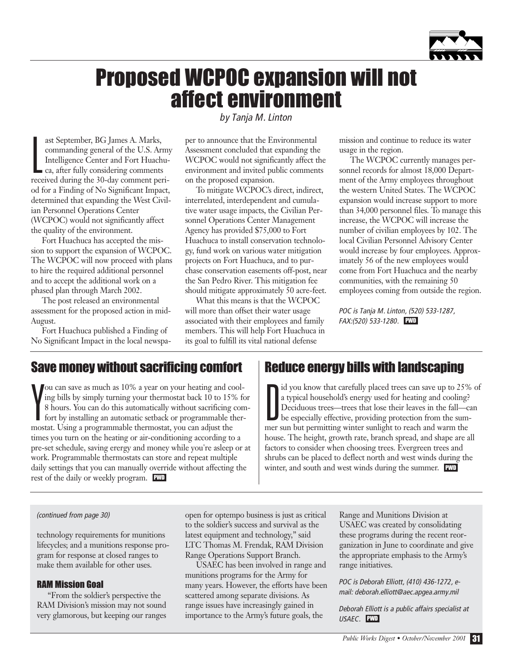

### Proposed WCPOC expansion will not affect environment

L ast September, BG James A. Marks, commanding general of the U.S. Army Intelligence Center and Fort Huachuca, after fully considering comments received during the 30-day comment period for a Finding of No Significant Impact, determined that expanding the West Civilian Personnel Operations Center (WCPOC) would not significantly affect the quality of the environment.

Fort Huachuca has accepted the mission to support the expansion of WCPOC. The WCPOC will now proceed with plans to hire the required additional personnel and to accept the additional work on a phased plan through March 2002.

The post released an environmental assessment for the proposed action in mid-August.

Fort Huachuca published a Finding of No Significant Impact in the local newspa*by Tanja M. Linton* 

per to announce that the Environmental Assessment concluded that expanding the WCPOC would not significantly affect the environment and invited public comments on the proposed expansion.

To mitigate WCPOC's direct, indirect, interrelated, interdependent and cumulative water usage impacts, the Civilian Personnel Operations Center Management Agency has provided \$75,000 to Fort Huachuca to install conservation technology, fund work on various water mitigation projects on Fort Huachuca, and to purchase conservation easements off-post, near the San Pedro River. This mitigation fee should mitigate approximately 50 acre-feet.

What this means is that the WCPOC will more than offset their water usage associated with their employees and family members. This will help Fort Huachuca in its goal to fulfill its vital national defense

mission and continue to reduce its water usage in the region.

The WCPOC currently manages personnel records for almost 18,000 Department of the Army employees throughout the western United States. The WCPOC expansion would increase support to more than 34,000 personnel files. To manage this increase, the WCPOC will increase the number of civilian employees by 102. The local Civilian Personnel Advisory Center would increase by four employees. Approximately 56 of the new employees would come from Fort Huachuca and the nearby communities, with the remaining 50 employees coming from outside the region.

*POC is Tanja M. Linton, (520) 533-1287, FAX:(520) 533-1280.* PWD

#### Save money without sacrificing comfort

Y ou can save as much as 10% a year on your heating and cooling bills by simply turning your thermostat back 10 to 15% for 8 hours. You can do this automatically without sacrificing comfort by installing an automatic setback or programmable thermostat. Using a programmable thermostat, you can adjust the times you turn on the heating or air-conditioning according to a pre-set schedule, saving erergy and money while you're asleep or at work. Programmable thermostats can store and repeat multiple daily settings that you can manually override without affecting the rest of the daily or weekly program.

#### Reduce energy bills with landscaping

Id you know that carefully placed trees can save up to 25%<br>a typical household's energy used for heating and cooling?<br>Deciduous trees—trees that lose their leaves in the fall—ca<br>be especially effective, providing protectio id you know that carefully placed trees can save up to 25% of a typical household's energy used for heating and cooling? Deciduous trees—trees that lose their leaves in the fall—can mer sun but permitting winter sunlight to reach and warm the house. The height, growth rate, branch spread, and shape are all factors to consider when choosing trees. Evergreen trees and shrubs can be placed to deflect north and west winds during the winter, and south and west winds during the summer. PWD

#### *(continued from page 30)*

technology requirements for munitions lifecycles; and a munitions response program for response at closed ranges to make them available for other uses.

#### RAM Mission Goal

"From the soldier's perspective the RAM Division's mission may not sound very glamorous, but keeping our ranges open for optempo business is just as critical to the soldier's success and survival as the latest equipment and technology," said LTC Thomas M. Frendak, RAM Division Range Operations Support Branch.

USAEC has been involved in range and munitions programs for the Army for many years. However, the efforts have been scattered among separate divisions. As range issues have increasingly gained in importance to the Army's future goals, the

Range and Munitions Division at USAEC was created by consolidating these programs during the recent reorganization in June to coordinate and give the appropriate emphasis to the Army's range initiatives.

*POC is Deborah Elliott, (410) 436-1272, email: deborah.elliott@aec.apgea.army.mil*

*Deborah Elliott is a public affairs specialist at USAEC.* PWD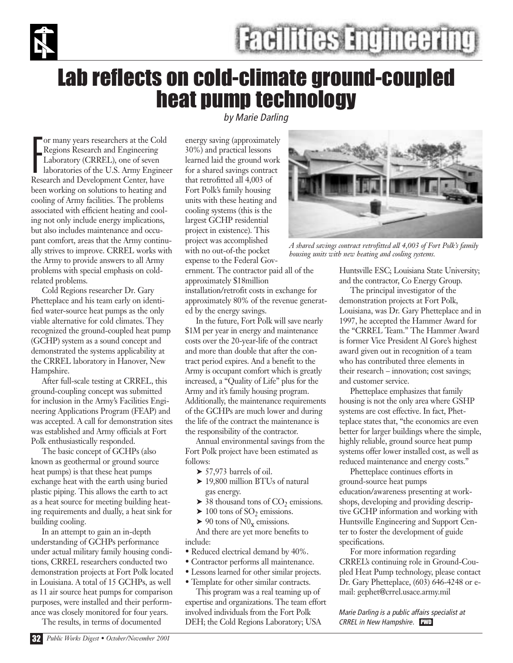

### Lab reflects on cold-climate ground-coupled heat pump technology

F or many years researchers at the Cold Regions Research and Engineering Laboratory (CRREL), one of seven laboratories of the U.S. Army Engineer Research and Development Center, have been working on solutions to heating and cooling of Army facilities. The problems associated with efficient heating and cooling not only include energy implications, but also includes maintenance and occupant comfort, areas that the Army continually strives to improve. CRREL works with the Army to provide answers to all Army problems with special emphasis on coldrelated problems.

Cold Regions researcher Dr. Gary Phetteplace and his team early on identified water-source heat pumps as the only viable alternative for cold climates. They recognized the ground-coupled heat pump (GCHP) system as a sound concept and demonstrated the systems applicability at the CRREL laboratory in Hanover, New Hampshire.

After full-scale testing at CRREL, this ground-coupling concept was submitted for inclusion in the Army's Facilities Engineering Applications Program (FEAP) and was accepted. A call for demonstration sites was established and Army officials at Fort Polk enthusiastically responded.

The basic concept of GCHPs (also known as geothermal or ground source heat pumps) is that these heat pumps exchange heat with the earth using buried plastic piping. This allows the earth to act as a heat source for meeting building heating requirements and dually, a heat sink for building cooling.

In an attempt to gain an in-depth understanding of GCHPs performance under actual military family housing conditions, CRREL researchers conducted two demonstration projects at Fort Polk located in Louisiana. A total of 15 GCHPs, as well as 11 air source heat pumps for comparison purposes, were installed and their performance was closely monitored for four years.

The results, in terms of documented

*by Marie Darling*

energy saving (approximately 30%) and practical lessons learned laid the ground work for a shared savings contract that retrofitted all 4,003 of Fort Polk's family housing units with these heating and cooling systems (this is the largest GCHP residential project in existence). This project was accomplished with no out-of-the pocket expense to the Federal Gov-

ernment. The contractor paid all of the approximately \$18million installation/retrofit costs in exchange for approximately 80% of the revenue generated by the energy savings.

In the future, Fort Polk will save nearly \$1M per year in energy and maintenance costs over the 20-year-life of the contract and more than double that after the contract period expires. And a benefit to the Army is occupant comfort which is greatly increased, a "Quality of Life" plus for the Army and it's family housing program. Additionally, the maintenance requirements of the GCHPs are much lower and during the life of the contract the maintenance is the responsibility of the contractor.

Annual environmental savings from the Fort Polk project have been estimated as follows:

- $\blacktriangleright$  57,973 barrels of oil.
- ▶ 19,800 million BTUs of natural gas energy.
- $\triangleright$  38 thousand tons of CO<sub>2</sub> emissions.
- $\blacktriangleright$  100 tons of SO<sub>2</sub> emissions.
- $\triangleright$  90 tons of N0<sub>x</sub> emissions.

And there are yet more benefits to include:

- Reduced electrical demand by 40%.
- Contractor performs all maintenance.
- Lessons learned for other similar projects.
- Template for other similar contracts.

This program was a real teaming up of expertise and organizations. The team effort involved individuals from the Fort Polk DEH; the Cold Regions Laboratory; USA



*A shared savings contract retrofitted all 4,003 of Fort Polk's family housing units with new heating and cooling systems.*

Huntsville ESC; Louisiana State University; and the contractor, Co Energy Group.

The principal investigator of the demonstration projects at Fort Polk, Louisiana, was Dr. Gary Phetteplace and in 1997, he accepted the Hammer Award for the "CRREL Team." The Hammer Award is former Vice President Al Gore's highest award given out in recognition of a team who has contributed three elements in their research – innovation; cost savings; and customer service.

Phetteplace emphasizes that family housing is not the only area where GSHP systems are cost effective. In fact, Phetteplace states that, "the economics are even better for larger buildings where the simple, highly reliable, ground source heat pump systems offer lower installed cost, as well as reduced maintenance and energy costs."

Phetteplace continues efforts in ground-source heat pumps education/awareness presenting at workshops, developing and providing descriptive GCHP information and working with Huntsville Engineering and Support Center to foster the development of guide specifications.

For more information regarding CRREL's continuing role in Ground-Coupled Heat Pump technology, please contact Dr. Gary Phetteplace, (603) 646-4248 or email: gephet@crrel.usace.army.mil

*Marie Darling is a public affairs specialist at CRREL in New Hampshire.* PWD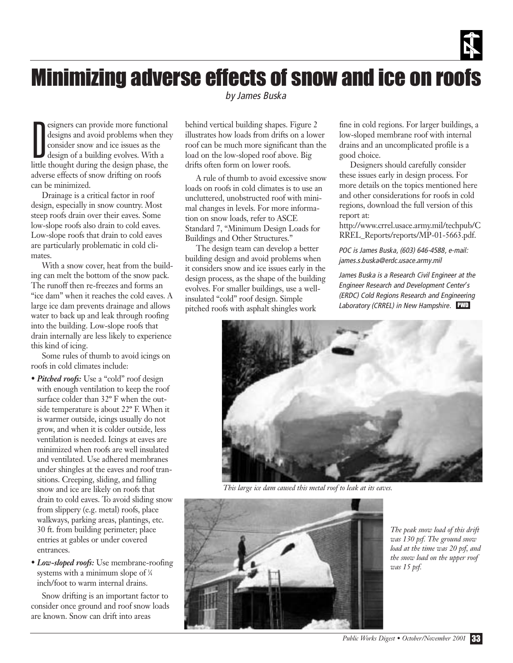

### Minimizing adverse effects of snow and ice on roofs

*by James Buska*

D esigners can provide more functional designs and avoid problems when they consider snow and ice issues as the design of a building evolves. With a little thought during the design phase, the adverse effects of snow drifting on roofs can be minimized.

Drainage is a critical factor in roof design, especially in snow country. Most steep roofs drain over their eaves. Some low-slope roofs also drain to cold eaves. Low-slope roofs that drain to cold eaves are particularly problematic in cold climates.

With a snow cover, heat from the building can melt the bottom of the snow pack. The runoff then re-freezes and forms an "ice dam" when it reaches the cold eaves. A large ice dam prevents drainage and allows water to back up and leak through roofing into the building. Low-slope roofs that drain internally are less likely to experience this kind of icing.

Some rules of thumb to avoid icings on roofs in cold climates include:

- *Pitched roofs:* Use a "cold" roof design with enough ventilation to keep the roof surface colder than 32º F when the outside temperature is about 22º F. When it is warmer outside, icings usually do not grow, and when it is colder outside, less ventilation is needed. Icings at eaves are minimized when roofs are well insulated and ventilated. Use adhered membranes under shingles at the eaves and roof transitions. Creeping, sliding, and falling snow and ice are likely on roofs that drain to cold eaves. To avoid sliding snow from slippery (e.g. metal) roofs, place walkways, parking areas, plantings, etc. 30 ft. from building perimeter; place entries at gables or under covered entrances.
- *Low-sloped roofs:* Use membrane-roofing systems with a minimum slope of ¼ inch/foot to warm internal drains.

Snow drifting is an important factor to consider once ground and roof snow loads are known. Snow can drift into areas

behind vertical building shapes. Figure 2 illustrates how loads from drifts on a lower roof can be much more significant than the load on the low-sloped roof above. Big drifts often form on lower roofs.

A rule of thumb to avoid excessive snow loads on roofs in cold climates is to use an uncluttered, unobstructed roof with minimal changes in levels. For more information on snow loads, refer to ASCE Standard 7, "Minimum Design Loads for Buildings and Other Structures."

The design team can develop a better building design and avoid problems when it considers snow and ice issues early in the design process, as the shape of the building evolves. For smaller buildings, use a wellinsulated "cold" roof design. Simple pitched roofs with asphalt shingles work

fine in cold regions. For larger buildings, a low-sloped membrane roof with internal drains and an uncomplicated profile is a good choice.

Designers should carefully consider these issues early in design process. For more details on the topics mentioned here and other considerations for roofs in cold regions, download the full version of this report at:

http://www.crrel.usace.army.mil/techpub/C RREL\_Reports/reports/MP-01-5663.pdf.

*POC is James Buska, (603) 646-4588, e-mail: james.s.buska@erdc.usace.army.mil*

*James Buska is a Research Civil Engineer at the Engineer Research and Development Center's (ERDC) Cold Regions Research and Engineering Laboratory (CRREL) in New Hampshire.* PWD



*This large ice dam caused this metal roof to leak at its eaves.*



*The peak snow load of this drift was 130 psf. The ground snow load at the time was 20 psf, and the snow load on the upper roof was 15 psf.*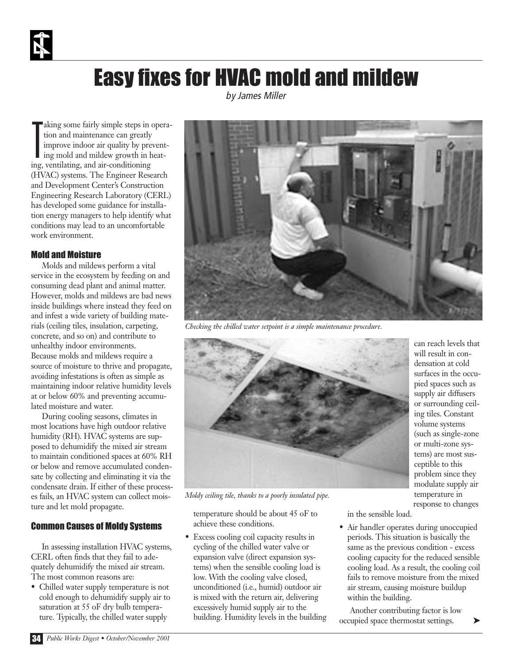### Easy fixes for HVAC mold and mildew

*by James Miller* 

T aking some fairly simple steps in operation and maintenance can greatly improve indoor air quality by preventing mold and mildew growth in heating, ventilating, and air-conditioning (HVAC) systems. The Engineer Research and Development Center's Construction Engineering Research Laboratory (CERL) has developed some guidance for installation energy managers to help identify what conditions may lead to an uncomfortable work environment.

#### Mold and Moisture

Molds and mildews perform a vital service in the ecosystem by feeding on and consuming dead plant and animal matter. However, molds and mildews are bad news inside buildings where instead they feed on and infest a wide variety of building materials (ceiling tiles, insulation, carpeting, concrete, and so on) and contribute to unhealthy indoor environments. Because molds and mildews require a source of moisture to thrive and propagate, avoiding infestations is often as simple as maintaining indoor relative humidity levels at or below 60% and preventing accumulated moisture and water.

During cooling seasons, climates in most locations have high outdoor relative humidity (RH). HVAC systems are supposed to dehumidify the mixed air stream to maintain conditioned spaces at 60% RH or below and remove accumulated condensate by collecting and eliminating it via the condensate drain. If either of these processes fails, an HVAC system can collect moisture and let mold propagate.

#### Common Causes of Moldy Systems

In assessing installation HVAC systems, CERL often finds that they fail to adequately dehumidify the mixed air stream. The most common reasons are:

• Chilled water supply temperature is not cold enough to dehumidify supply air to saturation at 55 oF dry bulb temperature. Typically, the chilled water supply



*Checking the chilled water setpoint is a simple maintenance procedure.*



can reach levels that will result in condensation at cold surfaces in the occupied spaces such as supply air diffusers or surrounding ceiling tiles. Constant volume systems (such as single-zone or multi-zone systems) are most susceptible to this problem since they modulate supply air temperature in response to changes

➤

*Moldy ceiling tile, thanks to a poorly insulated pipe.*

temperature should be about 45 oF to achieve these conditions.

• Excess cooling coil capacity results in cycling of the chilled water valve or expansion valve (direct expansion systems) when the sensible cooling load is low. With the cooling valve closed, unconditioned (i.e., humid) outdoor air is mixed with the return air, delivering excessively humid supply air to the building. Humidity levels in the building in the sensible load.

• Air handler operates during unoccupied periods. This situation is basically the same as the previous condition - excess cooling capacity for the reduced sensible cooling load. As a result, the cooling coil fails to remove moisture from the mixed air stream, causing moisture buildup within the building.

Another contributing factor is low occupied space thermostat settings.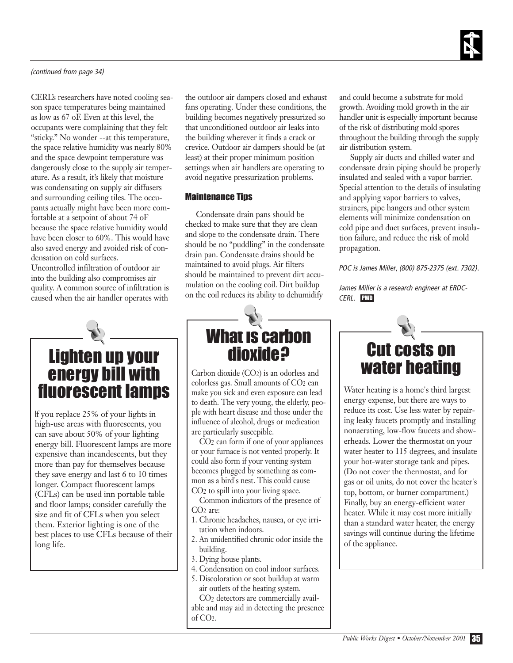

#### *(continued from page 34)*

CERL's researchers have noted cooling season space temperatures being maintained as low as 67 oF. Even at this level, the occupants were complaining that they felt "sticky." No wonder --at this temperature, the space relative humidity was nearly 80% and the space dewpoint temperature was dangerously close to the supply air temperature. As a result, it's likely that moisture was condensating on supply air diffusers and surrounding ceiling tiles. The occupants actually might have been more comfortable at a setpoint of about 74 oF because the space relative humidity would have been closer to 60%. This would have also saved energy and avoided risk of condensation on cold surfaces.

Uncontrolled infiltration of outdoor air into the building also compromises air quality. A common source of infiltration is caused when the air handler operates with

### Lighten up your energy bill with fluorescent lamps

If you replace 25% of your lights in high-use areas with fluorescents, you can save about 50% of your lighting energy bill. Fluorescent lamps are more expensive than incandescents, but they more than pay for themselves because they save energy and last 6 to 10 times longer. Compact fluorescent lamps (CFLs) can be used inn portable table and floor lamps; consider carefully the size and fit of CFLs when you select them. Exterior lighting is one of the best places to use CFLs because of their long life.

the outdoor air dampers closed and exhaust fans operating. Under these conditions, the building becomes negatively pressurized so that unconditioned outdoor air leaks into the building wherever it finds a crack or crevice. Outdoor air dampers should be (at least) at their proper minimum position settings when air handlers are operating to avoid negative pressurization problems.

#### Maintenance Tips

Condensate drain pans should be checked to make sure that they are clean and slope to the condensate drain. There should be no "puddling" in the condensate drain pan. Condensate drains should be maintained to avoid plugs. Air filters should be maintained to prevent dirt accumulation on the cooling coil. Dirt buildup on the coil reduces its ability to dehumidify



Carbon dioxide (CO2) is an odorless and colorless gas. Small amounts of CO2 can make you sick and even exposure can lead to death. The very young, the elderly, people with heart disease and those under the influence of alcohol, drugs or medication are particularly suscepible.

CO2 can form if one of your appliances or your furnace is not vented properly. It could also form if your venting system becomes plugged by something as common as a bird's nest. This could cause CO2 to spill into your living space.

Common indicators of the presence of CO2 are:

- 1. Chronic headaches, nausea, or eye irritation when indoors.
- 2. An unidentified chronic odor inside the building.
- 3. Dying house plants.
- 4. Condensation on cool indoor surfaces.
- 5. Discoloration or soot buildup at warm air outlets of the heating system.

CO2 detectors are commercially available and may aid in detecting the presence of CO2.

and could become a substrate for mold growth. Avoiding mold growth in the air handler unit is especially important because of the risk of distributing mold spores throughout the building through the supply air distribution system.

Supply air ducts and chilled water and condensate drain piping should be properly insulated and sealed with a vapor barrier. Special attention to the details of insulating and applying vapor barriers to valves, strainers, pipe hangers and other system elements will minimize condensation on cold pipe and duct surfaces, prevent insulation failure, and reduce the risk of mold propagation.

*POC is James Miller, (800) 875-2375 (ext. 7302).*

*James Miller is a research engineer at ERDC-CERL.* PWD



Water heating is a home's third largest energy expense, but there are ways to reduce its cost. Use less water by repairing leaky faucets promptly and installing nonaerating, low-flow faucets and showerheads. Lower the thermostat on your water heater to 115 degrees, and insulate your hot-water storage tank and pipes. (Do not cover the thermostat, and for gas or oil units, do not cover the heater's top, bottom, or burner compartment.) Finally, buy an energy-efficient water heater. While it may cost more initially than a standard water heater, the energy savings will continue during the lifetime of the appliance.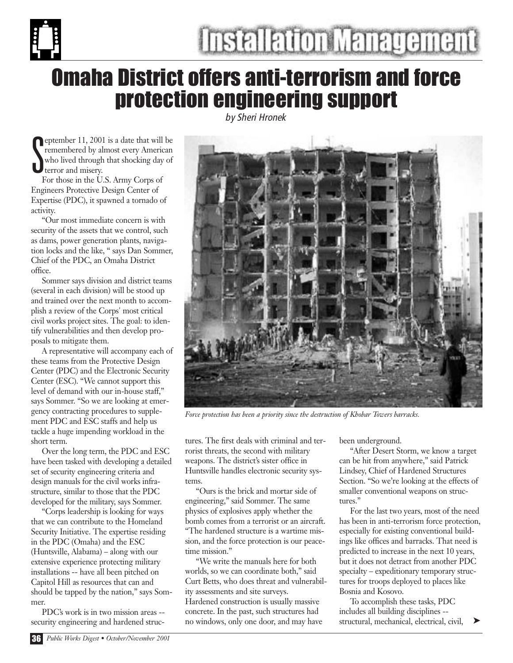

### Omaha District offers anti-terrorism and force protection engineering support

*by Sheri Hronek*

S eptember 11, 2001 is a date that will be remembered by almost every American who lived through that shocking day of terror and misery.

For those in the U.S. Army Corps of Engineers Protective Design Center of Expertise (PDC), it spawned a tornado of activity.

"Our most immediate concern is with security of the assets that we control, such as dams, power generation plants, navigation locks and the like, " says Dan Sommer, Chief of the PDC, an Omaha District office.

Sommer says division and district teams (several in each division) will be stood up and trained over the next month to accomplish a review of the Corps' most critical civil works project sites. The goal: to identify vulnerabilities and then develop proposals to mitigate them.

A representative will accompany each of these teams from the Protective Design Center (PDC) and the Electronic Security Center (ESC). "We cannot support this level of demand with our in-house staff," says Sommer. "So we are looking at emergency contracting procedures to supplement PDC and ESC staffs and help us tackle a huge impending workload in the short term.

Over the long term, the PDC and ESC have been tasked with developing a detailed set of security engineering criteria and design manuals for the civil works infrastructure, similar to those that the PDC developed for the military, says Sommer.

"Corps leadership is looking for ways that we can contribute to the Homeland Security Initiative. The expertise residing in the PDC (Omaha) and the ESC (Huntsville, Alabama) – along with our extensive experience protecting military installations -- have all been pitched on Capitol Hill as resources that can and should be tapped by the nation," says Sommer.

PDC's work is in two mission areas - security engineering and hardened struc-



*Force protection has been a priority since the destruction of Khobar Towers barracks.*

tures. The first deals with criminal and terrorist threats, the second with military weapons. The district's sister office in Huntsville handles electronic security systems.

"Ours is the brick and mortar side of engineering," said Sommer. The same physics of explosives apply whether the bomb comes from a terrorist or an aircraft. "The hardened structure is a wartime mission, and the force protection is our peacetime mission."

"We write the manuals here for both worlds, so we can coordinate both," said Curt Betts, who does threat and vulnerability assessments and site surveys. Hardened construction is usually massive concrete. In the past, such structures had no windows, only one door, and may have

been underground.

"After Desert Storm, we know a target can be hit from anywhere," said Patrick Lindsey, Chief of Hardened Structures Section. "So we're looking at the effects of smaller conventional weapons on structures."

For the last two years, most of the need has been in anti-terrorism force protection, especially for existing conventional buildings like offices and barracks. That need is predicted to increase in the next 10 years, but it does not detract from another PDC specialty – expeditionary temporary structures for troops deployed to places like Bosnia and Kosovo.

To accomplish these tasks, PDC includes all building disciplines - structural, mechanical, electrical, civil,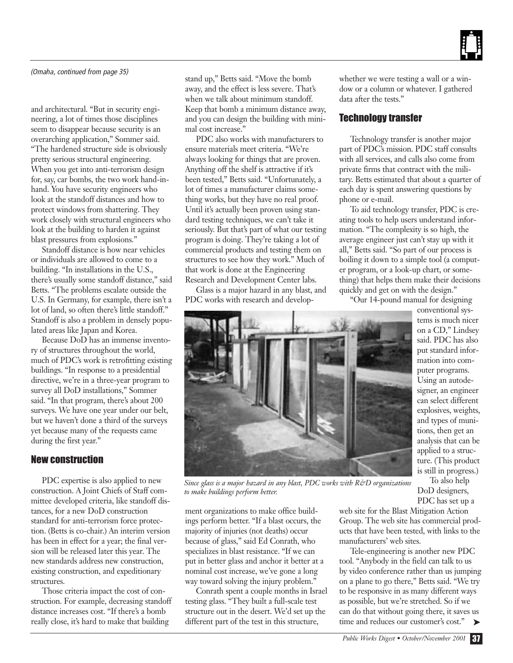

#### *(Omaha, continued from page 35)*

and architectural. "But in security engineering, a lot of times those disciplines seem to disappear because security is an overarching application," Sommer said. "The hardened structure side is obviously pretty serious structural engineering. When you get into anti-terrorism design for, say, car bombs, the two work hand-inhand. You have security engineers who look at the standoff distances and how to protect windows from shattering. They work closely with structural engineers who look at the building to harden it against blast pressures from explosions."

Standoff distance is how near vehicles or individuals are allowed to come to a building. "In installations in the U.S., there's usually some standoff distance," said Betts. "The problems escalate outside the U.S. In Germany, for example, there isn't a lot of land, so often there's little standoff." Standoff is also a problem in densely populated areas like Japan and Korea.

Because DoD has an immense inventory of structures throughout the world, much of PDC's work is retrofitting existing buildings. "In response to a presidential directive, we're in a three-year program to survey all DoD installations," Sommer said. "In that program, there's about 200 surveys. We have one year under our belt, but we haven't done a third of the surveys yet because many of the requests came during the first year."

#### New construction

PDC expertise is also applied to new construction. A Joint Chiefs of Staff committee developed criteria, like standoff distances, for a new DoD construction standard for anti-terrorism force protection. (Betts is co-chair.) An interim version has been in effect for a year; the final version will be released later this year. The new standards address new construction, existing construction, and expeditionary structures.

Those criteria impact the cost of construction. For example, decreasing standoff distance increases cost. "If there's a bomb really close, it's hard to make that building

stand up," Betts said. "Move the bomb away, and the effect is less severe. That's when we talk about minimum standoff. Keep that bomb a minimum distance away, and you can design the building with minimal cost increase."

PDC also works with manufacturers to ensure materials meet criteria. "We're always looking for things that are proven. Anything off the shelf is attractive if it's been tested," Betts said. "Unfortunately, a lot of times a manufacturer claims something works, but they have no real proof. Until it's actually been proven using standard testing techniques, we can't take it seriously. But that's part of what our testing program is doing. They're taking a lot of commercial products and testing them on structures to see how they work." Much of that work is done at the Engineering Research and Development Center labs.

Glass is a major hazard in any blast, and PDC works with research and developwhether we were testing a wall or a window or a column or whatever. I gathered data after the tests."

#### Technology transfer

Technology transfer is another major part of PDC's mission. PDC staff consults with all services, and calls also come from private firms that contract with the military. Betts estimated that about a quarter of each day is spent answering questions by phone or e-mail.

To aid technology transfer, PDC is creating tools to help users understand information. "The complexity is so high, the average engineer just can't stay up with it all," Betts said. "So part of our process is boiling it down to a simple tool (a computer program, or a look-up chart, or something) that helps them make their decisions quickly and get on with the design."

"Our 14-pound manual for designing



*Since glass is a major hazard in any blast, PDC works with R&D organizations to make buildings perform better.*

ment organizations to make office buildings perform better. "If a blast occurs, the majority of injuries (not deaths) occur because of glass," said Ed Conrath, who specializes in blast resistance. "If we can put in better glass and anchor it better at a nominal cost increase, we've gone a long way toward solving the injury problem."

Conrath spent a couple months in Israel testing glass. "They built a full-scale test structure out in the desert. We'd set up the different part of the test in this structure,

conventional systems is much nicer on a CD," Lindsey said. PDC has also put standard information into computer programs. Using an autodesigner, an engineer can select different explosives, weights, and types of munitions, then get an analysis that can be applied to a structure. (This product is still in progress.)

To also help DoD designers, PDC has set up a

web site for the Blast Mitigation Action Group. The web site has commercial products that have been tested, with links to the manufacturers' web sites.

Tele-engineering is another new PDC tool. "Anybody in the field can talk to us by video conference rather than us jumping on a plane to go there," Betts said. "We try to be responsive in as many different ways as possible, but we're stretched. So if we can do that without going there, it saves us time and reduces our customer's cost." ➤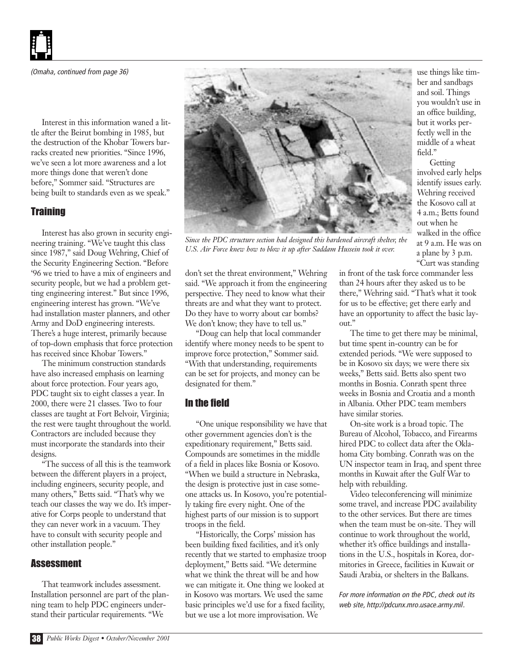Interest in this information waned a little after the Beirut bombing in 1985, but the destruction of the Khobar Towers barracks created new priorities. "Since 1996, we've seen a lot more awareness and a lot more things done that weren't done before," Sommer said. "Structures are being built to standards even as we speak."

#### **Training**

Interest has also grown in security engineering training. "We've taught this class since 1987," said Doug Wehring, Chief of the Security Engineering Section. "Before '96 we tried to have a mix of engineers and security people, but we had a problem getting engineering interest." But since 1996, engineering interest has grown. "We've had installation master planners, and other Army and DoD engineering interests. There's a huge interest, primarily because of top-down emphasis that force protection has received since Khobar Towers."

The minimum construction standards have also increased emphasis on learning about force protection. Four years ago, PDC taught six to eight classes a year. In 2000, there were 21 classes. Two to four classes are taught at Fort Belvoir, Virginia; the rest were taught throughout the world. Contractors are included because they must incorporate the standards into their designs.

"The success of all this is the teamwork between the different players in a project, including engineers, security people, and many others," Betts said. "That's why we teach our classes the way we do. It's imperative for Corps people to understand that they can never work in a vacuum. They have to consult with security people and other installation people."

#### **Assessment**

That teamwork includes assessment. Installation personnel are part of the planning team to help PDC engineers understand their particular requirements. "We



*Since the PDC structure section had designed this hardened aircraft shelter, the U.S. Air Force knew how to blow it up after Saddam Hussein took it over.*

don't set the threat environment," Wehring said. "We approach it from the engineering perspective. They need to know what their threats are and what they want to protect. Do they have to worry about car bombs? We don't know; they have to tell us."

"Doug can help that local commander identify where money needs to be spent to improve force protection," Sommer said. "With that understanding, requirements can be set for projects, and money can be designated for them."

#### In the field

"One unique responsibility we have that other government agencies don't is the expeditionary requirement," Betts said. Compounds are sometimes in the middle of a field in places like Bosnia or Kosovo. "When we build a structure in Nebraska, the design is protective just in case someone attacks us. In Kosovo, you're potentially taking fire every night. One of the highest parts of our mission is to support troops in the field.

"Historically, the Corps' mission has been building fixed facilities, and it's only recently that we started to emphasize troop deployment," Betts said. "We determine what we think the threat will be and how we can mitigate it. One thing we looked at in Kosovo was mortars. We used the same basic principles we'd use for a fixed facility, but we use a lot more improvisation. We

"Curt was standing in front of the task force commander less than 24 hours after they asked us to be there," Wehring said. "That's what it took for us to be effective; get there early and have an opportunity to affect the basic layout."

use things like timber and sandbags and soil. Things you wouldn't use in an office building, but it works perfectly well in the middle of a wheat

field."

**Getting** involved early helps identify issues early. Wehring received the Kosovo call at 4 a.m.; Betts found out when he walked in the office at 9 a.m. He was on a plane by 3 p.m.

The time to get there may be minimal, but time spent in-country can be for extended periods. "We were supposed to be in Kosovo six days; we were there six weeks," Betts said. Betts also spent two months in Bosnia. Conrath spent three weeks in Bosnia and Croatia and a month in Albania. Other PDC team members have similar stories.

On-site work is a broad topic. The Bureau of Alcohol, Tobacco, and Firearms hired PDC to collect data after the Oklahoma City bombing. Conrath was on the UN inspector team in Iraq, and spent three months in Kuwait after the Gulf War to help with rebuilding.

Video teleconferencing will minimize some travel, and increase PDC availability to the other services. But there are times when the team must be on-site. They will continue to work throughout the world, whether it's office buildings and installations in the U.S., hospitals in Korea, dormitories in Greece, facilities in Kuwait or Saudi Arabia, or shelters in the Balkans.

*For more information on the PDC, check out its web site, http://pdcunx.mro.usace.army.mil.*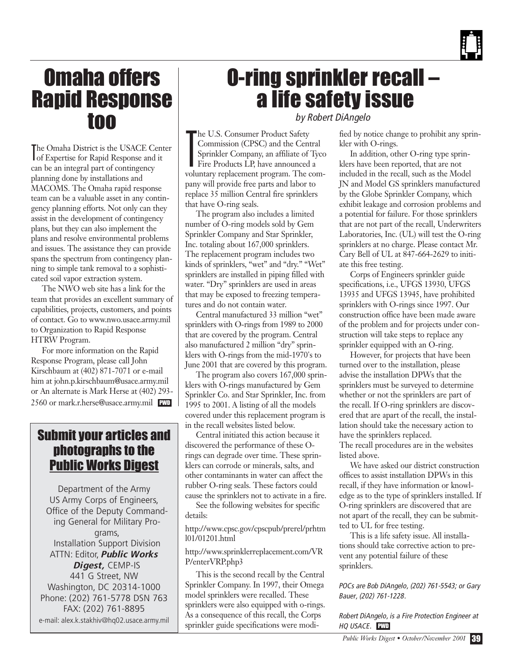

### Omaha offers Rapid Response too

T he Omaha District is the USACE Center of Expertise for Rapid Response and it can be an integral part of contingency planning done by installations and MACOMS. The Omaha rapid response team can be a valuable asset in any contingency planning efforts. Not only can they assist in the development of contingency plans, but they can also implement the plans and resolve environmental problems and issues. The assistance they can provide spans the spectrum from contingency planning to simple tank removal to a sophisticated soil vapor extraction system.

The NWO web site has a link for the team that provides an excellent summary of capabilities, projects, customers, and points of contact. Go to www.nwo.usace.army.mil to Organization to Rapid Response HTRW Program.

For more information on the Rapid Response Program, please call John Kirschbaum at (402) 871-7071 or e-mail him at john.p.kirschbaum@usace.army.mil or An alternate is Mark Herse at (402) 293- 2560 or mark.r.herse@usace.army.mil PWD

#### Submit your articles and photographs to the Public Works Digest

Department of the Army US Army Corps of Engineers, Office of the Deputy Commanding General for Military Programs, Installation Support Division ATTN: Editor, *Public Works Digest,* CEMP-IS 441 G Street, NW Washington, DC 20314-1000 Phone: (202) 761-5778 DSN 763 FAX: (202) 761-8895 e-mail: alex.k.stakhiv@hq02.usace.army.mil

### O-ring sprinkler recall – a life safety issue

*by Robert DiAngelo*

T he U.S. Consumer Product Safety Commission (CPSC) and the Central Sprinkler Company, an affiliate of Tyco Fire Products LP, have announced a voluntary replacement program. The company will provide free parts and labor to replace 35 million Central fire sprinklers that have O-ring seals.

The program also includes a limited number of O-ring models sold by Gem Sprinkler Company and Star Sprinkler, Inc. totaling about 167,000 sprinklers. The replacement program includes two kinds of sprinklers, "wet" and "dry." "Wet" sprinklers are installed in piping filled with water. "Dry" sprinklers are used in areas that may be exposed to freezing temperatures and do not contain water.

Central manufactured 33 million "wet" sprinklers with O-rings from 1989 to 2000 that are covered by the program. Central also manufactured 2 million "dry" sprinklers with O-rings from the mid-1970's to June 2001 that are covered by this program.

The program also covers 167,000 sprinklers with O-rings manufactured by Gem Sprinkler Co. and Star Sprinkler, Inc. from 1995 to 2001. A listing of all the models covered under this replacement program is in the recall websites listed below.

Central initiated this action because it discovered the performance of these Orings can degrade over time. These sprinklers can corrode or minerals, salts, and other contaminants in water can affect the rubber O-ring seals. These factors could cause the sprinklers not to activate in a fire.

See the following websites for specific details:

http://www.cpsc.gov/cpscpub/prerel/prhtm l01/01201.html

http://www.sprinklerreplacement.com/VR P/enterVRP.php3

This is the second recall by the Central Sprinkler Company. In 1997, their Omega model sprinklers were recalled. These sprinklers were also equipped with o-rings. As a consequence of this recall, the Corps sprinkler guide specifications were modi-

fied by notice change to prohibit any sprinkler with O-rings.

In addition, other O-ring type sprinklers have been reported, that are not included in the recall, such as the Model JN and Model GS sprinklers manufactured by the Globe Sprinkler Company, which exhibit leakage and corrosion problems and a potential for failure. For those sprinklers that are not part of the recall, Underwriters Laboratories, Inc. (UL) will test the O-ring sprinklers at no charge. Please contact Mr. Cary Bell of UL at 847-664-2629 to initiate this free testing.

Corps of Engineers sprinkler guide specifications, i.e., UFGS 13930, UFGS 13935 and UFGS 13945, have prohibited sprinklers with O-rings since 1997. Our construction office have been made aware of the problem and for projects under construction will take steps to replace any sprinkler equipped with an O-ring.

However, for projects that have been turned over to the installation, please advise the installation DPWs that the sprinklers must be surveyed to determine whether or not the sprinklers are part of the recall. If O-ring sprinklers are discovered that are apart of the recall, the installation should take the necessary action to have the sprinklers replaced. The recall procedures are in the websites listed above.

We have asked our district construction offices to assist installation DPWs in this recall, if they have information or knowledge as to the type of sprinklers installed. If O-ring sprinklers are discovered that are not apart of the recall, they can be submitted to UL for free testing.

This is a life safety issue. All installations should take corrective action to prevent any potential failure of these sprinklers.

*POCs are Bob DiAngelo, (202) 761-5543; or Gary Bauer, (202) 761-1228.* 

*Robert DiAngelo, is a Fire Protection Engineer at HQ USACE.* PWD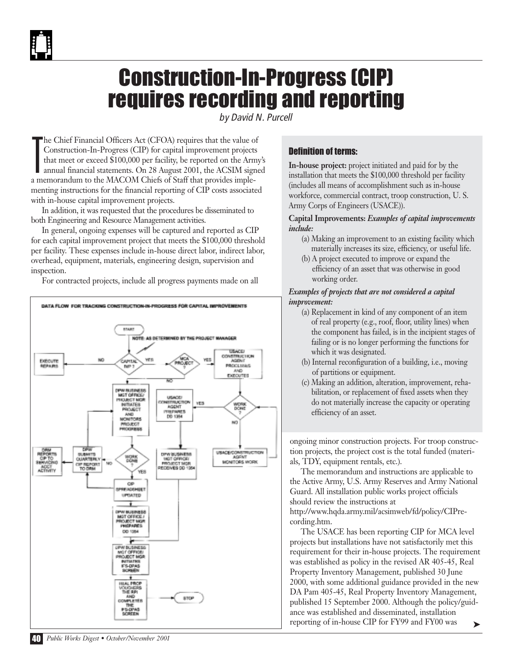### Construction-In-Progress (CIP) requires recording and reporting

*by David N. Purcell*

T he Chief Financial Officers Act (CFOA) requires that the value of Construction-In-Progress (CIP) for capital improvement projects that meet or exceed \$100,000 per facility, be reported on the Army's annual financial statements. On 28 August 2001, the ACSIM signed a memorandum to the MACOM Chiefs of Staff that provides implementing instructions for the financial reporting of CIP costs associated with in-house capital improvement projects.

In addition, it was requested that the procedures be disseminated to both Engineering and Resource Management activities.

In general, ongoing expenses will be captured and reported as CIP for each capital improvement project that meets the \$100,000 threshold per facility. These expenses include in-house direct labor, indirect labor, overhead, equipment, materials, engineering design, supervision and inspection.

For contracted projects, include all progress payments made on all



#### Definition of terms:

**In-house project:** project initiated and paid for by the installation that meets the \$100,000 threshold per facility (includes all means of accomplishment such as in-house workforce, commercial contract, troop construction, U. S. Army Corps of Engineers (USACE)).

#### **Capital Improvements:** *Examples of capital improvements include:*

- (a) Making an improvement to an existing facility which materially increases its size, efficiency, or useful life.
- (b) A project executed to improve or expand the efficiency of an asset that was otherwise in good working order.

#### *Examples of projects that are not considered a capital improvement:*

- (a) Replacement in kind of any component of an item of real property (e.g., roof, floor, utility lines) when the component has failed, is in the incipient stages of failing or is no longer performing the functions for which it was designated.
- (b) Internal reconfiguration of a building, i.e., moving of partitions or equipment.
- (c) Making an addition, alteration, improvement, rehabilitation, or replacement of fixed assets when they do not materially increase the capacity or operating efficiency of an asset.

ongoing minor construction projects. For troop construction projects, the project cost is the total funded (materials, TDY, equipment rentals, etc.).

The memorandum and instructions are applicable to the Active Army, U.S. Army Reserves and Army National Guard. All installation public works project officials should review the instructions at http://www.hqda.army.mil/acsimweb/fd/policy/CIPrecording.htm.

The USACE has been reporting CIP for MCA level projects but installations have not satisfactorily met this requirement for their in-house projects. The requirement was established as policy in the revised AR 405-45, Real Property Inventory Management, published 30 June 2000, with some additional guidance provided in the new DA Pam 405-45, Real Property Inventory Management, published 15 September 2000. Although the policy/guidance was established and disseminated, installation reporting of in-house CIP for FY99 and FY00 was ➤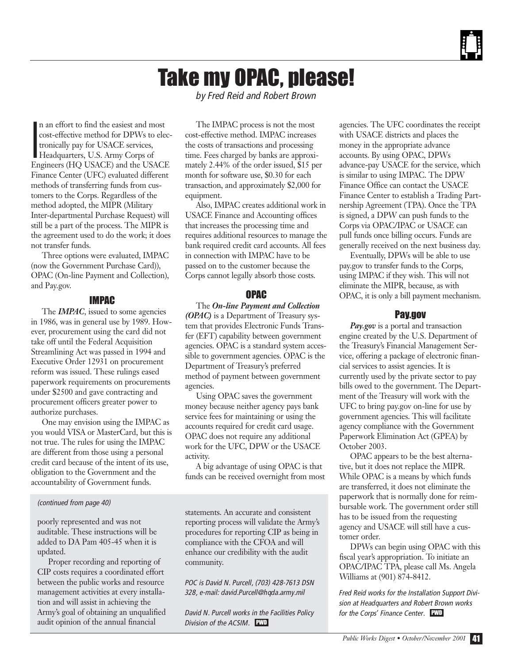### Take my OPAC, please!

*by Fred Reid and Robert Brown* 

I n an effort to find the easiest and most cost-effective method for DPWs to electronically pay for USACE services, Headquarters, U.S. Army Corps of Engineers (HQ USACE) and the USACE Finance Center (UFC) evaluated different methods of transferring funds from customers to the Corps. Regardless of the method adopted, the MIPR (Military Inter-departmental Purchase Request) will still be a part of the process. The MIPR is the agreement used to do the work; it does not transfer funds.

Three options were evaluated, IMPAC (now the Government Purchase Card)), OPAC (On-line Payment and Collection), and Pay.gov.

#### IMPAC

The *IMPAC*, issued to some agencies in 1986, was in general use by 1989. However, procurement using the card did not take off until the Federal Acquisition Streamlining Act was passed in 1994 and Executive Order 12931 on procurement reform was issued. These rulings eased paperwork requirements on procurements under \$2500 and gave contracting and procurement officers greater power to authorize purchases.

One may envision using the IMPAC as you would VISA or MasterCard, but this is not true. The rules for using the IMPAC are different from those using a personal credit card because of the intent of its use, obligation to the Government and the accountability of Government funds.

#### *(continued from page 40)*

poorly represented and was not auditable. These instructions will be added to DA Pam 405-45 when it is updated.

Proper recording and reporting of CIP costs requires a coordinated effort between the public works and resource management activities at every installation and will assist in achieving the Army's goal of obtaining an unqualified audit opinion of the annual financial

The IMPAC process is not the most cost-effective method. IMPAC increases the costs of transactions and processing time. Fees charged by banks are approximately 2.44% of the order issued, \$15 per month for software use, \$0.30 for each transaction, and approximately \$2,000 for equipment.

Also, IMPAC creates additional work in USACE Finance and Accounting offices that increases the processing time and requires additional resources to manage the bank required credit card accounts. All fees in connection with IMPAC have to be passed on to the customer because the Corps cannot legally absorb those costs.

#### OPAC

The *On-line Payment and Collection (OPAC)* is a Department of Treasury system that provides Electronic Funds Transfer (EFT) capability between government agencies. OPAC is a standard system accessible to government agencies. OPAC is the Department of Treasury's preferred method of payment between government agencies.

Using OPAC saves the government money because neither agency pays bank service fees for maintaining or using the accounts required for credit card usage. OPAC does not require any additional work for the UFC, DPW or the USACE activity.

A big advantage of using OPAC is that funds can be received overnight from most

statements. An accurate and consistent reporting process will validate the Army's procedures for reporting CIP as being in compliance with the CFOA and will enhance our credibility with the audit community.

*POC is David N. Purcell, (703) 428-7613 DSN 328, e-mail: david.Purcell@hqda.army.mil* 

*David N. Purcell works in the Facilities Policy Division of the ACSIM.* PWD

agencies. The UFC coordinates the receipt with USACE districts and places the money in the appropriate advance accounts. By using OPAC, DPWs advance-pay USACE for the service, which is similar to using IMPAC. The DPW Finance Office can contact the USACE Finance Center to establish a Trading Partnership Agreement (TPA). Once the TPA is signed, a DPW can push funds to the Corps via OPAC/IPAC or USACE can pull funds once billing occurs. Funds are generally received on the next business day.

Eventually, DPWs will be able to use pay.gov to transfer funds to the Corps, using IMPAC if they wish. This will not eliminate the MIPR, because, as with OPAC, it is only a bill payment mechanism.

#### Pay.gov

*Pay.gov* is a portal and transaction engine created by the U.S. Department of the Treasury's Financial Management Service, offering a package of electronic financial services to assist agencies. It is currently used by the private sector to pay bills owed to the government. The Department of the Treasury will work with the UFC to bring pay.gov on-line for use by government agencies. This will facilitate agency compliance with the Government Paperwork Elimination Act (GPEA) by October 2003.

OPAC appears to be the best alternative, but it does not replace the MIPR. While OPAC is a means by which funds are transferred, it does not eliminate the paperwork that is normally done for reimbursable work. The government order still has to be issued from the requesting agency and USACE will still have a customer order.

DPWs can begin using OPAC with this fiscal year's appropriation. To initiate an OPAC/IPAC TPA, please call Ms. Angela Williams at (901) 874-8412.

*Fred Reid works for the Installation Support Division at Headquarters and Robert Brown works for the Corps' Finance Center.* PWD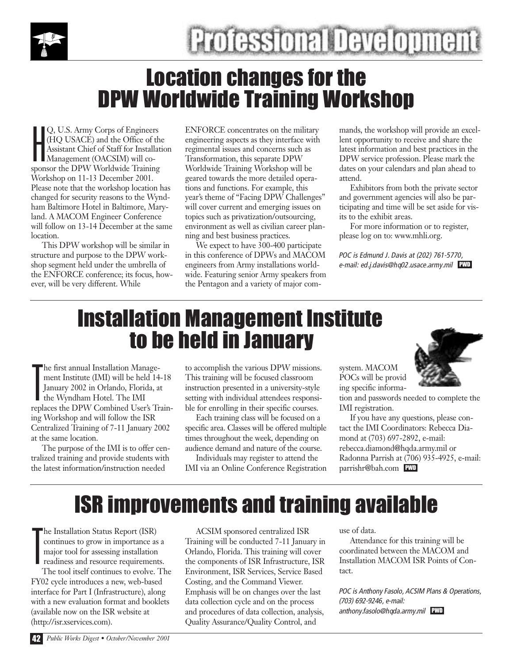

### Location changes for the DPW Worldwide Training Workshop

H Q, U.S. Army Corps of Engineers (HQ USACE) and the Office of the Assistant Chief of Staff for Installation Management (OACSIM) will cosponsor the DPW Worldwide Training Workshop on 11-13 December 2001. Please note that the workshop location has changed for security reasons to the Wyndham Baltimore Hotel in Baltimore, Maryland. A MACOM Engineer Conference will follow on 13-14 December at the same location.

This DPW workshop will be similar in structure and purpose to the DPW workshop segment held under the umbrella of the ENFORCE conference; its focus, however, will be very different. While

ENFORCE concentrates on the military engineering aspects as they interface with regimental issues and concerns such as Transformation, this separate DPW Worldwide Training Workshop will be geared towards the more detailed operations and functions. For example, this year's theme of "Facing DPW Challenges" will cover current and emerging issues on topics such as privatization/outsourcing, environment as well as civilian career planning and best business practices.

We expect to have 300-400 participate in this conference of DPWs and MACOM engineers from Army installations worldwide. Featuring senior Army speakers from the Pentagon and a variety of major commands, the workshop will provide an excellent opportunity to receive and share the latest information and best practices in the DPW service profession. Please mark the dates on your calendars and plan ahead to attend.

Exhibitors from both the private sector and government agencies will also be participating and time will be set aside for visits to the exhibit areas.

For more information or to register, please log on to: www.mhli.org.

*POC is Edmund J. Davis at (202) 761-5770, e-mail: ed.j.davis@hq02.usace.army.mil* PWD

### Installation Management Institute to be held in January

T he first annual Installation Management Institute (IMI) will be held 14-18 January 2002 in Orlando, Florida, at the Wyndham Hotel. The IMI replaces the DPW Combined User's Training Workshop and will follow the ISR Centralized Training of 7-11 January 2002 at the same location.

The purpose of the IMI is to offer centralized training and provide students with the latest information/instruction needed

to accomplish the various DPW missions. This training will be focused classroom instruction presented in a university-style setting with individual attendees responsible for enrolling in their specific courses.

Each training class will be focused on a specific area. Classes will be offered multiple times throughout the week, depending on audience demand and nature of the course.

Individuals may register to attend the IMI via an Online Conference Registration



system. MACOM POCs will be providing specific information and passwords needed to complete the IMI registration.

If you have any questions, please contact the IMI Coordinators: Rebecca Diamond at (703) 697-2892, e-mail: rebecca.diamond@hqda.army.mil or Radonna Parrish at (706) 935-4925, e-mail: parrishr@bah.com PWD

### ISR improvements and training available

T he Installation Status Report (ISR) continues to grow in importance as a major tool for assessing installation readiness and resource requirements.

The tool itself continues to evolve. The FY02 cycle introduces a new, web-based interface for Part I (Infrastructure), along with a new evaluation format and booklets (available now on the ISR website at (http://isr.xservices.com).

ACSIM sponsored centralized ISR Training will be conducted 7-11 January in Orlando, Florida. This training will cover the components of ISR Infrastructure, ISR Environment, ISR Services, Service Based Costing, and the Command Viewer. Emphasis will be on changes over the last data collection cycle and on the process and procedures of data collection, analysis, Quality Assurance/Quality Control, and

use of data.

Attendance for this training will be coordinated between the MACOM and Installation MACOM ISR Points of Contact.

*POC is Anthony Fasolo, ACSIM Plans & Operations, (703) 692-9246, e-mail: anthony.fasolo@hqda.army.mil* PWD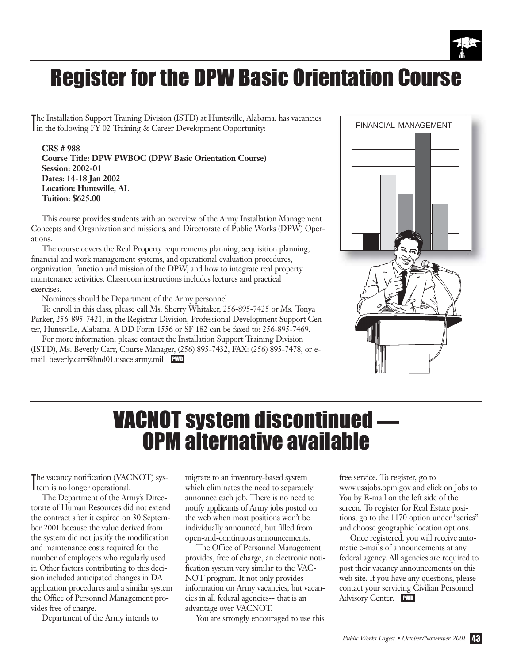

### Register for the DPW Basic Orientation Course

The Installation Support Training Division (ISTD) at Huntsville, Alabar<br>in the following FY 02 Training & Career Development Opportunity: he Installation Support Training Division (ISTD) at Huntsville, Alabama, has vacancies

**CRS # 988 Course Title: DPW PWBOC (DPW Basic Orientation Course) Session: 2002-01 Dates: 14-18 Jan 2002 Location: Huntsville, AL Tuition: \$625.00**

This course provides students with an overview of the Army Installation Management Concepts and Organization and missions, and Directorate of Public Works (DPW) Operations.

The course covers the Real Property requirements planning, acquisition planning, financial and work management systems, and operational evaluation procedures, organization, function and mission of the DPW, and how to integrate real property maintenance activities. Classroom instructions includes lectures and practical exercises.

Nominees should be Department of the Army personnel.

To enroll in this class, please call Ms. Sherry Whitaker, 256-895-7425 or Ms. Tonya Parker, 256-895-7421, in the Registrar Division, Professional Development Support Center, Huntsville, Alabama. A DD Form 1556 or SF 182 can be faxed to: 256-895-7469.

For more information, please contact the Installation Support Training Division (ISTD), Ms. Beverly Carr, Course Manager, (256) 895-7432, FAX: (256) 895-7478, or email: beverly.carr@hnd01.usace.army.mil PWD



# VACNOT system discontinued **—** OPM alternative available

The vacancy notification (VAC<br>tem is no longer operational. he vacancy notification (VACNOT) sys-

The Department of the Army's Directorate of Human Resources did not extend the contract after it expired on 30 September 2001 because the value derived from the system did not justify the modification and maintenance costs required for the number of employees who regularly used it. Other factors contributing to this decision included anticipated changes in DA application procedures and a similar system the Office of Personnel Management provides free of charge.

Department of the Army intends to

migrate to an inventory-based system which eliminates the need to separately announce each job. There is no need to notify applicants of Army jobs posted on the web when most positions won't be individually announced, but filled from open-and-continuous announcements.

The Office of Personnel Management provides, free of charge, an electronic notification system very similar to the VAC-NOT program. It not only provides information on Army vacancies, but vacancies in all federal agencies-- that is an advantage over VACNOT.

You are strongly encouraged to use this

free service. To register, go to www.usajobs.opm.gov and click on Jobs to You by E-mail on the left side of the screen. To register for Real Estate positions, go to the 1170 option under "series" and choose geographic location options.

Once registered, you will receive automatic e-mails of announcements at any federal agency. All agencies are required to post their vacancy announcements on this web site. If you have any questions, please contact your servicing Civilian Personnel Advisory Center. PWD